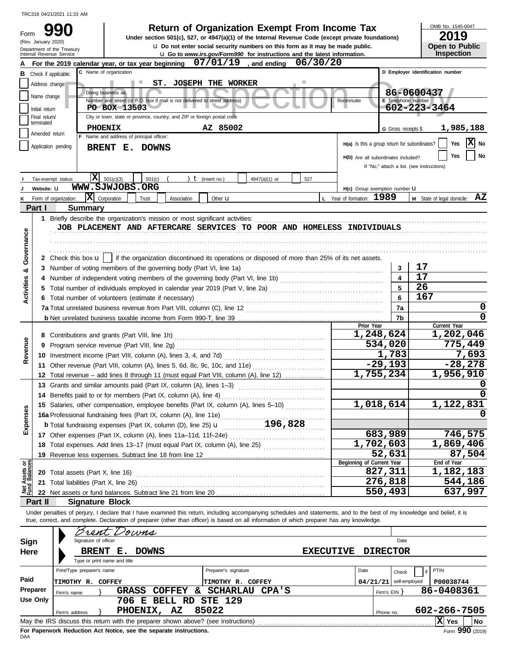| Form                                                                                                             | (Rev. January 2020)                                                                     | Department of the Treasury<br>Internal Revenue Service                                   | <b>Return of Organization Exempt From Income Tax</b><br>Under section 501(c), 527, or 4947(a)(1) of the Internal Revenue Code (except private foundations)<br><b>u</b> Do not enter social security numbers on this form as it may be made public.<br><b>u</b> Go to www.irs.gov/Form990 for instructions and the latest information. |                                         | OMB No. 1545-0047<br>2019<br>Open to Public<br><b>Inspection</b> |  |  |  |  |  |  |  |  |  |
|------------------------------------------------------------------------------------------------------------------|-----------------------------------------------------------------------------------------|------------------------------------------------------------------------------------------|---------------------------------------------------------------------------------------------------------------------------------------------------------------------------------------------------------------------------------------------------------------------------------------------------------------------------------------|-----------------------------------------|------------------------------------------------------------------|--|--|--|--|--|--|--|--|--|
|                                                                                                                  |                                                                                         | For the 2019 calendar year, or tax year beginning                                        | $07/01/19$ , and ending<br>06/30/20                                                                                                                                                                                                                                                                                                   |                                         |                                                                  |  |  |  |  |  |  |  |  |  |
| в                                                                                                                | Check if applicable:                                                                    | C Name of organization                                                                   |                                                                                                                                                                                                                                                                                                                                       |                                         | D Employer identification number                                 |  |  |  |  |  |  |  |  |  |
|                                                                                                                  | Address change                                                                          |                                                                                          | <b>ST. JOSEPH THE WORKER</b>                                                                                                                                                                                                                                                                                                          |                                         |                                                                  |  |  |  |  |  |  |  |  |  |
|                                                                                                                  | Name change                                                                             | Doing business as                                                                        |                                                                                                                                                                                                                                                                                                                                       |                                         | 86-0600437                                                       |  |  |  |  |  |  |  |  |  |
|                                                                                                                  |                                                                                         | Number and street (or P.O. box if mail is not delivered to street address)               |                                                                                                                                                                                                                                                                                                                                       | <b>E</b> Telephone number<br>Room/suite |                                                                  |  |  |  |  |  |  |  |  |  |
|                                                                                                                  | Initial return<br>Final return/                                                         | PO BOX 13503<br>City or town, state or province, country, and ZIP or foreign postal code |                                                                                                                                                                                                                                                                                                                                       |                                         | 602-223-3464                                                     |  |  |  |  |  |  |  |  |  |
|                                                                                                                  | terminated                                                                              |                                                                                          |                                                                                                                                                                                                                                                                                                                                       |                                         |                                                                  |  |  |  |  |  |  |  |  |  |
|                                                                                                                  | Amended return                                                                          | <b>PHOENIX</b>                                                                           | AZ 85002                                                                                                                                                                                                                                                                                                                              | G Gross receipts \$                     | 1,985,188                                                        |  |  |  |  |  |  |  |  |  |
| F Name and address of principal officer:<br>H(a) Is this a group return for subordinates?<br>Application pending |                                                                                         |                                                                                          |                                                                                                                                                                                                                                                                                                                                       |                                         |                                                                  |  |  |  |  |  |  |  |  |  |
| BRENT E. DOWNS<br>Yes                                                                                            |                                                                                         |                                                                                          |                                                                                                                                                                                                                                                                                                                                       |                                         |                                                                  |  |  |  |  |  |  |  |  |  |
|                                                                                                                  | No<br>H(b) Are all subordinates included?<br>If "No," attach a list. (see instructions) |                                                                                          |                                                                                                                                                                                                                                                                                                                                       |                                         |                                                                  |  |  |  |  |  |  |  |  |  |
|                                                                                                                  |                                                                                         |                                                                                          |                                                                                                                                                                                                                                                                                                                                       |                                         |                                                                  |  |  |  |  |  |  |  |  |  |
|                                                                                                                  |                                                                                         | X<br>501(c)(3)<br>Tax-exempt status:<br>501(c)                                           | $t$ (insert no.)<br>4947(a)(1) or<br>527                                                                                                                                                                                                                                                                                              |                                         |                                                                  |  |  |  |  |  |  |  |  |  |
|                                                                                                                  | Website: U                                                                              | WWW.SJWJOBS.ORG                                                                          |                                                                                                                                                                                                                                                                                                                                       | H(c) Group exemption number LI          |                                                                  |  |  |  |  |  |  |  |  |  |
| κ                                                                                                                |                                                                                         | x <br>Form of organization:<br>Corporation<br>Trust                                      | Association<br>Other <b>u</b>                                                                                                                                                                                                                                                                                                         | L Year of formation: 1989               | AZ<br>M State of legal domicile:                                 |  |  |  |  |  |  |  |  |  |
|                                                                                                                  | Part I                                                                                  | <b>Summary</b>                                                                           |                                                                                                                                                                                                                                                                                                                                       |                                         |                                                                  |  |  |  |  |  |  |  |  |  |
|                                                                                                                  |                                                                                         |                                                                                          |                                                                                                                                                                                                                                                                                                                                       |                                         |                                                                  |  |  |  |  |  |  |  |  |  |
|                                                                                                                  |                                                                                         |                                                                                          | JOB PLACEMENT AND AFTERCARE SERVICES TO POOR AND HOMELESS INDIVIDUALS                                                                                                                                                                                                                                                                 |                                         |                                                                  |  |  |  |  |  |  |  |  |  |
| Governance                                                                                                       |                                                                                         |                                                                                          |                                                                                                                                                                                                                                                                                                                                       |                                         |                                                                  |  |  |  |  |  |  |  |  |  |
|                                                                                                                  |                                                                                         |                                                                                          |                                                                                                                                                                                                                                                                                                                                       |                                         |                                                                  |  |  |  |  |  |  |  |  |  |
|                                                                                                                  |                                                                                         |                                                                                          | 2 Check this box $\mathbf{u}$   if the organization discontinued its operations or disposed of more than 25% of its net assets.                                                                                                                                                                                                       |                                         |                                                                  |  |  |  |  |  |  |  |  |  |
|                                                                                                                  |                                                                                         |                                                                                          |                                                                                                                                                                                                                                                                                                                                       | 3                                       | 17                                                               |  |  |  |  |  |  |  |  |  |
| ಯ                                                                                                                |                                                                                         |                                                                                          | 4 Number of independent voting members of the governing body (Part VI, line 1b) [11] [11] Number of independent voting members of the governing body (Part VI, line 1b)                                                                                                                                                               | $\overline{\mathbf{4}}$                 | 17                                                               |  |  |  |  |  |  |  |  |  |
|                                                                                                                  |                                                                                         |                                                                                          |                                                                                                                                                                                                                                                                                                                                       | 5                                       | 26                                                               |  |  |  |  |  |  |  |  |  |
| Activities                                                                                                       |                                                                                         |                                                                                          |                                                                                                                                                                                                                                                                                                                                       | 6                                       | 167                                                              |  |  |  |  |  |  |  |  |  |
|                                                                                                                  |                                                                                         | 6 Total number of volunteers (estimate if necessary)                                     |                                                                                                                                                                                                                                                                                                                                       |                                         | 0                                                                |  |  |  |  |  |  |  |  |  |
|                                                                                                                  |                                                                                         |                                                                                          |                                                                                                                                                                                                                                                                                                                                       | 7a                                      |                                                                  |  |  |  |  |  |  |  |  |  |
|                                                                                                                  |                                                                                         |                                                                                          |                                                                                                                                                                                                                                                                                                                                       | 7b<br>Prior Year                        | Current Year                                                     |  |  |  |  |  |  |  |  |  |
|                                                                                                                  |                                                                                         |                                                                                          | 1,248,624                                                                                                                                                                                                                                                                                                                             | 1,202,046                               |                                                                  |  |  |  |  |  |  |  |  |  |
|                                                                                                                  |                                                                                         | 9 Program service revenue (Part VIII, line 2g)                                           |                                                                                                                                                                                                                                                                                                                                       |                                         |                                                                  |  |  |  |  |  |  |  |  |  |
| Revenue                                                                                                          |                                                                                         | 10 Investment income (Part VIII, column (A), lines 3, 4, and 7d)                         |                                                                                                                                                                                                                                                                                                                                       | 534,020<br>1,783                        | 775,449<br>7,693                                                 |  |  |  |  |  |  |  |  |  |
|                                                                                                                  |                                                                                         | 11 Other revenue (Part VIII, column (A), lines 5, 6d, 8c, 9c, 10c, and 11e)              |                                                                                                                                                                                                                                                                                                                                       | $-29,193$                               | $-28, 278$                                                       |  |  |  |  |  |  |  |  |  |
|                                                                                                                  |                                                                                         |                                                                                          | 12 Total revenue – add lines 8 through 11 (must equal Part VIII, column (A), line 12)                                                                                                                                                                                                                                                 | 1,755,234                               | 1,956,910                                                        |  |  |  |  |  |  |  |  |  |
|                                                                                                                  |                                                                                         | 13 Grants and similar amounts paid (Part IX, column (A), lines 1-3)                      |                                                                                                                                                                                                                                                                                                                                       |                                         | 0                                                                |  |  |  |  |  |  |  |  |  |
|                                                                                                                  |                                                                                         | 14 Benefits paid to or for members (Part IX, column (A), line 4)                         |                                                                                                                                                                                                                                                                                                                                       |                                         | 0                                                                |  |  |  |  |  |  |  |  |  |
|                                                                                                                  |                                                                                         |                                                                                          | 15 Salaries, other compensation, employee benefits (Part IX, column (A), lines 5-10)                                                                                                                                                                                                                                                  | 1,018,614                               | 1,122,831                                                        |  |  |  |  |  |  |  |  |  |
| Expenses                                                                                                         |                                                                                         |                                                                                          |                                                                                                                                                                                                                                                                                                                                       |                                         |                                                                  |  |  |  |  |  |  |  |  |  |
|                                                                                                                  |                                                                                         | 16a Professional fundraising fees (Part IX, column (A), line 11e)                        | 196,828                                                                                                                                                                                                                                                                                                                               |                                         |                                                                  |  |  |  |  |  |  |  |  |  |
|                                                                                                                  |                                                                                         | <b>b</b> Total fundraising expenses (Part IX, column (D), line 25) $\mathbf{u}$          |                                                                                                                                                                                                                                                                                                                                       | 683,989                                 | 746,575                                                          |  |  |  |  |  |  |  |  |  |
|                                                                                                                  |                                                                                         |                                                                                          |                                                                                                                                                                                                                                                                                                                                       | 1,702,603                               | 1,869,406                                                        |  |  |  |  |  |  |  |  |  |
|                                                                                                                  |                                                                                         |                                                                                          | 18 Total expenses. Add lines 13-17 (must equal Part IX, column (A), line 25)                                                                                                                                                                                                                                                          | 52,631                                  | 87,504                                                           |  |  |  |  |  |  |  |  |  |
| ag<br>o                                                                                                          |                                                                                         |                                                                                          |                                                                                                                                                                                                                                                                                                                                       | Beginning of Current Year               | End of Year                                                      |  |  |  |  |  |  |  |  |  |
|                                                                                                                  |                                                                                         | 20 Total assets (Part X, line 16)                                                        |                                                                                                                                                                                                                                                                                                                                       | 827,311                                 | 1,182,183                                                        |  |  |  |  |  |  |  |  |  |
| t Assets<br>Id Balanc                                                                                            |                                                                                         | 21 Total liabilities (Part X, line 26)                                                   |                                                                                                                                                                                                                                                                                                                                       | 276,818                                 | 544,186                                                          |  |  |  |  |  |  |  |  |  |
| Net<br>Fund                                                                                                      |                                                                                         |                                                                                          |                                                                                                                                                                                                                                                                                                                                       | 550,493                                 | 637,997                                                          |  |  |  |  |  |  |  |  |  |
|                                                                                                                  | Part II                                                                                 | <b>Signature Block</b>                                                                   |                                                                                                                                                                                                                                                                                                                                       |                                         |                                                                  |  |  |  |  |  |  |  |  |  |
|                                                                                                                  |                                                                                         |                                                                                          | Under penalties of perjury, I declare that I have examined this return, including accompanying schedules and statements, and to the best of my knowledge and belief, it is                                                                                                                                                            |                                         |                                                                  |  |  |  |  |  |  |  |  |  |
|                                                                                                                  |                                                                                         |                                                                                          | true, correct, and complete. Declaration of preparer (other than officer) is based on all information of which preparer has any knowledge.                                                                                                                                                                                            |                                         |                                                                  |  |  |  |  |  |  |  |  |  |
|                                                                                                                  |                                                                                         |                                                                                          |                                                                                                                                                                                                                                                                                                                                       |                                         |                                                                  |  |  |  |  |  |  |  |  |  |
|                                                                                                                  |                                                                                         | Brent Downs<br>Signature of officer                                                      |                                                                                                                                                                                                                                                                                                                                       | Date                                    |                                                                  |  |  |  |  |  |  |  |  |  |
| Sign                                                                                                             |                                                                                         |                                                                                          |                                                                                                                                                                                                                                                                                                                                       |                                         |                                                                  |  |  |  |  |  |  |  |  |  |
| Here                                                                                                             |                                                                                         | <b>DOWNS</b><br>BRENT E.                                                                 |                                                                                                                                                                                                                                                                                                                                       | <b>EXECUTIVE</b><br><b>DIRECTOR</b>     |                                                                  |  |  |  |  |  |  |  |  |  |
|                                                                                                                  |                                                                                         | Type or print name and title                                                             |                                                                                                                                                                                                                                                                                                                                       |                                         |                                                                  |  |  |  |  |  |  |  |  |  |
|                                                                                                                  |                                                                                         | Print/Type preparer's name                                                               | Preparer's signature                                                                                                                                                                                                                                                                                                                  | Date<br>Check                           | PTIN                                                             |  |  |  |  |  |  |  |  |  |
| Paid                                                                                                             |                                                                                         | <b>TIMOTHY R. COFFEY</b>                                                                 | <b>TIMOTHY R. COFFEY</b>                                                                                                                                                                                                                                                                                                              | 04/21/21                                | self-employed<br>P00038744                                       |  |  |  |  |  |  |  |  |  |
|                                                                                                                  | Preparer                                                                                | <b>COFFEY</b><br><b>GRASS</b><br>Firm's name                                             | &.<br><b>SCHARLAU</b><br>CPA'S                                                                                                                                                                                                                                                                                                        | Firm's $EIN$ }                          | 86-0408361                                                       |  |  |  |  |  |  |  |  |  |
|                                                                                                                  | Use Only                                                                                |                                                                                          | 706 E BELL RD STE 129                                                                                                                                                                                                                                                                                                                 |                                         |                                                                  |  |  |  |  |  |  |  |  |  |
|                                                                                                                  |                                                                                         | PHOENIX, AZ<br>Firm's address                                                            | 85022                                                                                                                                                                                                                                                                                                                                 | Phone no.                               | 602-266-7505                                                     |  |  |  |  |  |  |  |  |  |
|                                                                                                                  |                                                                                         | May the IRS discuss this return with the preparer shown above? (see instructions)        |                                                                                                                                                                                                                                                                                                                                       |                                         | $ X $ Yes<br>No                                                  |  |  |  |  |  |  |  |  |  |

| Sign     | Signature of officer                                                              | Date                                  |
|----------|-----------------------------------------------------------------------------------|---------------------------------------|
| Here     | <b>DOWNS</b><br><b>BRENT</b><br>Е.                                                | <b>EXECUTIVE</b><br><b>DIRECTOR</b>   |
|          | Type or print name and title                                                      |                                       |
|          | Preparer's signature<br>Print/Type preparer's name                                | PTIN<br>Date<br>Check                 |
| Paid     | COFFEY<br>TIMOTHY<br>COFFEY<br><b>TIMOTHY</b><br>R.<br>R.                         | $04/21/21$ self-employed<br>P00038744 |
| Preparer | <b>COFFEY</b><br><b>SCHARLAU</b><br>GRASS<br>δŁ<br>Firm's name                    | 86-0408361<br>CPA'S<br>Firm's EIN Y   |
| Use Only | BELL RD STE 129<br>E.<br>706                                                      |                                       |
|          | 85022<br>AZ.<br>PHOENIX,<br>Firm's address                                        | 602-266-7505<br>Phone no.             |
|          | May the IRS discuss this return with the preparer shown above? (see instructions) | ΙXΙ<br>l No<br>Yes                    |
|          | Ear Donoruark Daduation, Act Nation, can the conorate instructions                | $\sim$ 000 $\sim$                     |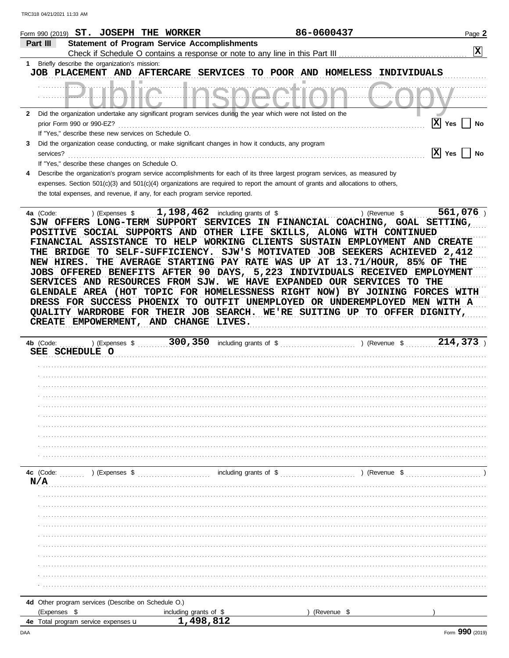| TRC318 04/21/2021 11:33 AM                                 |                                                                                                                                                                                                                                                                                                                                                 |                        |                        |                                                                                                                                                                                                                                                                                                                                                                                                                                                                                                                                                                                                                                                               |                 |
|------------------------------------------------------------|-------------------------------------------------------------------------------------------------------------------------------------------------------------------------------------------------------------------------------------------------------------------------------------------------------------------------------------------------|------------------------|------------------------|---------------------------------------------------------------------------------------------------------------------------------------------------------------------------------------------------------------------------------------------------------------------------------------------------------------------------------------------------------------------------------------------------------------------------------------------------------------------------------------------------------------------------------------------------------------------------------------------------------------------------------------------------------------|-----------------|
|                                                            | Form 990 (2019) ST. JOSEPH THE WORKER                                                                                                                                                                                                                                                                                                           |                        |                        | 86-0600437                                                                                                                                                                                                                                                                                                                                                                                                                                                                                                                                                                                                                                                    | Page 2          |
| Part III                                                   | <b>Statement of Program Service Accomplishments</b>                                                                                                                                                                                                                                                                                             |                        |                        |                                                                                                                                                                                                                                                                                                                                                                                                                                                                                                                                                                                                                                                               |                 |
|                                                            |                                                                                                                                                                                                                                                                                                                                                 |                        |                        |                                                                                                                                                                                                                                                                                                                                                                                                                                                                                                                                                                                                                                                               | 区               |
| 1                                                          | Briefly describe the organization's mission:<br>JOB PLACEMENT AND AFTERCARE SERVICES                                                                                                                                                                                                                                                            |                        | TO POOR AND HOMELESS   | INDIVIDUALS                                                                                                                                                                                                                                                                                                                                                                                                                                                                                                                                                                                                                                                   |                 |
|                                                            |                                                                                                                                                                                                                                                                                                                                                 |                        |                        |                                                                                                                                                                                                                                                                                                                                                                                                                                                                                                                                                                                                                                                               |                 |
| $\mathbf{2}$                                               | Did the organization undertake any significant program services during the year which were not listed on the                                                                                                                                                                                                                                    |                        |                        |                                                                                                                                                                                                                                                                                                                                                                                                                                                                                                                                                                                                                                                               |                 |
|                                                            | prior Form 990 or 990-EZ?<br>If "Yes," describe these new services on Schedule O.                                                                                                                                                                                                                                                               |                        |                        |                                                                                                                                                                                                                                                                                                                                                                                                                                                                                                                                                                                                                                                               | x <br>Yes<br>No |
| 3                                                          | Did the organization cease conducting, or make significant changes in how it conducts, any program                                                                                                                                                                                                                                              |                        |                        |                                                                                                                                                                                                                                                                                                                                                                                                                                                                                                                                                                                                                                                               |                 |
| services?                                                  | If "Yes," describe these changes on Schedule O.                                                                                                                                                                                                                                                                                                 |                        |                        |                                                                                                                                                                                                                                                                                                                                                                                                                                                                                                                                                                                                                                                               | x <br>Yes<br>No |
|                                                            | Describe the organization's program service accomplishments for each of its three largest program services, as measured by<br>expenses. Section $501(c)(3)$ and $501(c)(4)$ organizations are required to report the amount of grants and allocations to others,<br>the total expenses, and revenue, if any, for each program service reported. |                        |                        |                                                                                                                                                                                                                                                                                                                                                                                                                                                                                                                                                                                                                                                               |                 |
| THE<br>NEW HIRES.<br><b>JOBS</b><br>DRESS<br><b>CREATE</b> | FINANCIAL ASSISTANCE<br>BRIDGE<br>SERVICES AND RESOURCES FROM SJW. WE HAVE EXPANDED OUR SERVICES<br>EMPOWERMENT, AND CHANGE LIVES.                                                                                                                                                                                                              |                        |                        | SJW OFFERS LONG-TERM SUPPORT SERVICES IN FINANCIAL COACHING, GOAL SETTING,<br>POSITIVE SOCIAL SUPPORTS AND OTHER LIFE SKILLS, ALONG WITH CONTINUED<br>TO HELP WORKING CLIENTS SUSTAIN EMPLOYMENT AND CREATE<br>TO SELF-SUFFICIENCY. SJW'S MOTIVATED JOB SEEKERS ACHIEVED 2,412<br>THE AVERAGE STARTING PAY RATE WAS UP AT 13.71/HOUR, 85% OF THE<br>OFFERED BENEFITS AFTER 90 DAYS, 5,223 INDIVIDUALS RECEIVED EMPLOYMENT<br>GLENDALE AREA (HOT TOPIC FOR HOMELESSNESS RIGHT NOW) BY JOINING FORCES WITH<br>FOR SUCCESS PHOENIX TO OUTFIT UNEMPLOYED OR UNDEREMPLOYED MEN WITH A<br>QUALITY WARDROBE FOR THEIR JOB SEARCH. WE'RE SUITING UP TO OFFER DIGNITY, | TO THE          |
| 4b (Code:<br>SEE                                           | ) (Expenses \$<br><b>SCHEDULE O</b>                                                                                                                                                                                                                                                                                                             | 300, 350               | including grants of \$ | ) (Revenue \$                                                                                                                                                                                                                                                                                                                                                                                                                                                                                                                                                                                                                                                 | 214,373         |
|                                                            |                                                                                                                                                                                                                                                                                                                                                 |                        |                        |                                                                                                                                                                                                                                                                                                                                                                                                                                                                                                                                                                                                                                                               |                 |
|                                                            |                                                                                                                                                                                                                                                                                                                                                 |                        |                        |                                                                                                                                                                                                                                                                                                                                                                                                                                                                                                                                                                                                                                                               |                 |
|                                                            |                                                                                                                                                                                                                                                                                                                                                 |                        |                        |                                                                                                                                                                                                                                                                                                                                                                                                                                                                                                                                                                                                                                                               |                 |
|                                                            |                                                                                                                                                                                                                                                                                                                                                 |                        |                        |                                                                                                                                                                                                                                                                                                                                                                                                                                                                                                                                                                                                                                                               |                 |
|                                                            |                                                                                                                                                                                                                                                                                                                                                 |                        |                        |                                                                                                                                                                                                                                                                                                                                                                                                                                                                                                                                                                                                                                                               |                 |
|                                                            |                                                                                                                                                                                                                                                                                                                                                 |                        |                        |                                                                                                                                                                                                                                                                                                                                                                                                                                                                                                                                                                                                                                                               |                 |
|                                                            |                                                                                                                                                                                                                                                                                                                                                 |                        |                        |                                                                                                                                                                                                                                                                                                                                                                                                                                                                                                                                                                                                                                                               |                 |
|                                                            |                                                                                                                                                                                                                                                                                                                                                 |                        |                        |                                                                                                                                                                                                                                                                                                                                                                                                                                                                                                                                                                                                                                                               |                 |
|                                                            |                                                                                                                                                                                                                                                                                                                                                 |                        |                        |                                                                                                                                                                                                                                                                                                                                                                                                                                                                                                                                                                                                                                                               |                 |
| 4c (Code:<br>N/A                                           | ) (Expenses \$                                                                                                                                                                                                                                                                                                                                  |                        | including grants of \$ | ) (Revenue \$                                                                                                                                                                                                                                                                                                                                                                                                                                                                                                                                                                                                                                                 |                 |
|                                                            |                                                                                                                                                                                                                                                                                                                                                 |                        |                        |                                                                                                                                                                                                                                                                                                                                                                                                                                                                                                                                                                                                                                                               |                 |
|                                                            |                                                                                                                                                                                                                                                                                                                                                 |                        |                        |                                                                                                                                                                                                                                                                                                                                                                                                                                                                                                                                                                                                                                                               |                 |
|                                                            |                                                                                                                                                                                                                                                                                                                                                 |                        |                        |                                                                                                                                                                                                                                                                                                                                                                                                                                                                                                                                                                                                                                                               |                 |
|                                                            |                                                                                                                                                                                                                                                                                                                                                 |                        |                        |                                                                                                                                                                                                                                                                                                                                                                                                                                                                                                                                                                                                                                                               |                 |
|                                                            |                                                                                                                                                                                                                                                                                                                                                 |                        |                        |                                                                                                                                                                                                                                                                                                                                                                                                                                                                                                                                                                                                                                                               |                 |
|                                                            |                                                                                                                                                                                                                                                                                                                                                 |                        |                        |                                                                                                                                                                                                                                                                                                                                                                                                                                                                                                                                                                                                                                                               |                 |
|                                                            |                                                                                                                                                                                                                                                                                                                                                 |                        |                        |                                                                                                                                                                                                                                                                                                                                                                                                                                                                                                                                                                                                                                                               |                 |
|                                                            |                                                                                                                                                                                                                                                                                                                                                 |                        |                        |                                                                                                                                                                                                                                                                                                                                                                                                                                                                                                                                                                                                                                                               |                 |
|                                                            |                                                                                                                                                                                                                                                                                                                                                 |                        |                        |                                                                                                                                                                                                                                                                                                                                                                                                                                                                                                                                                                                                                                                               |                 |
|                                                            | 4d Other program services (Describe on Schedule O.)                                                                                                                                                                                                                                                                                             |                        |                        |                                                                                                                                                                                                                                                                                                                                                                                                                                                                                                                                                                                                                                                               |                 |
| (Expenses \$                                               |                                                                                                                                                                                                                                                                                                                                                 | including grants of \$ |                        | (Revenue \$                                                                                                                                                                                                                                                                                                                                                                                                                                                                                                                                                                                                                                                   |                 |
|                                                            | 4e Total program service expenses u                                                                                                                                                                                                                                                                                                             | 1,498,812              |                        |                                                                                                                                                                                                                                                                                                                                                                                                                                                                                                                                                                                                                                                               |                 |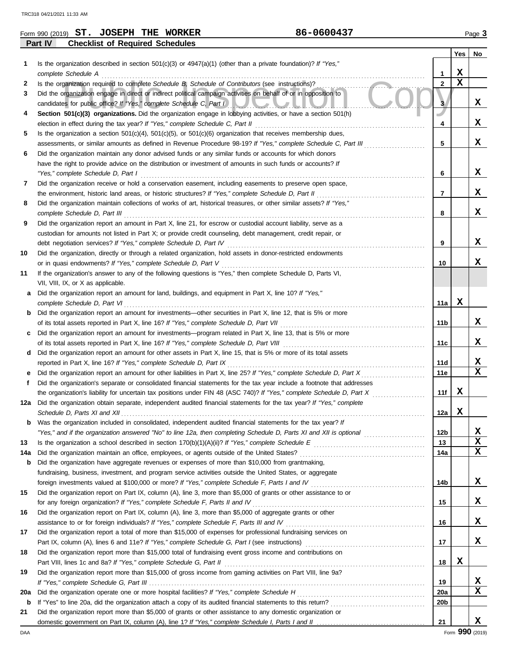|     | 86-0600437<br>Form 990 (2019) ST. JOSEPH THE WORKER                                                                                                                           |                 |             | Page 3      |
|-----|-------------------------------------------------------------------------------------------------------------------------------------------------------------------------------|-----------------|-------------|-------------|
|     | Part IV<br><b>Checklist of Required Schedules</b>                                                                                                                             |                 |             |             |
|     |                                                                                                                                                                               |                 | <b>Yes</b>  | No          |
| 1.  | Is the organization described in section $501(c)(3)$ or $4947(a)(1)$ (other than a private foundation)? If "Yes,"                                                             |                 |             |             |
|     | complete Schedule A                                                                                                                                                           | 1               | X           |             |
| 2   | Is the organization required to complete Schedule B. Schedule of Contributors (see instructions)?                                                                             | $\overline{2}$  | $\mathbf x$ |             |
| 3   | Did the organization engage in direct or indirect political campaign activities on behalf of or in opposition to                                                              |                 |             |             |
|     | candidates for public office? If "Yes," complete Schedule C, Part I<br><u>SUJULIN</u>                                                                                         | з               |             | x           |
| 4   | Section 501(c)(3) organizations. Did the organization engage in lobbying activities, or have a section 501(h)                                                                 |                 |             |             |
|     | election in effect during the tax year? If "Yes," complete Schedule C, Part II                                                                                                | 4               |             | x           |
| 5   | Is the organization a section $501(c)(4)$ , $501(c)(5)$ , or $501(c)(6)$ organization that receives membership dues,                                                          |                 |             |             |
|     | assessments, or similar amounts as defined in Revenue Procedure 98-19? If "Yes," complete Schedule C, Part III                                                                | 5               |             | X           |
| 6   | Did the organization maintain any donor advised funds or any similar funds or accounts for which donors                                                                       |                 |             |             |
|     | have the right to provide advice on the distribution or investment of amounts in such funds or accounts? If                                                                   |                 |             |             |
|     | "Yes," complete Schedule D, Part I                                                                                                                                            | 6               |             | X           |
| 7   | Did the organization receive or hold a conservation easement, including easements to preserve open space,                                                                     |                 |             |             |
|     | the environment, historic land areas, or historic structures? If "Yes," complete Schedule D, Part II                                                                          | 7               |             | x           |
| 8   | Did the organization maintain collections of works of art, historical treasures, or other similar assets? If "Yes,"                                                           |                 |             |             |
|     | complete Schedule D, Part III                                                                                                                                                 | 8               |             | x           |
| 9   | Did the organization report an amount in Part X, line 21, for escrow or custodial account liability, serve as a                                                               |                 |             |             |
|     | custodian for amounts not listed in Part X; or provide credit counseling, debt management, credit repair, or                                                                  |                 |             | X           |
|     | debt negotiation services? If "Yes," complete Schedule D, Part IV                                                                                                             | 9               |             |             |
| 10  | Did the organization, directly or through a related organization, hold assets in donor-restricted endowments<br>or in quasi endowments? If "Yes," complete Schedule D, Part V | 10              |             | x           |
| 11  | If the organization's answer to any of the following questions is "Yes," then complete Schedule D, Parts VI,                                                                  |                 |             |             |
|     | VII, VIII, IX, or X as applicable.                                                                                                                                            |                 |             |             |
| а   | Did the organization report an amount for land, buildings, and equipment in Part X, line 10? If "Yes,"                                                                        |                 |             |             |
|     | complete Schedule D, Part VI                                                                                                                                                  | 11a             | x           |             |
| b   | Did the organization report an amount for investments—other securities in Part X, line 12, that is 5% or more                                                                 |                 |             |             |
|     | of its total assets reported in Part X, line 16? If "Yes," complete Schedule D, Part VII                                                                                      | 11b             |             | x           |
| c   | Did the organization report an amount for investments—program related in Part X, line 13, that is 5% or more                                                                  |                 |             |             |
|     | of its total assets reported in Part X, line 16? If "Yes," complete Schedule D, Part VIII                                                                                     | 11c             |             | X           |
| d   | Did the organization report an amount for other assets in Part X, line 15, that is 5% or more of its total assets                                                             |                 |             |             |
|     | reported in Part X, line 16? If "Yes," complete Schedule D, Part IX                                                                                                           | 11d             |             | X           |
|     | Did the organization report an amount for other liabilities in Part X, line 25? If "Yes," complete Schedule D, Part X                                                         | 11e             |             | $\mathbf x$ |
|     | Did the organization's separate or consolidated financial statements for the tax year include a footnote that addresses                                                       |                 |             |             |
|     | the organization's liability for uncertain tax positions under FIN 48 (ASC 740)? If "Yes," complete Schedule D, Part X                                                        | 11f             | X           |             |
|     | 12a Did the organization obtain separate, independent audited financial statements for the tax year? If "Yes," complete                                                       |                 |             |             |
|     | Schedule D, Parts XI and XII                                                                                                                                                  | 12a             | X           |             |
|     | <b>b</b> Was the organization included in consolidated, independent audited financial statements for the tax year? If                                                         |                 |             |             |
|     |                                                                                                                                                                               | 12 <sub>b</sub> |             | X           |
| 13  |                                                                                                                                                                               | 13              |             | $\mathbf x$ |
| 14a | Did the organization maintain an office, employees, or agents outside of the United States?                                                                                   | 14a             |             | $\mathbf x$ |
| b   | Did the organization have aggregate revenues or expenses of more than \$10,000 from grantmaking,                                                                              |                 |             |             |
|     | fundraising, business, investment, and program service activities outside the United States, or aggregate                                                                     |                 |             |             |
|     | foreign investments valued at \$100,000 or more? If "Yes," complete Schedule F, Parts I and IV [[[[[[[[[[[[[[[                                                                | 14b             |             | X           |
| 15  | Did the organization report on Part IX, column (A), line 3, more than \$5,000 of grants or other assistance to or                                                             |                 |             |             |
|     | for any foreign organization? If "Yes," complete Schedule F, Parts II and IV                                                                                                  | 15              |             | X           |
| 16  | Did the organization report on Part IX, column (A), line 3, more than \$5,000 of aggregate grants or other                                                                    |                 |             |             |
|     | assistance to or for foreign individuals? If "Yes," complete Schedule F, Parts III and IV                                                                                     | 16              |             | X           |
| 17  | Did the organization report a total of more than \$15,000 of expenses for professional fundraising services on                                                                |                 |             |             |
|     |                                                                                                                                                                               | 17              |             | X           |
| 18  | Did the organization report more than \$15,000 total of fundraising event gross income and contributions on                                                                   |                 |             |             |
|     | Part VIII, lines 1c and 8a? If "Yes," complete Schedule G, Part II                                                                                                            | 18              | X           |             |
| 19  | Did the organization report more than \$15,000 of gross income from gaming activities on Part VIII, line 9a?                                                                  |                 |             |             |
|     |                                                                                                                                                                               | 19<br>20a       |             | X<br>X      |
| 20a |                                                                                                                                                                               |                 |             |             |

**b** If "Yes" to line 20a, did the organization attach a copy of its audited financial statements to this return? . . . . . . . . . . . . . . . . . . . . . . . . . . . . . . . . . .

domestic government on Part IX, column (A), line 1? If "Yes," complete Schedule I, Parts I and II **21** Did the organization report more than \$5,000 of grants or other assistance to any domestic organization or **20b**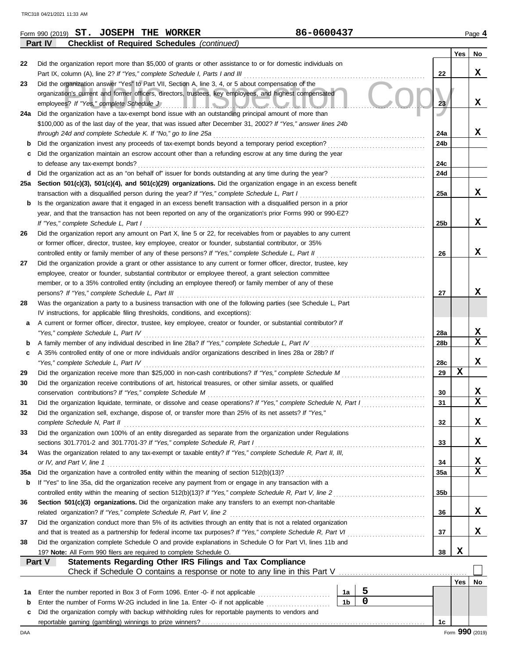|     | 86-0600437<br>Form 990 (2019) ST. JOSEPH THE WORKER                                                                                       |                        |                 | Page 4 |
|-----|-------------------------------------------------------------------------------------------------------------------------------------------|------------------------|-----------------|--------|
|     | <b>Checklist of Required Schedules</b> (continued)<br>Part IV                                                                             |                        |                 |        |
|     |                                                                                                                                           |                        | Yes             | No     |
| 22  | Did the organization report more than \$5,000 of grants or other assistance to or for domestic individuals on                             |                        |                 |        |
|     | Part IX, column (A), line 2? If "Yes," complete Schedule I, Parts I and III [[11]]                                                        | 22                     |                 | x      |
| 23  | Did the organization answer "Yes" to Part VII, Section A, line 3, 4, or 5 about compensation of the                                       |                        |                 |        |
|     | organization's current and former officers, directors, trustees, key employees, and highest compensated                                   |                        |                 |        |
|     |                                                                                                                                           | 23                     |                 | X      |
| 24a | Did the organization have a tax-exempt bond issue with an outstanding principal amount of more than                                       |                        |                 |        |
|     | \$100,000 as of the last day of the year, that was issued after December 31, 2002? If "Yes," answer lines 24b                             |                        |                 | X      |
|     | through 24d and complete Schedule K. If "No," go to line 25a                                                                              | 24a<br>24 <sub>b</sub> |                 |        |
|     | Did the organization maintain an escrow account other than a refunding escrow at any time during the year                                 |                        |                 |        |
|     | to defease any tax-exempt bonds?                                                                                                          | 24c                    |                 |        |
| d   |                                                                                                                                           | 24d                    |                 |        |
| 25a | Section 501(c)(3), 501(c)(4), and 501(c)(29) organizations. Did the organization engage in an excess benefit                              |                        |                 |        |
|     | transaction with a disqualified person during the year? If "Yes," complete Schedule L, Part I                                             | 25a                    |                 | x      |
| b   | Is the organization aware that it engaged in an excess benefit transaction with a disqualified person in a prior                          |                        |                 |        |
|     | year, and that the transaction has not been reported on any of the organization's prior Forms 990 or 990-EZ?                              |                        |                 |        |
|     | If "Yes," complete Schedule L, Part I                                                                                                     | 25b                    |                 | x      |
| 26  | Did the organization report any amount on Part X, line 5 or 22, for receivables from or payables to any current                           |                        |                 |        |
|     | or former officer, director, trustee, key employee, creator or founder, substantial contributor, or 35%                                   |                        |                 |        |
|     | controlled entity or family member of any of these persons? If "Yes," complete Schedule L, Part II                                        | 26                     |                 | x      |
| 27  | Did the organization provide a grant or other assistance to any current or former officer, director, trustee, key                         |                        |                 |        |
|     | employee, creator or founder, substantial contributor or employee thereof, a grant selection committee                                    |                        |                 |        |
|     | member, or to a 35% controlled entity (including an employee thereof) or family member of any of these                                    |                        |                 |        |
|     | persons? If "Yes," complete Schedule L, Part III                                                                                          | 27                     |                 | x      |
| 28  | Was the organization a party to a business transaction with one of the following parties (see Schedule L, Part                            |                        |                 |        |
|     | IV instructions, for applicable filing thresholds, conditions, and exceptions):                                                           |                        |                 |        |
| а   | A current or former officer, director, trustee, key employee, creator or founder, or substantial contributor? If                          |                        |                 |        |
|     | "Yes," complete Schedule L, Part IV                                                                                                       | 28a                    |                 | X<br>x |
| b   | A family member of any individual described in line 28a? If "Yes," complete Schedule L, Part IV [[[[[[[[[[[[[                             | 28b                    |                 |        |
| c   | A 35% controlled entity of one or more individuals and/or organizations described in lines 28a or 28b? If                                 |                        |                 | x      |
| 29  | "Yes," complete Schedule L, Part IV                                                                                                       | 28c<br>29              | X               |        |
| 30  | Did the organization receive contributions of art, historical treasures, or other similar assets, or qualified                            |                        |                 |        |
|     | conservation contributions? If "Yes," complete Schedule M                                                                                 | 30                     |                 | x      |
| 31  | Did the organization liquidate, terminate, or dissolve and cease operations? If "Yes," complete Schedule N, Part I                        | 31                     |                 | X      |
| 32  | Did the organization sell, exchange, dispose of, or transfer more than 25% of its net assets? If "Yes,"                                   |                        |                 |        |
|     | complete Schedule N, Part II                                                                                                              | 32                     |                 | х      |
| 33  | Did the organization own 100% of an entity disregarded as separate from the organization under Regulations                                |                        |                 |        |
|     | sections 301.7701-2 and 301.7701-3? If "Yes," complete Schedule R, Part I                                                                 | 33                     |                 | х      |
| 34  | Was the organization related to any tax-exempt or taxable entity? If "Yes," complete Schedule R, Part II, III,                            |                        |                 |        |
|     | or IV, and Part V, line 1                                                                                                                 | 34                     |                 | х      |
| 35a |                                                                                                                                           | 35a                    |                 | X      |
| b   | If "Yes" to line 35a, did the organization receive any payment from or engage in any transaction with a                                   |                        |                 |        |
|     |                                                                                                                                           | 35b                    |                 |        |
| 36  | Section 501(c)(3) organizations. Did the organization make any transfers to an exempt non-charitable                                      |                        |                 |        |
|     | related organization? If "Yes," complete Schedule R, Part V, line 2                                                                       | 36                     |                 | X      |
| 37  | Did the organization conduct more than 5% of its activities through an entity that is not a related organization                          |                        |                 |        |
|     |                                                                                                                                           | 37                     |                 | x      |
| 38  | Did the organization complete Schedule O and provide explanations in Schedule O for Part VI, lines 11b and                                |                        |                 |        |
|     | 19? Note: All Form 990 filers are required to complete Schedule O.<br>Statements Regarding Other IRS Filings and Tax Compliance<br>Part V | 38                     | X               |        |
|     |                                                                                                                                           |                        |                 |        |
|     |                                                                                                                                           |                        | Yes             | No     |
| 1а  | 5<br>1a<br>Enter the number reported in Box 3 of Form 1096. Enter -0- if not applicable                                                   |                        |                 |        |
| b   | $\overline{0}$<br>1 <sub>b</sub>                                                                                                          |                        |                 |        |
| c   | Did the organization comply with backup withholding rules for reportable payments to vendors and                                          |                        |                 |        |
|     |                                                                                                                                           | 1c                     |                 |        |
| DAA |                                                                                                                                           |                        | Form 990 (2019) |        |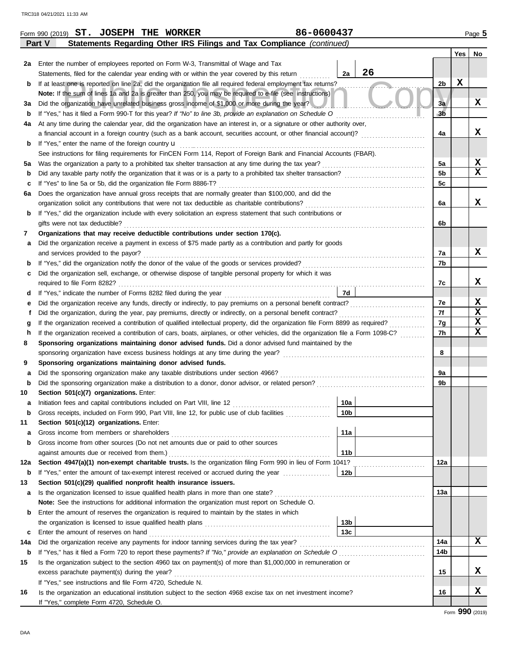|      | 86-0600437<br>Form 990 (2019) ST. JOSEPH THE WORKER                                                                                |                |             | Page 5      |
|------|------------------------------------------------------------------------------------------------------------------------------------|----------------|-------------|-------------|
|      | Statements Regarding Other IRS Filings and Tax Compliance (continued)<br>Part V                                                    |                |             |             |
|      |                                                                                                                                    |                | Yes         | No          |
| 2a l | Enter the number of employees reported on Form W-3, Transmittal of Wage and Tax                                                    |                |             |             |
|      | 26<br>2a<br>Statements, filed for the calendar year ending with or within the year covered by this return                          |                |             |             |
| b    | If at least one is reported on line 2a, did the organization file all required federal employment tax returns?                     | 2b             | $\mathbf x$ |             |
|      | Note: If the sum of lines 1a and 2a is greater than 250, you may be required to e-file (see instructions)                          |                |             |             |
| За   | Did the organization have unrelated business gross income of \$1,000 or more during the year?                                      | 3a             |             | X           |
| b    | If "Yes," has it filed a Form 990-T for this year? If "No" to line 3b, provide an explanation on Schedule O                        | зБ             |             |             |
| 4a   | At any time during the calendar year, did the organization have an interest in, or a signature or other authority over,            |                |             |             |
|      | a financial account in a foreign country (such as a bank account, securities account, or other financial account)?                 | 4a             |             | x           |
| b    | If "Yes," enter the name of the foreign country <b>u</b>                                                                           |                |             |             |
|      | See instructions for filing requirements for FinCEN Form 114, Report of Foreign Bank and Financial Accounts (FBAR).                |                |             |             |
| 5a   |                                                                                                                                    | 5a             |             | X           |
| b    |                                                                                                                                    | 5 <sub>b</sub> |             | $\mathbf x$ |
| c    | If "Yes" to line 5a or 5b, did the organization file Form 8886-T?                                                                  | 5c             |             |             |
| 6а   | Does the organization have annual gross receipts that are normally greater than \$100,000, and did the                             |                |             |             |
|      |                                                                                                                                    | 6а             |             | x           |
| b    | If "Yes," did the organization include with every solicitation an express statement that such contributions or                     |                |             |             |
|      | gifts were not tax deductible?                                                                                                     | 6b             |             |             |
| 7    | Organizations that may receive deductible contributions under section 170(c).                                                      |                |             |             |
| а    | Did the organization receive a payment in excess of \$75 made partly as a contribution and partly for goods                        |                |             |             |
|      |                                                                                                                                    | 7a             |             | X           |
| b    |                                                                                                                                    | 7b             |             |             |
| c    | Did the organization sell, exchange, or otherwise dispose of tangible personal property for which it was                           |                |             |             |
|      |                                                                                                                                    | 7с             |             | x           |
| d    | 7d                                                                                                                                 |                |             |             |
| е    |                                                                                                                                    | 7е             |             | X           |
| f    |                                                                                                                                    | 7f             |             | X           |
| g    |                                                                                                                                    | 7g             |             | X           |
| h    | If the organization received a contribution of cars, boats, airplanes, or other vehicles, did the organization file a Form 1098-C? | 7h             |             | X           |
| 8    | Sponsoring organizations maintaining donor advised funds. Did a donor advised fund maintained by the                               |                |             |             |
|      |                                                                                                                                    | 8              |             |             |
| 9    | Sponsoring organizations maintaining donor advised funds.                                                                          |                |             |             |
| а    |                                                                                                                                    | 9a             |             |             |
| b    | Did the sponsoring organization make a distribution to a donor, donor advisor, or related person?                                  | 9b             |             |             |
| 10   | Section 501(c)(7) organizations. Enter:                                                                                            |                |             |             |
| a    | 10a                                                                                                                                |                |             |             |
| b    | Gross receipts, included on Form 990, Part VIII, line 12, for public use of club facilities<br>10b                                 |                |             |             |
| 11   | Section 501(c)(12) organizations. Enter:                                                                                           |                |             |             |
| а    | 11a<br>Gross income from members or shareholders                                                                                   |                |             |             |
| b    | Gross income from other sources (Do not net amounts due or paid to other sources                                                   |                |             |             |
|      | 11 <sub>b</sub><br>against amounts due or received from them.)                                                                     |                |             |             |
| 12a  | Section 4947(a)(1) non-exempt charitable trusts. Is the organization filing Form 990 in lieu of Form 1041?                         | 12a            |             |             |
| b    | 12 <sub>b</sub><br>If "Yes," enter the amount of tax-exempt interest received or accrued during the year                           |                |             |             |
| 13   | Section 501(c)(29) qualified nonprofit health insurance issuers.                                                                   |                |             |             |
| а    |                                                                                                                                    | 13a            |             |             |
|      | Note: See the instructions for additional information the organization must report on Schedule O.                                  |                |             |             |
| b    | Enter the amount of reserves the organization is required to maintain by the states in which                                       |                |             |             |
|      | 13 <sub>b</sub>                                                                                                                    |                |             |             |
| c    | 13c<br>Enter the amount of reserves on hand                                                                                        |                |             |             |
| 14a  |                                                                                                                                    | 14a            |             | X           |
| b    |                                                                                                                                    | 14b            |             |             |
| 15   | Is the organization subject to the section 4960 tax on payment(s) of more than \$1,000,000 in remuneration or                      |                |             |             |
|      | excess parachute payment(s) during the year?                                                                                       | 15             |             | X           |
|      | If "Yes," see instructions and file Form 4720, Schedule N.                                                                         |                |             |             |
| 16   | Is the organization an educational institution subject to the section 4968 excise tax on net investment income?                    | 16             |             | X           |
|      | If "Yes," complete Form 4720, Schedule O.                                                                                          |                |             |             |

| 86-0600437 |  |
|------------|--|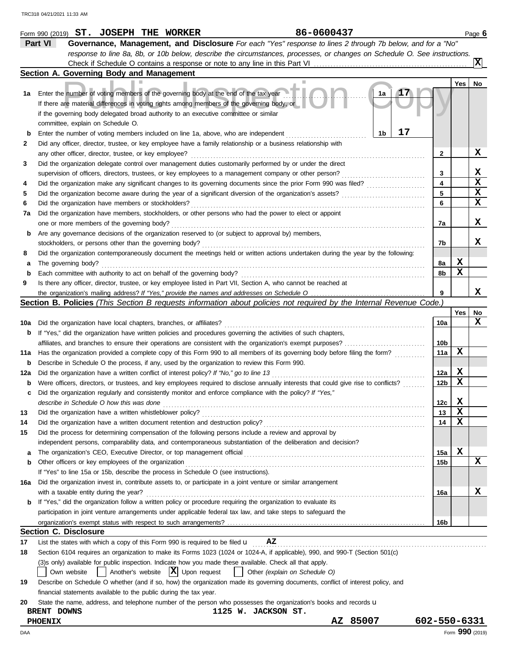|     | 86-0600437<br>Form 990 (2019) ST. JOSEPH THE WORKER                                                                                             |                 |     | Page 6         |
|-----|-------------------------------------------------------------------------------------------------------------------------------------------------|-----------------|-----|----------------|
|     | Part VI<br>Governance, Management, and Disclosure For each "Yes" response to lines 2 through 7b below, and for a "No"                           |                 |     |                |
|     | response to line 8a, 8b, or 10b below, describe the circumstances, processes, or changes on Schedule O. See instructions.                       |                 |     |                |
|     |                                                                                                                                                 |                 |     | $ \mathbf{x} $ |
|     | Section A. Governing Body and Management                                                                                                        |                 |     |                |
|     |                                                                                                                                                 |                 | Yes | No             |
| 1a  | Enter the number of voting members of the governing body at the end of the tax year<br>1a                                                       |                 |     |                |
|     | If there are material differences in voting rights among members of the governing body, or                                                      |                 |     |                |
|     | if the governing body delegated broad authority to an executive committee or similar                                                            |                 |     |                |
|     | committee, explain on Schedule O.                                                                                                               |                 |     |                |
|     | 17<br>1b<br>Enter the number of voting members included on line 1a, above, who are independent                                                  |                 |     |                |
| 2   | Did any officer, director, trustee, or key employee have a family relationship or a business relationship with                                  |                 |     |                |
|     | any other officer, director, trustee, or key employee?                                                                                          | 2               |     | x              |
| 3   | Did the organization delegate control over management duties customarily performed by or under the direct                                       |                 |     |                |
|     | supervision of officers, directors, trustees, or key employees to a management company or other person?                                         | 3               |     | X              |
| 4   |                                                                                                                                                 | 4<br>5          |     | x<br>X         |
| 5   | Did the organization become aware during the year of a significant diversion of the organization's assets?                                      | 6               |     | x              |
| 6   | Did the organization have members or stockholders?                                                                                              |                 |     |                |
| 7a  | Did the organization have members, stockholders, or other persons who had the power to elect or appoint                                         | 7a              |     | x              |
|     | one or more members of the governing body?<br>Are any governance decisions of the organization reserved to (or subject to approval by) members, |                 |     |                |
| b   | stockholders, or persons other than the governing body?                                                                                         | 7b              |     | x              |
| 8   | Did the organization contemporaneously document the meetings held or written actions undertaken during the year by the following:               |                 |     |                |
| а   | The governing body?                                                                                                                             | 8a              | х   |                |
| b   | Each committee with authority to act on behalf of the governing body?                                                                           | 8b              | X   |                |
| 9   | Is there any officer, director, trustee, or key employee listed in Part VII, Section A, who cannot be reached at                                |                 |     |                |
|     |                                                                                                                                                 | 9               |     | x              |
|     | Section B. Policies (This Section B requests information about policies not required by the Internal Revenue Code.)                             |                 |     |                |
|     |                                                                                                                                                 |                 | Yes | No             |
| 10a | Did the organization have local chapters, branches, or affiliates?                                                                              | 10a             |     | x              |
| b   | If "Yes," did the organization have written policies and procedures governing the activities of such chapters,                                  |                 |     |                |
|     | affiliates, and branches to ensure their operations are consistent with the organization's exempt purposes?                                     | 10b             |     |                |
| 11a | Has the organization provided a complete copy of this Form 990 to all members of its governing body before filing the form?                     | 11a             | х   |                |
| b   | Describe in Schedule O the process, if any, used by the organization to review this Form 990.                                                   |                 |     |                |
| 12a | Did the organization have a written conflict of interest policy? If "No," go to line 13                                                         | 12a             | X   |                |
| b   | Were officers, directors, or trustees, and key employees required to disclose annually interests that could give rise to conflicts?             | 12 <sub>b</sub> | X   |                |
| c   | Did the organization regularly and consistently monitor and enforce compliance with the policy? If "Yes,"                                       |                 |     |                |
|     | describe in Schedule O how this was done                                                                                                        | 12c             | Y   |                |
| 13  | Did the organization have a written whistleblower policy?                                                                                       | 13              | X   |                |
| 14  |                                                                                                                                                 | 14              | х   |                |
| 15  | Did the process for determining compensation of the following persons include a review and approval by                                          |                 |     |                |
|     | independent persons, comparability data, and contemporaneous substantiation of the deliberation and decision?                                   |                 |     |                |
| a   |                                                                                                                                                 | 15a             | х   |                |
| b   | Other officers or key employees of the organization                                                                                             | 15b             |     | x              |
|     | If "Yes" to line 15a or 15b, describe the process in Schedule O (see instructions).                                                             |                 |     |                |
| 16a | Did the organization invest in, contribute assets to, or participate in a joint venture or similar arrangement                                  |                 |     |                |
|     | with a taxable entity during the year?                                                                                                          | 16a             |     | X              |
| b   | If "Yes," did the organization follow a written policy or procedure requiring the organization to evaluate its                                  |                 |     |                |
|     | participation in joint venture arrangements under applicable federal tax law, and take steps to safeguard the                                   |                 |     |                |
|     |                                                                                                                                                 | 16b             |     |                |
|     | <b>Section C. Disclosure</b>                                                                                                                    |                 |     |                |
| 17  | List the states with which a copy of this Form 990 is required to be filed $\mathbf{u} = \mathbf{A}\mathbf{Z}$                                  |                 |     |                |
| 18  | Section 6104 requires an organization to make its Forms 1023 (1024 or 1024-A, if applicable), 990, and 990-T (Section 501(c)                    |                 |     |                |
|     | (3) sonly) available for public inspection. Indicate how you made these available. Check all that apply.                                        |                 |     |                |
|     | $ \mathbf{X} $ Upon request<br>Another's website<br>Other (explain on Schedule O)<br>Own website                                                |                 |     |                |
| 19  | Describe on Schedule O whether (and if so, how) the organization made its governing documents, conflict of interest policy, and                 |                 |     |                |
|     | financial statements available to the public during the tax year.                                                                               |                 |     |                |
| 20  | State the name, address, and telephone number of the person who possesses the organization's books and records u                                |                 |     |                |
|     | BRENT DOWNS<br>1125 W. JACKSON ST.<br>85007<br>ΑZ                                                                                               | 602-550-6331    |     |                |
|     | <b>PHOENIX</b>                                                                                                                                  |                 |     |                |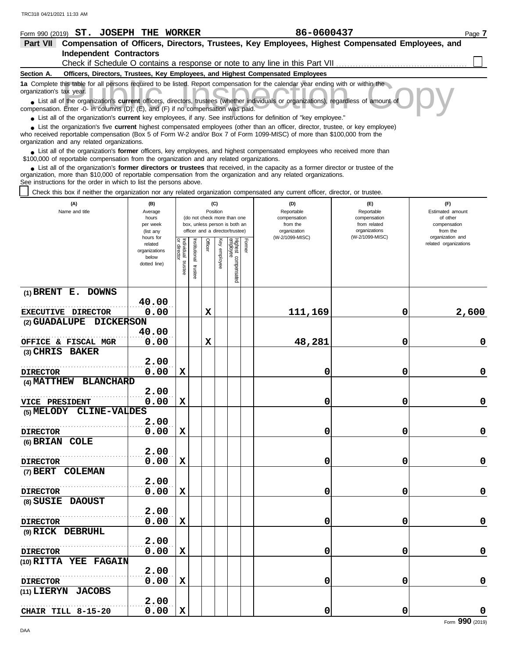| Form 990 (2019) ST. JOSEPH THE WORKER                                                                                                                                                                                                                              |                                                                                                                                                                        |                    |               |         |                                                                  |             |        | 86-0600437                                                                      |                                                                              | Page 7                                    |  |  |  |
|--------------------------------------------------------------------------------------------------------------------------------------------------------------------------------------------------------------------------------------------------------------------|------------------------------------------------------------------------------------------------------------------------------------------------------------------------|--------------------|---------------|---------|------------------------------------------------------------------|-------------|--------|---------------------------------------------------------------------------------|------------------------------------------------------------------------------|-------------------------------------------|--|--|--|
| Part VII Compensation of Officers, Directors, Trustees, Key Employees, Highest Compensated Employees, and                                                                                                                                                          |                                                                                                                                                                        |                    |               |         |                                                                  |             |        |                                                                                 |                                                                              |                                           |  |  |  |
| <b>Independent Contractors</b>                                                                                                                                                                                                                                     |                                                                                                                                                                        |                    |               |         |                                                                  |             |        |                                                                                 |                                                                              |                                           |  |  |  |
|                                                                                                                                                                                                                                                                    |                                                                                                                                                                        |                    |               |         |                                                                  |             |        |                                                                                 | Check if Schedule O contains a response or note to any line in this Part VII |                                           |  |  |  |
| Section A.                                                                                                                                                                                                                                                         |                                                                                                                                                                        |                    |               |         |                                                                  |             |        | Officers, Directors, Trustees, Key Employees, and Highest Compensated Employees |                                                                              |                                           |  |  |  |
| 1a Complete this table for all persons required to be listed. Report compensation for the calendar year ending with or within the<br>organization's tax year.                                                                                                      |                                                                                                                                                                        |                    |               |         |                                                                  |             |        |                                                                                 |                                                                              |                                           |  |  |  |
| • List all of the organization's current officers, directors, trustees (whether individuals or organizations), regardless of amount of                                                                                                                             |                                                                                                                                                                        |                    |               |         |                                                                  |             |        |                                                                                 |                                                                              |                                           |  |  |  |
| compensation. Enter -0- in columns (D), (E), and (F) if no compensation was paid.                                                                                                                                                                                  |                                                                                                                                                                        |                    |               |         |                                                                  |             |        |                                                                                 |                                                                              |                                           |  |  |  |
| • List all of the organization's <b>current</b> key employees, if any. See instructions for definition of "key employee."<br>List the organization's five <b>current</b> highest compensated employees (other than an officer, director, trustee, or key employee) |                                                                                                                                                                        |                    |               |         |                                                                  |             |        |                                                                                 |                                                                              |                                           |  |  |  |
|                                                                                                                                                                                                                                                                    | who received reportable compensation (Box 5 of Form W-2 and/or Box 7 of Form 1099-MISC) of more than \$100,000 from the<br>organization and any related organizations. |                    |               |         |                                                                  |             |        |                                                                                 |                                                                              |                                           |  |  |  |
| • List all of the organization's former officers, key employees, and highest compensated employees who received more than<br>\$100,000 of reportable compensation from the organization and any related organizations.                                             |                                                                                                                                                                        |                    |               |         |                                                                  |             |        |                                                                                 |                                                                              |                                           |  |  |  |
| • List all of the organization's former directors or trustees that received, in the capacity as a former director or trustee of the                                                                                                                                |                                                                                                                                                                        |                    |               |         |                                                                  |             |        |                                                                                 |                                                                              |                                           |  |  |  |
| organization, more than \$10,000 of reportable compensation from the organization and any related organizations.<br>See instructions for the order in which to list the persons above.                                                                             |                                                                                                                                                                        |                    |               |         |                                                                  |             |        |                                                                                 |                                                                              |                                           |  |  |  |
| Check this box if neither the organization nor any related organization compensated any current officer, director, or trustee.                                                                                                                                     |                                                                                                                                                                        |                    |               |         |                                                                  |             |        |                                                                                 |                                                                              |                                           |  |  |  |
|                                                                                                                                                                                                                                                                    |                                                                                                                                                                        |                    |               |         |                                                                  |             |        |                                                                                 |                                                                              |                                           |  |  |  |
| (A)<br>Name and title                                                                                                                                                                                                                                              | (B)<br>Average                                                                                                                                                         |                    |               |         | (C)<br>Position                                                  |             |        | (D)<br>Reportable                                                               | (E)<br>Reportable                                                            | (F)<br>Estimated amount                   |  |  |  |
|                                                                                                                                                                                                                                                                    | hours                                                                                                                                                                  |                    |               |         | (do not check more than one                                      |             |        | compensation                                                                    | compensation                                                                 | of other                                  |  |  |  |
|                                                                                                                                                                                                                                                                    | per week<br>(list any                                                                                                                                                  |                    |               |         | box, unless person is both an<br>officer and a director/trustee) |             |        | from the<br>organization                                                        | from related<br>organizations                                                | compensation<br>from the                  |  |  |  |
|                                                                                                                                                                                                                                                                    | hours for<br>related                                                                                                                                                   |                    |               |         |                                                                  |             |        | (W-2/1099-MISC)                                                                 | (W-2/1099-MISC)                                                              | organization and<br>related organizations |  |  |  |
|                                                                                                                                                                                                                                                                    | organizations                                                                                                                                                          | director           | Institutional | Officer |                                                                  | Highest c   | Former |                                                                                 |                                                                              |                                           |  |  |  |
|                                                                                                                                                                                                                                                                    | below<br>dotted line)                                                                                                                                                  | Individual trustee |               |         | Key employee                                                     |             |        |                                                                                 |                                                                              |                                           |  |  |  |
|                                                                                                                                                                                                                                                                    |                                                                                                                                                                        |                    | inst          |         |                                                                  | compensated |        |                                                                                 |                                                                              |                                           |  |  |  |
|                                                                                                                                                                                                                                                                    |                                                                                                                                                                        |                    |               |         |                                                                  |             |        |                                                                                 |                                                                              |                                           |  |  |  |
| $(1)$ BRENT E. DOWNS                                                                                                                                                                                                                                               |                                                                                                                                                                        |                    |               |         |                                                                  |             |        |                                                                                 |                                                                              |                                           |  |  |  |
|                                                                                                                                                                                                                                                                    | 40.00                                                                                                                                                                  |                    |               |         |                                                                  |             |        |                                                                                 |                                                                              |                                           |  |  |  |
| EXECUTIVE DIRECTOR                                                                                                                                                                                                                                                 | 0.00                                                                                                                                                                   |                    |               | X       |                                                                  |             |        | 111,169                                                                         | 0                                                                            | 2,600                                     |  |  |  |
| (2) GUADALUPE<br><b>DICKERSON</b>                                                                                                                                                                                                                                  |                                                                                                                                                                        |                    |               |         |                                                                  |             |        |                                                                                 |                                                                              |                                           |  |  |  |
|                                                                                                                                                                                                                                                                    | 40.00                                                                                                                                                                  |                    |               |         |                                                                  |             |        |                                                                                 |                                                                              |                                           |  |  |  |
| OFFICE & FISCAL MGR<br>(3) CHRIS BAKER                                                                                                                                                                                                                             | 0.00                                                                                                                                                                   |                    |               | X       |                                                                  |             |        | 48,281                                                                          | 0                                                                            | 0                                         |  |  |  |
|                                                                                                                                                                                                                                                                    | 2.00                                                                                                                                                                   |                    |               |         |                                                                  |             |        |                                                                                 |                                                                              |                                           |  |  |  |
| <b>DIRECTOR</b>                                                                                                                                                                                                                                                    | 0.00                                                                                                                                                                   | $\mathbf x$        |               |         |                                                                  |             |        | 0                                                                               | 0                                                                            | 0                                         |  |  |  |
| <b>BLANCHARD</b><br><b>(4) MATTHEW</b>                                                                                                                                                                                                                             |                                                                                                                                                                        |                    |               |         |                                                                  |             |        |                                                                                 |                                                                              |                                           |  |  |  |
|                                                                                                                                                                                                                                                                    | 2.00                                                                                                                                                                   |                    |               |         |                                                                  |             |        |                                                                                 |                                                                              |                                           |  |  |  |
| VICE PRESIDENT                                                                                                                                                                                                                                                     | 0.00                                                                                                                                                                   | $\mathbf X$        |               |         |                                                                  |             |        | U                                                                               | U                                                                            | 0                                         |  |  |  |
| (5) MELODY CLINE-VALDES                                                                                                                                                                                                                                            |                                                                                                                                                                        |                    |               |         |                                                                  |             |        |                                                                                 |                                                                              |                                           |  |  |  |
|                                                                                                                                                                                                                                                                    | 2.00                                                                                                                                                                   |                    |               |         |                                                                  |             |        |                                                                                 |                                                                              |                                           |  |  |  |
| <b>DIRECTOR</b>                                                                                                                                                                                                                                                    | 0.00                                                                                                                                                                   | X                  |               |         |                                                                  |             |        | 0                                                                               | 0                                                                            | $\mathbf 0$                               |  |  |  |
| (6) BRIAN COLE                                                                                                                                                                                                                                                     |                                                                                                                                                                        |                    |               |         |                                                                  |             |        |                                                                                 |                                                                              |                                           |  |  |  |
|                                                                                                                                                                                                                                                                    | 2.00                                                                                                                                                                   |                    |               |         |                                                                  |             |        |                                                                                 |                                                                              |                                           |  |  |  |
| <b>DIRECTOR</b>                                                                                                                                                                                                                                                    | 0.00                                                                                                                                                                   | X                  |               |         |                                                                  |             |        | 0                                                                               | 0                                                                            | $\mathbf 0$                               |  |  |  |
| (7) BERT COLEMAN                                                                                                                                                                                                                                                   |                                                                                                                                                                        |                    |               |         |                                                                  |             |        |                                                                                 |                                                                              |                                           |  |  |  |
|                                                                                                                                                                                                                                                                    | 2.00                                                                                                                                                                   |                    |               |         |                                                                  |             |        |                                                                                 |                                                                              |                                           |  |  |  |
| <b>DIRECTOR</b><br>(8) SUSIE DAOUST                                                                                                                                                                                                                                | 0.00                                                                                                                                                                   | X                  |               |         |                                                                  |             |        | 0                                                                               | 0                                                                            | $\mathbf 0$                               |  |  |  |
|                                                                                                                                                                                                                                                                    | 2.00                                                                                                                                                                   |                    |               |         |                                                                  |             |        |                                                                                 |                                                                              |                                           |  |  |  |
| <b>DIRECTOR</b>                                                                                                                                                                                                                                                    | 0.00                                                                                                                                                                   | X                  |               |         |                                                                  |             |        | 0                                                                               | 0                                                                            | $\mathbf 0$                               |  |  |  |
| (9) RICK DEBRUHL                                                                                                                                                                                                                                                   |                                                                                                                                                                        |                    |               |         |                                                                  |             |        |                                                                                 |                                                                              |                                           |  |  |  |
|                                                                                                                                                                                                                                                                    | 2.00                                                                                                                                                                   |                    |               |         |                                                                  |             |        |                                                                                 |                                                                              |                                           |  |  |  |
| <b>DIRECTOR</b>                                                                                                                                                                                                                                                    | 0.00                                                                                                                                                                   | X                  |               |         |                                                                  |             |        | 0                                                                               | 0                                                                            | $\mathbf 0$                               |  |  |  |
| (10) RITTA YEE FAGAIN                                                                                                                                                                                                                                              |                                                                                                                                                                        |                    |               |         |                                                                  |             |        |                                                                                 |                                                                              |                                           |  |  |  |
|                                                                                                                                                                                                                                                                    | 2.00                                                                                                                                                                   |                    |               |         |                                                                  |             |        |                                                                                 |                                                                              |                                           |  |  |  |
| <b>DIRECTOR</b>                                                                                                                                                                                                                                                    | 0.00                                                                                                                                                                   | X                  |               |         |                                                                  |             |        | 0                                                                               | 0                                                                            | $\mathbf 0$                               |  |  |  |
| (11) LIERYN JACOBS                                                                                                                                                                                                                                                 |                                                                                                                                                                        |                    |               |         |                                                                  |             |        |                                                                                 |                                                                              |                                           |  |  |  |
|                                                                                                                                                                                                                                                                    | 2.00                                                                                                                                                                   |                    |               |         |                                                                  |             |        |                                                                                 |                                                                              |                                           |  |  |  |
| CHAIR TILL 8-15-20                                                                                                                                                                                                                                                 | 0.00                                                                                                                                                                   | $\mathbf x$        |               |         |                                                                  |             |        | 0                                                                               | 0                                                                            | 0                                         |  |  |  |
|                                                                                                                                                                                                                                                                    |                                                                                                                                                                        |                    |               |         |                                                                  |             |        |                                                                                 |                                                                              | Form 990 (2019)                           |  |  |  |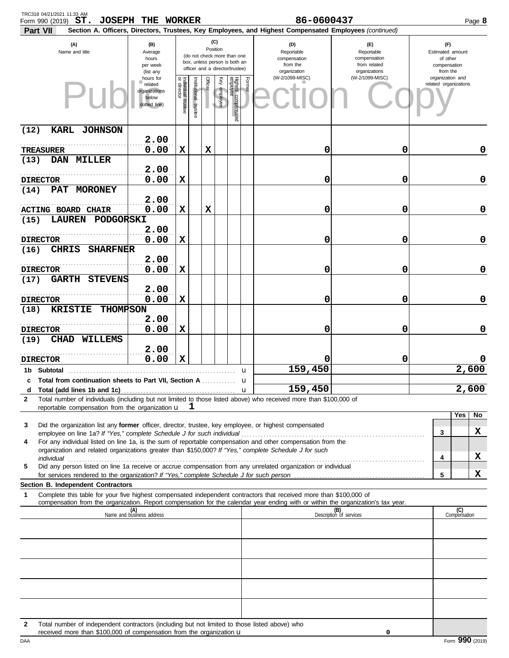| TRC318 04/21/2021 11:33 AM<br>Form 990 (2019) $ST.$                                                                                                                                                                                                                                                                                                                   | <b>JOSEPH THE WORKER</b>                                                    |                                   |                      |                 |                                                                                                 |                                 |                                                               | 86-0600437                                                                                             |                                                                 |                                           | Page 8       |
|-----------------------------------------------------------------------------------------------------------------------------------------------------------------------------------------------------------------------------------------------------------------------------------------------------------------------------------------------------------------------|-----------------------------------------------------------------------------|-----------------------------------|----------------------|-----------------|-------------------------------------------------------------------------------------------------|---------------------------------|---------------------------------------------------------------|--------------------------------------------------------------------------------------------------------|-----------------------------------------------------------------|-------------------------------------------|--------------|
| Part VII                                                                                                                                                                                                                                                                                                                                                              |                                                                             |                                   |                      |                 |                                                                                                 |                                 |                                                               | Section A. Officers, Directors, Trustees, Key Employees, and Highest Compensated Employees (continued) |                                                                 |                                           |              |
| (A)<br>Name and title                                                                                                                                                                                                                                                                                                                                                 |                                                                             |                                   |                      | (C)<br>Position | (do not check more than one<br>box, unless person is both an<br>officer and a director/trustee) |                                 | (D)<br>Reportable<br>compensation<br>from the<br>organization | (E)<br>Reportable<br>compensation<br>from related<br>organizations                                     | (F)<br>Estimated amount<br>of other<br>compensation<br>from the |                                           |              |
|                                                                                                                                                                                                                                                                                                                                                                       | (list any<br>hours for<br>related<br>organizations<br>below<br>dotted line) | Individual trustee<br>or director | nstitutional trustee | <b>Officer</b>  | Ķey<br>employee                                                                                 | Highest compensated<br>employee | Former                                                        | (W-2/1099-MISC)                                                                                        | (W-2/1099-MISC)                                                 | organization and<br>related organizations |              |
| KARL JOHNSON<br>(12)                                                                                                                                                                                                                                                                                                                                                  |                                                                             |                                   |                      |                 |                                                                                                 |                                 |                                                               |                                                                                                        |                                                                 |                                           |              |
|                                                                                                                                                                                                                                                                                                                                                                       | 2.00                                                                        |                                   |                      |                 |                                                                                                 |                                 |                                                               |                                                                                                        | 0                                                               |                                           | 0            |
| TREASURER<br>DAN MILLER<br>(13)                                                                                                                                                                                                                                                                                                                                       | 0.00                                                                        | х                                 |                      | х               |                                                                                                 |                                 |                                                               | 0                                                                                                      |                                                                 |                                           |              |
| <b>DIRECTOR</b>                                                                                                                                                                                                                                                                                                                                                       | 2.00<br>0.00                                                                | х                                 |                      |                 |                                                                                                 |                                 |                                                               | 0                                                                                                      | 0                                                               |                                           | 0            |
| PAT<br><b>MORONEY</b><br>(14)                                                                                                                                                                                                                                                                                                                                         |                                                                             |                                   |                      |                 |                                                                                                 |                                 |                                                               |                                                                                                        |                                                                 |                                           |              |
|                                                                                                                                                                                                                                                                                                                                                                       | 2.00                                                                        |                                   |                      |                 |                                                                                                 |                                 |                                                               |                                                                                                        |                                                                 |                                           |              |
| <b>ACTING BOARD CHAIR</b><br><b>LAUREN</b>                                                                                                                                                                                                                                                                                                                            | 0.00                                                                        | х                                 |                      | х               |                                                                                                 |                                 |                                                               | 0                                                                                                      | 0                                                               |                                           | 0            |
| <b>PODGORSKI</b><br>(15)                                                                                                                                                                                                                                                                                                                                              | 2.00                                                                        |                                   |                      |                 |                                                                                                 |                                 |                                                               |                                                                                                        |                                                                 |                                           |              |
| <b>DIRECTOR</b>                                                                                                                                                                                                                                                                                                                                                       | 0.00                                                                        | X                                 |                      |                 |                                                                                                 |                                 |                                                               | 0                                                                                                      | 0                                                               |                                           | 0            |
| <b>SHARFNER</b><br><b>CHRIS</b><br>(16)                                                                                                                                                                                                                                                                                                                               |                                                                             |                                   |                      |                 |                                                                                                 |                                 |                                                               |                                                                                                        |                                                                 |                                           |              |
| <b>DIRECTOR</b>                                                                                                                                                                                                                                                                                                                                                       | 2.00<br>0.00                                                                | х                                 |                      |                 |                                                                                                 |                                 |                                                               | 0                                                                                                      | 0                                                               |                                           | 0            |
| <b>STEVENS</b><br><b>GARTH</b><br>(17)                                                                                                                                                                                                                                                                                                                                |                                                                             |                                   |                      |                 |                                                                                                 |                                 |                                                               |                                                                                                        |                                                                 |                                           |              |
|                                                                                                                                                                                                                                                                                                                                                                       | 2.00                                                                        |                                   |                      |                 |                                                                                                 |                                 |                                                               |                                                                                                        |                                                                 |                                           |              |
| <b>DIRECTOR</b><br><b>KRISTIE</b>                                                                                                                                                                                                                                                                                                                                     | 0.00                                                                        | X                                 |                      |                 |                                                                                                 |                                 |                                                               | 0                                                                                                      | 0                                                               |                                           | 0            |
| (18)                                                                                                                                                                                                                                                                                                                                                                  | <b>THOMPSON</b><br>2.00                                                     |                                   |                      |                 |                                                                                                 |                                 |                                                               |                                                                                                        |                                                                 |                                           |              |
| <b>DIRECTOR</b>                                                                                                                                                                                                                                                                                                                                                       | 0.00                                                                        | X                                 |                      |                 |                                                                                                 |                                 |                                                               | 0                                                                                                      | 0                                                               |                                           | 0            |
| CHAD WILLEMS<br>(19)                                                                                                                                                                                                                                                                                                                                                  |                                                                             |                                   |                      |                 |                                                                                                 |                                 |                                                               |                                                                                                        |                                                                 |                                           |              |
| <b>DIRECTOR</b>                                                                                                                                                                                                                                                                                                                                                       | 2.00<br>0.00                                                                | X                                 |                      |                 |                                                                                                 |                                 |                                                               |                                                                                                        | 0                                                               |                                           |              |
| 1b Subtotal                                                                                                                                                                                                                                                                                                                                                           |                                                                             |                                   |                      |                 |                                                                                                 |                                 | u                                                             | 159,450                                                                                                |                                                                 |                                           | 2,600        |
| c Total from continuation sheets to Part VII. Section A                                                                                                                                                                                                                                                                                                               |                                                                             |                                   |                      |                 |                                                                                                 |                                 | u                                                             |                                                                                                        |                                                                 |                                           |              |
| d                                                                                                                                                                                                                                                                                                                                                                     |                                                                             |                                   |                      |                 |                                                                                                 |                                 |                                                               | 159,450                                                                                                |                                                                 |                                           | 2,600        |
| Total number of individuals (including but not limited to those listed above) who received more than \$100,000 of<br>2<br>reportable compensation from the organization u                                                                                                                                                                                             |                                                                             |                                   | ┸                    |                 |                                                                                                 |                                 |                                                               |                                                                                                        |                                                                 |                                           |              |
|                                                                                                                                                                                                                                                                                                                                                                       |                                                                             |                                   |                      |                 |                                                                                                 |                                 |                                                               |                                                                                                        |                                                                 |                                           | Yes<br>No    |
| Did the organization list any former officer, director, trustee, key employee, or highest compensated<br>3<br>employee on line 1a? If "Yes," complete Schedule J for such individual [1] [1] contain the success contained the figure of the schedule J for such individual [1] [1] [1] [1] $\sigma$ and $\sigma$ and $\sigma$ and $\sigma$ and $\sigma$ and $\sigma$ |                                                                             |                                   |                      |                 |                                                                                                 |                                 |                                                               |                                                                                                        |                                                                 | 3                                         | x            |
| For any individual listed on line 1a, is the sum of reportable compensation and other compensation from the<br>4<br>organization and related organizations greater than \$150,000? If "Yes," complete Schedule J for such                                                                                                                                             |                                                                             |                                   |                      |                 |                                                                                                 |                                 |                                                               |                                                                                                        |                                                                 |                                           |              |
| individual with a construction of the construction of the construction of the construction of the construction of the construction of the construction of the construction of the construction of the construction of the cons                                                                                                                                        |                                                                             |                                   |                      |                 |                                                                                                 |                                 |                                                               |                                                                                                        |                                                                 | 4                                         | X            |
| Did any person listed on line 1a receive or accrue compensation from any unrelated organization or individual<br>5                                                                                                                                                                                                                                                    |                                                                             |                                   |                      |                 |                                                                                                 |                                 |                                                               |                                                                                                        |                                                                 | 5                                         | X            |
| Section B. Independent Contractors                                                                                                                                                                                                                                                                                                                                    |                                                                             |                                   |                      |                 |                                                                                                 |                                 |                                                               |                                                                                                        |                                                                 |                                           |              |
| Complete this table for your five highest compensated independent contractors that received more than \$100,000 of<br>1                                                                                                                                                                                                                                               |                                                                             |                                   |                      |                 |                                                                                                 |                                 |                                                               |                                                                                                        |                                                                 |                                           |              |
| compensation from the organization. Report compensation for the calendar year ending with or within the organization's tax year.                                                                                                                                                                                                                                      | (A)<br>Name and business address                                            |                                   |                      |                 |                                                                                                 |                                 |                                                               |                                                                                                        | (B)<br>Description of services                                  |                                           | (C)          |
|                                                                                                                                                                                                                                                                                                                                                                       |                                                                             |                                   |                      |                 |                                                                                                 |                                 |                                                               |                                                                                                        |                                                                 |                                           | Compensation |
|                                                                                                                                                                                                                                                                                                                                                                       |                                                                             |                                   |                      |                 |                                                                                                 |                                 |                                                               |                                                                                                        |                                                                 |                                           |              |
|                                                                                                                                                                                                                                                                                                                                                                       |                                                                             |                                   |                      |                 |                                                                                                 |                                 |                                                               |                                                                                                        |                                                                 |                                           |              |
|                                                                                                                                                                                                                                                                                                                                                                       |                                                                             |                                   |                      |                 |                                                                                                 |                                 |                                                               |                                                                                                        |                                                                 |                                           |              |
|                                                                                                                                                                                                                                                                                                                                                                       |                                                                             |                                   |                      |                 |                                                                                                 |                                 |                                                               |                                                                                                        |                                                                 |                                           |              |
|                                                                                                                                                                                                                                                                                                                                                                       |                                                                             |                                   |                      |                 |                                                                                                 |                                 |                                                               |                                                                                                        |                                                                 |                                           |              |
|                                                                                                                                                                                                                                                                                                                                                                       |                                                                             |                                   |                      |                 |                                                                                                 |                                 |                                                               |                                                                                                        |                                                                 |                                           |              |
|                                                                                                                                                                                                                                                                                                                                                                       |                                                                             |                                   |                      |                 |                                                                                                 |                                 |                                                               |                                                                                                        |                                                                 |                                           |              |
| Total number of independent contractors (including but not limited to those listed above) who<br>$\mathbf{2}$<br>received more than \$100,000 of compensation from the organization u                                                                                                                                                                                 |                                                                             |                                   |                      |                 |                                                                                                 |                                 |                                                               |                                                                                                        | 0                                                               |                                           |              |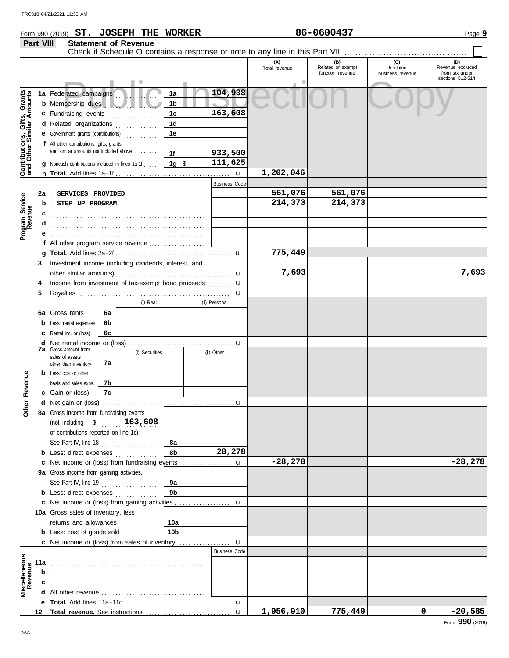|                                                                  | Part VIII       |                                                              | <b>Statement of Revenue</b><br>Check if Schedule O contains a response or note to any line in this Part VIII |                 |                      |                      |                                                |                                      |                                           |
|------------------------------------------------------------------|-----------------|--------------------------------------------------------------|--------------------------------------------------------------------------------------------------------------|-----------------|----------------------|----------------------|------------------------------------------------|--------------------------------------|-------------------------------------------|
|                                                                  |                 |                                                              |                                                                                                              |                 |                      | (A)<br>Total revenue | $(B)$<br>Related or exempt<br>function revenue | (C)<br>Unrelated<br>business revenue | (D)<br>Revenue excluded<br>from tax under |
|                                                                  |                 |                                                              |                                                                                                              |                 |                      |                      |                                                |                                      | sections 512-514                          |
| <b>Contributions, Gifts, Grants</b><br>and Other Similar Amounts |                 | 1a Federated campaigns<br><b>b</b> Membership dues           |                                                                                                              | 1a<br>1b        | 104,938              |                      |                                                |                                      |                                           |
|                                                                  |                 | c Fundraising events                                         |                                                                                                              | 1c              | 163,608              |                      |                                                |                                      |                                           |
|                                                                  |                 | d Related organizations                                      | .<br>.                                                                                                       | 1 <sub>d</sub>  |                      |                      |                                                |                                      |                                           |
|                                                                  |                 |                                                              | e Government grants (contributions)                                                                          | 1e              |                      |                      |                                                |                                      |                                           |
|                                                                  |                 | f All other contributions, gifts, grants,                    |                                                                                                              |                 |                      |                      |                                                |                                      |                                           |
|                                                                  |                 |                                                              | and similar amounts not included above                                                                       | 1f              | 933,500              |                      |                                                |                                      |                                           |
|                                                                  |                 |                                                              | <b>g</b> Noncash contributions included in lines 1a-1f                                                       | 1g $\sqrt{ }$   | 111,625              |                      |                                                |                                      |                                           |
|                                                                  |                 |                                                              |                                                                                                              |                 |                      | 1,202,046            |                                                |                                      |                                           |
|                                                                  |                 |                                                              |                                                                                                              |                 | <b>Business Code</b> |                      |                                                |                                      |                                           |
|                                                                  | 2a              | SERVICES PROVIDED                                            |                                                                                                              |                 |                      | 561,076              | 561,076                                        |                                      |                                           |
|                                                                  | b               | STEP UP PROGRAM                                              |                                                                                                              |                 |                      | 214,373              | 214,373                                        |                                      |                                           |
| Program Service<br>Revenue                                       | c               |                                                              |                                                                                                              |                 |                      |                      |                                                |                                      |                                           |
|                                                                  | d               |                                                              |                                                                                                              |                 |                      |                      |                                                |                                      |                                           |
|                                                                  | е               |                                                              |                                                                                                              |                 |                      |                      |                                                |                                      |                                           |
|                                                                  |                 |                                                              |                                                                                                              |                 | $\mathbf u$          | 775,449              |                                                |                                      |                                           |
|                                                                  | 3               |                                                              | Investment income (including dividends, interest, and                                                        |                 |                      |                      |                                                |                                      |                                           |
|                                                                  |                 |                                                              |                                                                                                              |                 | $\mathbf u$          | 7,693                |                                                |                                      | 7,693                                     |
|                                                                  | 4               |                                                              | Income from investment of tax-exempt bond proceeds                                                           |                 | u                    |                      |                                                |                                      |                                           |
|                                                                  | 5               |                                                              |                                                                                                              |                 | u                    |                      |                                                |                                      |                                           |
|                                                                  |                 |                                                              | (i) Real                                                                                                     |                 | (ii) Personal        |                      |                                                |                                      |                                           |
|                                                                  |                 | 6a Gross rents                                               | 6а                                                                                                           |                 |                      |                      |                                                |                                      |                                           |
|                                                                  | b               | Less: rental expenses                                        | 6b                                                                                                           |                 |                      |                      |                                                |                                      |                                           |
|                                                                  |                 | C Rental inc. or (loss)                                      | 6с                                                                                                           |                 |                      |                      |                                                |                                      |                                           |
|                                                                  |                 | <b>7a</b> Gross amount from                                  |                                                                                                              |                 | u                    |                      |                                                |                                      |                                           |
|                                                                  |                 | sales of assets                                              | (i) Securities                                                                                               |                 | (ii) Other           |                      |                                                |                                      |                                           |
|                                                                  |                 | other than inventory                                         | 7а                                                                                                           |                 |                      |                      |                                                |                                      |                                           |
|                                                                  |                 | <b>b</b> Less: cost or other<br>basis and sales exps.        | 7b                                                                                                           |                 |                      |                      |                                                |                                      |                                           |
| Revenue                                                          |                 | c Gain or (loss)                                             | 7с                                                                                                           |                 |                      |                      |                                                |                                      |                                           |
|                                                                  |                 |                                                              |                                                                                                              |                 | u                    |                      |                                                |                                      |                                           |
| ther                                                             |                 | 8a Gross income from fundraising events                      |                                                                                                              |                 |                      |                      |                                                |                                      |                                           |
|                                                                  |                 | (not including \$                                            | 163,608                                                                                                      |                 |                      |                      |                                                |                                      |                                           |
|                                                                  |                 | of contributions reported on line 1c).                       |                                                                                                              |                 |                      |                      |                                                |                                      |                                           |
|                                                                  |                 | See Part IV, line 18                                         | .                                                                                                            | 8а              |                      |                      |                                                |                                      |                                           |
|                                                                  |                 |                                                              | <b>b</b> Less: direct expenses                                                                               | 8b              | 28,278               |                      |                                                |                                      |                                           |
|                                                                  |                 |                                                              | c Net income or (loss) from fundraising events                                                               |                 | u                    | $-28,278$            |                                                |                                      | $-28,278$                                 |
|                                                                  |                 | 9a Gross income from gaming activities.                      |                                                                                                              |                 |                      |                      |                                                |                                      |                                           |
|                                                                  |                 | See Part IV, line 19                                         | .                                                                                                            | 9a              |                      |                      |                                                |                                      |                                           |
|                                                                  |                 |                                                              | <b>b</b> Less: direct expenses <i>minimum</i>                                                                | 9 <sub>b</sub>  |                      |                      |                                                |                                      |                                           |
|                                                                  |                 |                                                              |                                                                                                              |                 | u                    |                      |                                                |                                      |                                           |
|                                                                  |                 | 10a Gross sales of inventory, less<br>returns and allowances |                                                                                                              | 10a             |                      |                      |                                                |                                      |                                           |
|                                                                  |                 | <b>b</b> Less: cost of goods sold                            | .                                                                                                            | 10 <sub>b</sub> |                      |                      |                                                |                                      |                                           |
|                                                                  |                 |                                                              |                                                                                                              |                 | $\mathbf u$          |                      |                                                |                                      |                                           |
|                                                                  |                 |                                                              |                                                                                                              |                 | <b>Business Code</b> |                      |                                                |                                      |                                           |
|                                                                  | 11a             |                                                              |                                                                                                              |                 |                      |                      |                                                |                                      |                                           |
|                                                                  | b               |                                                              |                                                                                                              |                 |                      |                      |                                                |                                      |                                           |
| Miscellaneous<br>Revenue                                         |                 |                                                              |                                                                                                              |                 |                      |                      |                                                |                                      |                                           |
|                                                                  | d               |                                                              |                                                                                                              |                 |                      |                      |                                                |                                      |                                           |
|                                                                  |                 |                                                              |                                                                                                              |                 |                      |                      |                                                |                                      |                                           |
|                                                                  | 12 <sub>2</sub> |                                                              |                                                                                                              |                 | $\mathbf{u}$         | 1,956,910            | 775,449                                        | 0                                    | $-20,585$                                 |

Form 990 (2019) Page **9 ST. JOSEPH THE WORKER 86-0600437**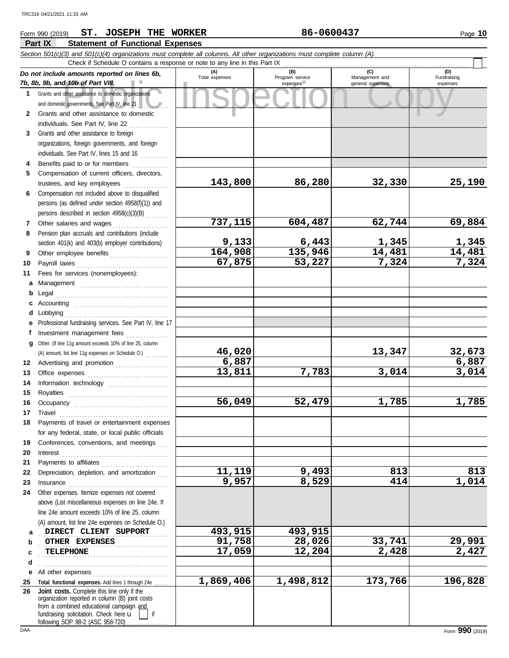## Form 990 (2019) Page **10 ST. JOSEPH THE WORKER 86-0600437 Part IX Statement of Functional Expenses** *Section 501(c)(3) and 501(c)(4) organizations must complete all columns. All other organizations must complete column (A).* Check if Schedule O contains a response or note to any line in this Part IX *Do not include amounts reported on lines 6b,* ┱ **(A) (B) (C) (D)** Total expenses Program service Management and Fundraising *7b, 8b, 9b, and 10b of Part VIII.* expenses and a general expenses expenses

|              | DO HOL INCIDUE ANNOUNTS LEPOLIEU ON INTES OD,<br>7b, 8b, 9b, and 10b of Part VIII.             | Total expenses  | Program service<br>expenses | Management and<br>general expenses | Fundraising<br>expenses |
|--------------|------------------------------------------------------------------------------------------------|-----------------|-----------------------------|------------------------------------|-------------------------|
|              | 1 Grants and other assistance to domestic organizations                                        |                 |                             |                                    |                         |
|              | and domestic governments. See Part IV, line 21                                                 |                 |                             |                                    |                         |
| $\mathbf{2}$ | Grants and other assistance to domestic                                                        |                 |                             |                                    |                         |
|              | individuals. See Part IV, line 22                                                              |                 |                             |                                    |                         |
| 3            | Grants and other assistance to foreign                                                         |                 |                             |                                    |                         |
|              | organizations, foreign governments, and foreign                                                |                 |                             |                                    |                         |
|              | individuals. See Part IV, lines 15 and 16                                                      |                 |                             |                                    |                         |
| 4            | Benefits paid to or for members                                                                |                 |                             |                                    |                         |
| 5.           | Compensation of current officers, directors,                                                   |                 |                             |                                    |                         |
|              | trustees, and key employees                                                                    | 143,800         | 86,280                      | 32,330                             | 25,190                  |
| 6            | .<br>Compensation not included above to disqualified                                           |                 |                             |                                    |                         |
|              | persons (as defined under section 4958(f)(1)) and                                              |                 |                             |                                    |                         |
|              | persons described in section 4958(c)(3)(B)                                                     |                 |                             |                                    |                         |
| $\mathbf{7}$ | Other salaries and wages                                                                       | 737,115         | 604,487                     | 62,744                             | 69,884                  |
| 8            | .<br>Pension plan accruals and contributions (include                                          |                 |                             |                                    |                         |
|              | section 401(k) and 403(b) employer contributions)                                              | 9,133           | 6,443                       | 1,345                              | 1,345                   |
| 9            |                                                                                                | 164,908         | 135,946                     | 14,481                             | 14,481                  |
| 10           | Other employee benefits                                                                        | 67,875          | 53,227                      | 7,324                              | 7,324                   |
| 11           | Fees for services (nonemployees):                                                              |                 |                             |                                    |                         |
|              |                                                                                                |                 |                             |                                    |                         |
| a            | Management                                                                                     |                 |                             |                                    |                         |
| b            |                                                                                                |                 |                             |                                    |                         |
| c            |                                                                                                |                 |                             |                                    |                         |
| d            |                                                                                                |                 |                             |                                    |                         |
| е            | Professional fundraising services. See Part IV, line 17                                        |                 |                             |                                    |                         |
| f            | Investment management fees                                                                     |                 |                             |                                    |                         |
| a            | Other. (If line 11g amount exceeds 10% of line 25, column                                      | 46,020          |                             | 13,347                             | 32,673                  |
|              | (A) amount, list line 11g expenses on Schedule O.)                                             | 6,887           |                             |                                    | 6,887                   |
| 12           | Advertising and promotion                                                                      | 13,811          | 7,783                       | 3,014                              | 3,014                   |
| 13           |                                                                                                |                 |                             |                                    |                         |
| 14           | Information technology                                                                         |                 |                             |                                    |                         |
| 15           |                                                                                                | 56,049          | 52,479                      | 1,785                              | 1,785                   |
| 16           |                                                                                                |                 |                             |                                    |                         |
| 17           | Travel                                                                                         |                 |                             |                                    |                         |
| 18           | Payments of travel or entertainment expenses                                                   |                 |                             |                                    |                         |
|              | for any federal, state, or local public officials                                              |                 |                             |                                    |                         |
| 19           | Conferences, conventions, and meetings                                                         |                 |                             |                                    |                         |
| 20           | Interest                                                                                       |                 |                             |                                    |                         |
| 21           | Payments to affiliates                                                                         |                 |                             |                                    |                         |
| 22           | Depreciation, depletion, and amortization                                                      | 11,119<br>9,957 | 9,493<br>8,529              | 813<br>414                         | 813                     |
| 23           | Insurance                                                                                      |                 |                             |                                    | 1,014                   |
| 24           | Other expenses. Itemize expenses not covered                                                   |                 |                             |                                    |                         |
|              | above (List miscellaneous expenses on line 24e. If                                             |                 |                             |                                    |                         |
|              | line 24e amount exceeds 10% of line 25, column                                                 |                 |                             |                                    |                         |
|              | (A) amount, list line 24e expenses on Schedule O.)                                             |                 |                             |                                    |                         |
| a            | DIRECT CLIENT SUPPORT                                                                          | 493,915         | 493,915                     |                                    |                         |
| b            | OTHER EXPENSES                                                                                 | 91,758          | 28,026                      | 33,741                             | 29,991                  |
| c            | <b>TELEPHONE</b>                                                                               | 17,059          | 12,204                      | 2,428                              | 2,427                   |
| d            |                                                                                                |                 |                             |                                    |                         |
| е            | All other expenses                                                                             |                 |                             |                                    |                         |
| 25           | Total functional expenses. Add lines 1 through 24e                                             | 1,869,406       | 1,498,812                   | 173,766                            | 196,828                 |
| 26           | Joint costs. Complete this line only if the<br>organization reported in column (B) joint costs |                 |                             |                                    |                         |
|              | from a combined educational campaign and                                                       |                 |                             |                                    |                         |
|              | fundraising solicitation. Check here u<br>if                                                   |                 |                             |                                    |                         |
|              | following SOP 98-2 (ASC 958-720)                                                               |                 |                             |                                    |                         |
| DAA          |                                                                                                |                 |                             |                                    | Form 990 (2019)         |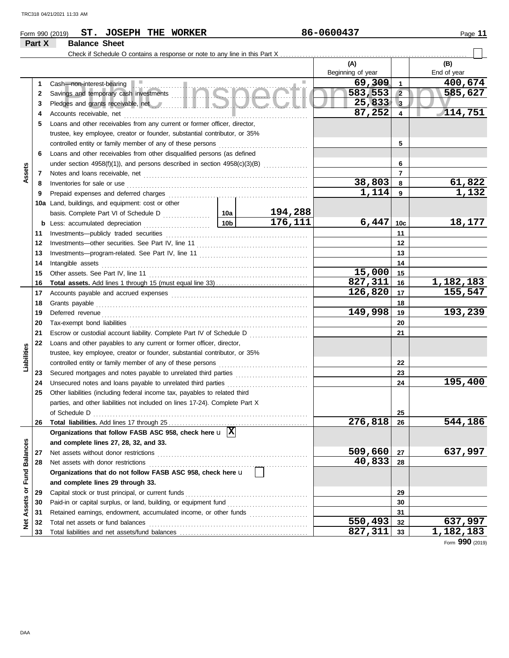|                      |        | ST. JOSEPH THE WORKER<br>Form 990 (2019)                                                                                                                                                                                             |         | 86-0600437        |                         | Page 11     |
|----------------------|--------|--------------------------------------------------------------------------------------------------------------------------------------------------------------------------------------------------------------------------------------|---------|-------------------|-------------------------|-------------|
|                      | Part X | <b>Balance Sheet</b>                                                                                                                                                                                                                 |         |                   |                         |             |
|                      |        |                                                                                                                                                                                                                                      |         |                   |                         |             |
|                      |        |                                                                                                                                                                                                                                      |         | (A)               |                         | (B)         |
|                      |        |                                                                                                                                                                                                                                      |         | Beginning of year |                         | End of year |
|                      | 1      | Cash—non-interest-bearing<br>Savings and temporary cash investments                                                                                                                                                                  |         | 69,309            | $\overline{\mathbf{1}}$ | 400,674     |
|                      | 2      |                                                                                                                                                                                                                                      |         | 583,553           | $\sqrt{2}$              | 585,627     |
|                      | 3      | Pledges and grants receivable, net <b>with an article and several properties</b>                                                                                                                                                     |         | 25,833<br>87,252  | $\mathbf{3}$            | 114,751     |
|                      | 4      |                                                                                                                                                                                                                                      |         |                   | 4                       |             |
|                      | 5      | Loans and other receivables from any current or former officer, director,                                                                                                                                                            |         |                   |                         |             |
|                      |        | trustee, key employee, creator or founder, substantial contributor, or 35%                                                                                                                                                           |         |                   | 5                       |             |
|                      | 6      | Loans and other receivables from other disqualified persons (as defined                                                                                                                                                              |         |                   |                         |             |
|                      |        | under section 4958(f)(1)), and persons described in section 4958(c)(3)(B)                                                                                                                                                            |         |                   | 6                       |             |
| Assets               | 7      |                                                                                                                                                                                                                                      |         |                   | $\overline{7}$          |             |
|                      | 8      |                                                                                                                                                                                                                                      |         | 38,803            | - 8                     | 61,822      |
|                      | 9      |                                                                                                                                                                                                                                      |         | 1,114             | 9                       | 1,132       |
|                      |        | 10a Land, buildings, and equipment: cost or other                                                                                                                                                                                    |         |                   |                         |             |
|                      |        |                                                                                                                                                                                                                                      | 194,288 |                   |                         |             |
|                      |        |                                                                                                                                                                                                                                      | 176,111 | 6,447             | 10 <sub>c</sub>         | 18,177      |
|                      | 11     |                                                                                                                                                                                                                                      |         |                   | 11                      |             |
|                      | 12     |                                                                                                                                                                                                                                      |         |                   | 12                      |             |
|                      | 13     |                                                                                                                                                                                                                                      |         | 13                |                         |             |
|                      | 14     |                                                                                                                                                                                                                                      |         | 14                |                         |             |
|                      | 15     |                                                                                                                                                                                                                                      |         | 15,000            | 15                      |             |
|                      | 16     |                                                                                                                                                                                                                                      |         | 827,311           | 16                      | 1,182,183   |
|                      | 17     |                                                                                                                                                                                                                                      |         | 126,820           | 17                      | 155,547     |
|                      | 18     |                                                                                                                                                                                                                                      |         |                   | 18                      |             |
|                      | 19     | Deferred revenue <b>contract and the contract of the contract of the contract of the contract of the contract of the contract of the contract of the contract of the contract of the contract of the contract of the contract of</b> |         | 149,998           | 19                      | 193,239     |
|                      | 20     |                                                                                                                                                                                                                                      |         |                   | 20                      |             |
|                      | 21     | Escrow or custodial account liability. Complete Part IV of Schedule D                                                                                                                                                                |         |                   | 21                      |             |
|                      | 22     | Loans and other payables to any current or former officer, director,                                                                                                                                                                 |         |                   |                         |             |
| Liabilities          |        | trustee, key employee, creator or founder, substantial contributor, or 35%                                                                                                                                                           |         |                   |                         |             |
|                      |        |                                                                                                                                                                                                                                      |         |                   | 22                      |             |
|                      | 23     |                                                                                                                                                                                                                                      |         |                   | 23                      |             |
|                      | 24     |                                                                                                                                                                                                                                      |         |                   | 24                      | 195,400     |
|                      | 25     | Other liabilities (including federal income tax, payables to related third                                                                                                                                                           |         |                   |                         |             |
|                      |        | parties, and other liabilities not included on lines 17-24). Complete Part X                                                                                                                                                         |         |                   |                         |             |
|                      |        | of Schedule D                                                                                                                                                                                                                        |         | 276,818           | 25                      | 544,186     |
|                      | 26     | Organizations that follow FASB ASC 958, check here $\mathbf{u}$ $\overline{X}$                                                                                                                                                       |         |                   | 26                      |             |
|                      |        | and complete lines 27, 28, 32, and 33.                                                                                                                                                                                               |         |                   |                         |             |
| <b>Fund Balances</b> | 27     |                                                                                                                                                                                                                                      |         | 509,660           | 27                      | 637,997     |
|                      | 28     | Net assets with donor restrictions                                                                                                                                                                                                   |         | 40,833            | 28                      |             |
|                      |        | Organizations that do not follow FASB ASC 958, check here u                                                                                                                                                                          |         |                   |                         |             |
|                      |        | and complete lines 29 through 33.                                                                                                                                                                                                    |         |                   |                         |             |
|                      | 29     | Capital stock or trust principal, or current funds                                                                                                                                                                                   |         |                   | 29                      |             |
|                      | 30     | Paid-in or capital surplus, or land, building, or equipment fund                                                                                                                                                                     |         |                   | 30                      |             |
| Assets or            | 31     | Retained earnings, endowment, accumulated income, or other funds                                                                                                                                                                     |         |                   | 31                      |             |
| ğ                    | 32     |                                                                                                                                                                                                                                      |         | 550,493           | 32                      | 637,997     |
|                      |        |                                                                                                                                                                                                                                      |         |                   |                         |             |

Total liabilities and net assets/fund balances . . . . . . . . . . . . . . . . . . . . . . . . . . . . . . . . . . . . . . . . . . . . . .

 $\overline{827,311}$  33

**33**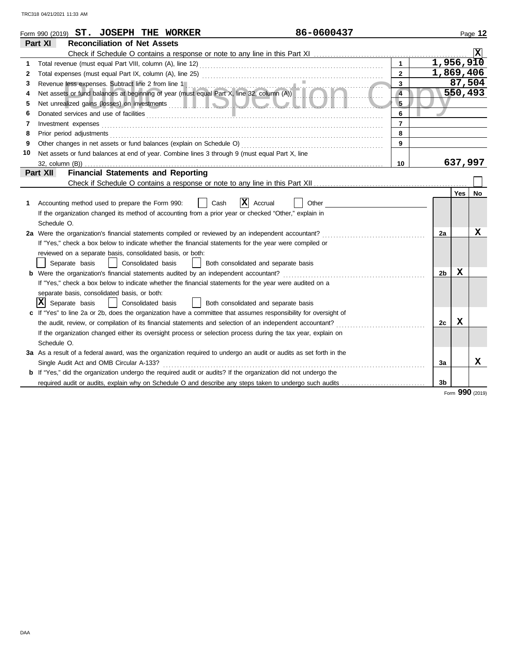|    | 86-0600437<br>Form 990 (2019) ST. JOSEPH THE WORKER                                                                                             |                |                |         | Page 12 |
|----|-------------------------------------------------------------------------------------------------------------------------------------------------|----------------|----------------|---------|---------|
|    | Part XI<br><b>Reconciliation of Net Assets</b>                                                                                                  |                |                |         |         |
|    |                                                                                                                                                 |                |                |         |         |
| 1  |                                                                                                                                                 | $\mathbf{1}$   | 1,956,910      |         |         |
| 2  |                                                                                                                                                 | $\mathbf{2}$   | 1,869,406      |         |         |
| 3  |                                                                                                                                                 | $\mathbf{3}$   |                |         | 87,504  |
| 4  | Revenue less expenses. Subtract line 2 from line 1<br>Net assets or fund balances at beginning of year (must equal Part X, line 32, column (A)) | $\overline{4}$ |                |         | 550,493 |
| 5  |                                                                                                                                                 | 5              |                |         |         |
| 6  | Donated services and use of facilities <b>constructed in the construction</b> of the services and use of facilities                             | 6              |                |         |         |
| 7  | Investment expenses                                                                                                                             | $\overline{7}$ |                |         |         |
| 8  | Prior period adjustments <b>construction and construction</b> and and anti-                                                                     | 8              |                |         |         |
| 9  |                                                                                                                                                 | $\mathbf{9}$   |                |         |         |
| 10 | Net assets or fund balances at end of year. Combine lines 3 through 9 (must equal Part X, line                                                  |                |                |         |         |
|    |                                                                                                                                                 | 10             |                | 637,997 |         |
|    | <b>Financial Statements and Reporting</b><br>Part XII                                                                                           |                |                |         |         |
|    |                                                                                                                                                 |                |                |         |         |
|    |                                                                                                                                                 |                |                | Yes     | No      |
| 1. | ΙXΙ<br>Accounting method used to prepare the Form 990:<br>Other<br>Cash<br>Accrual                                                              |                |                |         |         |
|    | If the organization changed its method of accounting from a prior year or checked "Other," explain in                                           |                |                |         |         |
|    | Schedule O.                                                                                                                                     |                |                |         |         |
|    | 2a Were the organization's financial statements compiled or reviewed by an independent accountant?                                              |                | 2a             |         | x       |
|    | If "Yes," check a box below to indicate whether the financial statements for the year were compiled or                                          |                |                |         |         |
|    | reviewed on a separate basis, consolidated basis, or both:                                                                                      |                |                |         |         |
|    | Separate basis<br>Consolidated basis<br>Both consolidated and separate basis                                                                    |                |                |         |         |
|    | <b>b</b> Were the organization's financial statements audited by an independent accountant?                                                     |                | 2 <sub>b</sub> | x       |         |
|    | If "Yes," check a box below to indicate whether the financial statements for the year were audited on a                                         |                |                |         |         |
|    | separate basis, consolidated basis, or both:                                                                                                    |                |                |         |         |
|    | x <br>Separate basis<br>Consolidated basis<br>Both consolidated and separate basis                                                              |                |                |         |         |
|    | c If "Yes" to line 2a or 2b, does the organization have a committee that assumes responsibility for oversight of                                |                |                |         |         |
|    | the audit, review, or compilation of its financial statements and selection of an independent accountant?                                       |                | 2c             | x       |         |
|    | If the organization changed either its oversight process or selection process during the tax year, explain on                                   |                |                |         |         |
|    | Schedule O.                                                                                                                                     |                |                |         |         |
|    | 3a As a result of a federal award, was the organization required to undergo an audit or audits as set forth in the                              |                |                |         |         |
|    | Single Audit Act and OMB Circular A-133?                                                                                                        |                | За             |         | x       |
|    | <b>b</b> If "Yes," did the organization undergo the required audit or audits? If the organization did not undergo the                           |                |                |         |         |
|    | required audit or audits, explain why on Schedule O and describe any steps taken to undergo such audits                                         |                | 3b             |         |         |

Form **990** (2019)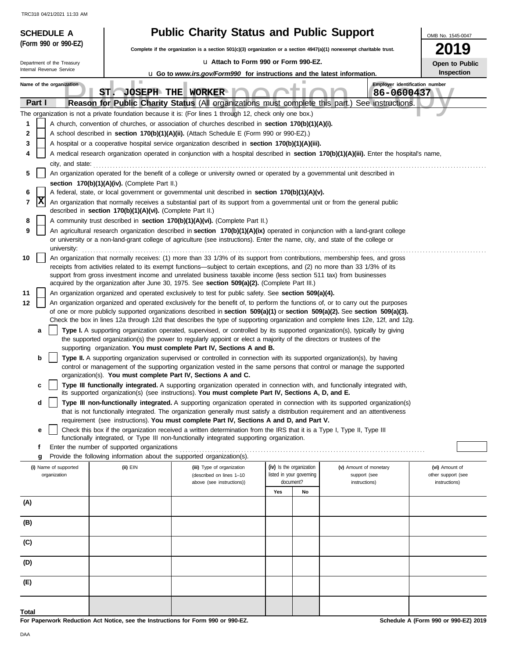| <b>SCHEDULE A</b>                                                                                                         |                                                                                  | <b>Public Charity Status and Public Support</b>                                                                                                                                                                                                                                                                                                                                 |                                                      |                                              |                                      |  |  |  |
|---------------------------------------------------------------------------------------------------------------------------|----------------------------------------------------------------------------------|---------------------------------------------------------------------------------------------------------------------------------------------------------------------------------------------------------------------------------------------------------------------------------------------------------------------------------------------------------------------------------|------------------------------------------------------|----------------------------------------------|--------------------------------------|--|--|--|
| (Form 990 or 990-EZ)                                                                                                      |                                                                                  | Complete if the organization is a section 501(c)(3) organization or a section 4947(a)(1) nonexempt charitable trust.                                                                                                                                                                                                                                                            |                                                      |                                              | 2019                                 |  |  |  |
| Lu Attach to Form 990 or Form 990-EZ.<br>Department of the Treasury                                                       |                                                                                  |                                                                                                                                                                                                                                                                                                                                                                                 |                                                      |                                              | Open to Public                       |  |  |  |
| Internal Revenue Service<br><b>Inspection</b><br>u Go to www.irs.gov/Form990 for instructions and the latest information. |                                                                                  |                                                                                                                                                                                                                                                                                                                                                                                 |                                                      |                                              |                                      |  |  |  |
| Name of the organization                                                                                                  | ST.                                                                              | <b>JOSEPH THE WORKER</b>                                                                                                                                                                                                                                                                                                                                                        |                                                      | Employer identification number<br>86-0600437 |                                      |  |  |  |
| Part I                                                                                                                    |                                                                                  | Reason for Public Charity Status (All organizations must complete this part.) See instructions.                                                                                                                                                                                                                                                                                 |                                                      |                                              |                                      |  |  |  |
|                                                                                                                           |                                                                                  | The organization is not a private foundation because it is: (For lines 1 through 12, check only one box.)                                                                                                                                                                                                                                                                       |                                                      |                                              |                                      |  |  |  |
| 1                                                                                                                         |                                                                                  | A church, convention of churches, or association of churches described in section 170(b)(1)(A)(i).                                                                                                                                                                                                                                                                              |                                                      |                                              |                                      |  |  |  |
| 2<br>3                                                                                                                    |                                                                                  | A school described in <b>section 170(b)(1)(A)(ii).</b> (Attach Schedule E (Form 990 or 990-EZ).)<br>A hospital or a cooperative hospital service organization described in section 170(b)(1)(A)(iii).                                                                                                                                                                           |                                                      |                                              |                                      |  |  |  |
|                                                                                                                           |                                                                                  | A medical research organization operated in conjunction with a hospital described in section 170(b)(1)(A)(iii). Enter the hospital's name,                                                                                                                                                                                                                                      |                                                      |                                              |                                      |  |  |  |
| city, and state:                                                                                                          |                                                                                  |                                                                                                                                                                                                                                                                                                                                                                                 |                                                      |                                              |                                      |  |  |  |
| 5                                                                                                                         |                                                                                  | An organization operated for the benefit of a college or university owned or operated by a governmental unit described in                                                                                                                                                                                                                                                       |                                                      |                                              |                                      |  |  |  |
|                                                                                                                           | section 170(b)(1)(A)(iv). (Complete Part II.)                                    |                                                                                                                                                                                                                                                                                                                                                                                 |                                                      |                                              |                                      |  |  |  |
| 6<br> x                                                                                                                   |                                                                                  | A federal, state, or local government or governmental unit described in section 170(b)(1)(A)(v).                                                                                                                                                                                                                                                                                |                                                      |                                              |                                      |  |  |  |
| 7                                                                                                                         | described in section 170(b)(1)(A)(vi). (Complete Part II.)                       | An organization that normally receives a substantial part of its support from a governmental unit or from the general public                                                                                                                                                                                                                                                    |                                                      |                                              |                                      |  |  |  |
| 8                                                                                                                         |                                                                                  | A community trust described in section 170(b)(1)(A)(vi). (Complete Part II.)                                                                                                                                                                                                                                                                                                    |                                                      |                                              |                                      |  |  |  |
| 9<br>university:                                                                                                          |                                                                                  | An agricultural research organization described in section 170(b)(1)(A)(ix) operated in conjunction with a land-grant college<br>or university or a non-land-grant college of agriculture (see instructions). Enter the name, city, and state of the college or                                                                                                                 |                                                      |                                              |                                      |  |  |  |
| 10                                                                                                                        |                                                                                  | An organization that normally receives: (1) more than 33 1/3% of its support from contributions, membership fees, and gross<br>receipts from activities related to its exempt functions—subject to certain exceptions, and (2) no more than 33 1/3% of its<br>support from gross investment income and unrelated business taxable income (less section 511 tax) from businesses |                                                      |                                              |                                      |  |  |  |
|                                                                                                                           |                                                                                  | acquired by the organization after June 30, 1975. See section 509(a)(2). (Complete Part III.)                                                                                                                                                                                                                                                                                   |                                                      |                                              |                                      |  |  |  |
| 11<br>12                                                                                                                  |                                                                                  | An organization organized and operated exclusively to test for public safety. See section 509(a)(4).<br>An organization organized and operated exclusively for the benefit of, to perform the functions of, or to carry out the purposes                                                                                                                                        |                                                      |                                              |                                      |  |  |  |
|                                                                                                                           |                                                                                  | of one or more publicly supported organizations described in section $509(a)(1)$ or section $509(a)(2)$ . See section $509(a)(3)$ .                                                                                                                                                                                                                                             |                                                      |                                              |                                      |  |  |  |
|                                                                                                                           |                                                                                  | Check the box in lines 12a through 12d that describes the type of supporting organization and complete lines 12e, 12f, and 12g.                                                                                                                                                                                                                                                 |                                                      |                                              |                                      |  |  |  |
| a                                                                                                                         |                                                                                  | Type I. A supporting organization operated, supervised, or controlled by its supported organization(s), typically by giving                                                                                                                                                                                                                                                     |                                                      |                                              |                                      |  |  |  |
|                                                                                                                           |                                                                                  | the supported organization(s) the power to regularly appoint or elect a majority of the directors or trustees of the<br>supporting organization. You must complete Part IV, Sections A and B.                                                                                                                                                                                   |                                                      |                                              |                                      |  |  |  |
| b                                                                                                                         |                                                                                  | Type II. A supporting organization supervised or controlled in connection with its supported organization(s), by having                                                                                                                                                                                                                                                         |                                                      |                                              |                                      |  |  |  |
|                                                                                                                           |                                                                                  | control or management of the supporting organization vested in the same persons that control or manage the supported<br>organization(s). You must complete Part IV, Sections A and C.                                                                                                                                                                                           |                                                      |                                              |                                      |  |  |  |
| c                                                                                                                         |                                                                                  | Type III functionally integrated. A supporting organization operated in connection with, and functionally integrated with,<br>its supported organization(s) (see instructions). You must complete Part IV, Sections A, D, and E.                                                                                                                                                |                                                      |                                              |                                      |  |  |  |
| d                                                                                                                         |                                                                                  | Type III non-functionally integrated. A supporting organization operated in connection with its supported organization(s)                                                                                                                                                                                                                                                       |                                                      |                                              |                                      |  |  |  |
|                                                                                                                           |                                                                                  | that is not functionally integrated. The organization generally must satisfy a distribution requirement and an attentiveness                                                                                                                                                                                                                                                    |                                                      |                                              |                                      |  |  |  |
|                                                                                                                           |                                                                                  | requirement (see instructions). You must complete Part IV, Sections A and D, and Part V.                                                                                                                                                                                                                                                                                        |                                                      |                                              |                                      |  |  |  |
| е                                                                                                                         |                                                                                  | Check this box if the organization received a written determination from the IRS that it is a Type I, Type II, Type III<br>functionally integrated, or Type III non-functionally integrated supporting organization.                                                                                                                                                            |                                                      |                                              |                                      |  |  |  |
| f                                                                                                                         | Enter the number of supported organizations                                      |                                                                                                                                                                                                                                                                                                                                                                                 |                                                      |                                              |                                      |  |  |  |
| g                                                                                                                         | Provide the following information about the supported organization(s).           |                                                                                                                                                                                                                                                                                                                                                                                 |                                                      |                                              |                                      |  |  |  |
| (i) Name of supported<br>organization                                                                                     | (ii) EIN                                                                         | (iii) Type of organization<br>(described on lines 1-10                                                                                                                                                                                                                                                                                                                          | (iv) Is the organization<br>listed in your governing | (v) Amount of monetary<br>support (see       | (vi) Amount of<br>other support (see |  |  |  |
|                                                                                                                           |                                                                                  | above (see instructions))                                                                                                                                                                                                                                                                                                                                                       | document?                                            | instructions)                                | instructions)                        |  |  |  |
|                                                                                                                           |                                                                                  |                                                                                                                                                                                                                                                                                                                                                                                 | Yes<br>No                                            |                                              |                                      |  |  |  |
| (A)                                                                                                                       |                                                                                  |                                                                                                                                                                                                                                                                                                                                                                                 |                                                      |                                              |                                      |  |  |  |
| (B)                                                                                                                       |                                                                                  |                                                                                                                                                                                                                                                                                                                                                                                 |                                                      |                                              |                                      |  |  |  |
| (C)                                                                                                                       |                                                                                  |                                                                                                                                                                                                                                                                                                                                                                                 |                                                      |                                              |                                      |  |  |  |
| (D)                                                                                                                       |                                                                                  |                                                                                                                                                                                                                                                                                                                                                                                 |                                                      |                                              |                                      |  |  |  |
|                                                                                                                           |                                                                                  |                                                                                                                                                                                                                                                                                                                                                                                 |                                                      |                                              |                                      |  |  |  |
| (E)                                                                                                                       |                                                                                  |                                                                                                                                                                                                                                                                                                                                                                                 |                                                      |                                              |                                      |  |  |  |
|                                                                                                                           |                                                                                  |                                                                                                                                                                                                                                                                                                                                                                                 |                                                      |                                              |                                      |  |  |  |
| Total                                                                                                                     | For Paperwork Reduction Act Notice, see the Instructions for Form 990 or 990-EZ. |                                                                                                                                                                                                                                                                                                                                                                                 |                                                      |                                              | Schedule A (Form 990 or 990-EZ) 2019 |  |  |  |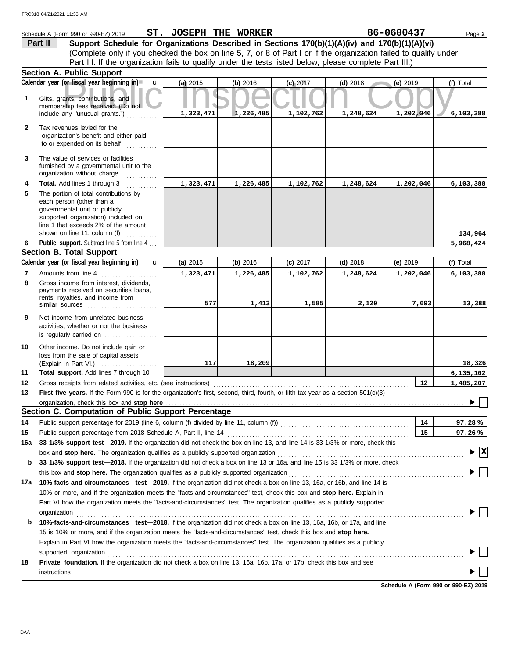|                | Schedule A (Form 990 or 990-EZ) 2019                                                                                                                                                                              | ST. JOSEPH THE WORKER |           |            |            | 86-0600437 | Page 2                                        |
|----------------|-------------------------------------------------------------------------------------------------------------------------------------------------------------------------------------------------------------------|-----------------------|-----------|------------|------------|------------|-----------------------------------------------|
|                | Support Schedule for Organizations Described in Sections 170(b)(1)(A)(iv) and 170(b)(1)(A)(vi)<br>Part II                                                                                                         |                       |           |            |            |            |                                               |
|                | (Complete only if you checked the box on line 5, 7, or 8 of Part I or if the organization failed to qualify under                                                                                                 |                       |           |            |            |            |                                               |
|                | Part III. If the organization fails to qualify under the tests listed below, please complete Part III.)                                                                                                           |                       |           |            |            |            |                                               |
|                | <b>Section A. Public Support</b>                                                                                                                                                                                  |                       |           |            |            |            |                                               |
|                | Calendar year (or fiscal year beginning in)<br>$\mathbf{u}$                                                                                                                                                       | (a) 2015              | (b) 2016  | $(c)$ 2017 | $(d)$ 2018 | (e) 2019   | (f) Total                                     |
| 1              | Gifts, grants, contributions, and<br>membership fees received. (Do not                                                                                                                                            |                       |           |            |            |            |                                               |
|                | include any "unusual grants.")                                                                                                                                                                                    | 1,323,471             | 1,226,485 | 1,102,762  | 1,248,624  | 1,202,046  | 6,103,388                                     |
| $\mathbf{2}$   | Tax revenues levied for the<br>organization's benefit and either paid<br>to or expended on its behalf                                                                                                             |                       |           |            |            |            |                                               |
| 3              | The value of services or facilities<br>furnished by a governmental unit to the<br>organization without charge                                                                                                     |                       |           |            |            |            |                                               |
| 4              | Total. Add lines 1 through 3                                                                                                                                                                                      | 1,323,471             | 1,226,485 | 1,102,762  | 1,248,624  | 1,202,046  | 6,103,388                                     |
| 5              | The portion of total contributions by<br>each person (other than a<br>governmental unit or publicly<br>supported organization) included on<br>line 1 that exceeds 2% of the amount                                |                       |           |            |            |            |                                               |
|                | shown on line 11, column (f)<br>.                                                                                                                                                                                 |                       |           |            |            |            | 134,964                                       |
| 6              | Public support. Subtract line 5 from line 4.<br><b>Section B. Total Support</b>                                                                                                                                   |                       |           |            |            |            | 5,968,424                                     |
|                | Calendar year (or fiscal year beginning in)<br>$\mathbf{u}$                                                                                                                                                       | (a) 2015              | (b) 2016  | $(c)$ 2017 | $(d)$ 2018 | $(e)$ 2019 | (f) Total                                     |
| $\overline{7}$ | Amounts from line 4                                                                                                                                                                                               | 1,323,471             | 1,226,485 | 1,102,762  | 1,248,624  | 1,202,046  | 6,103,388                                     |
| 8              | Gross income from interest, dividends,<br>payments received on securities loans,<br>rents, royalties, and income from                                                                                             |                       |           |            |            |            |                                               |
|                |                                                                                                                                                                                                                   | 577                   | 1,413     | 1,585      | 2,120      | 7,693      | 13,388                                        |
| 9              | Net income from unrelated business<br>activities, whether or not the business<br>is regularly carried on                                                                                                          |                       |           |            |            |            |                                               |
| 10             | Other income. Do not include gain or<br>loss from the sale of capital assets                                                                                                                                      | 117                   | 18,209    |            |            |            | 18,326                                        |
| 11             | Total support. Add lines 7 through 10                                                                                                                                                                             |                       |           |            |            |            | 6, 135, 102                                   |
| 12             | Gross receipts from related activities, etc. (see instructions)                                                                                                                                                   |                       |           |            |            | 12         | 1,485,207                                     |
| 13             | First five years. If the Form 990 is for the organization's first, second, third, fourth, or fifth tax year as a section 501(c)(3)                                                                                |                       |           |            |            |            |                                               |
|                | organization, check this box and stop here                                                                                                                                                                        |                       |           |            |            |            |                                               |
|                | Section C. Computation of Public Support Percentage                                                                                                                                                               |                       |           |            |            |            |                                               |
| 14             |                                                                                                                                                                                                                   |                       |           |            |            | 14         | 97.28%                                        |
| 15             | Public support percentage from 2018 Schedule A, Part II, line 14                                                                                                                                                  |                       |           |            |            | 15         | 97.26%                                        |
| 16a            | 33 1/3% support test-2019. If the organization did not check the box on line 13, and line 14 is 33 1/3% or more, check this                                                                                       |                       |           |            |            |            |                                               |
|                | box and stop here. The organization qualifies as a publicly supported organization                                                                                                                                |                       |           |            |            |            | $\blacktriangleright$ $\overline{\mathbf{X}}$ |
| b              | 33 1/3% support test-2018. If the organization did not check a box on line 13 or 16a, and line 15 is 33 1/3% or more, check                                                                                       |                       |           |            |            |            |                                               |
| 17a            | this box and stop here. The organization qualifies as a publicly supported organization<br>10%-facts-and-circumstances test-2019. If the organization did not check a box on line 13, 16a, or 16b, and line 14 is |                       |           |            |            |            |                                               |
|                | 10% or more, and if the organization meets the "facts-and-circumstances" test, check this box and stop here. Explain in                                                                                           |                       |           |            |            |            |                                               |
|                | Part VI how the organization meets the "facts-and-circumstances" test. The organization qualifies as a publicly supported                                                                                         |                       |           |            |            |            |                                               |
| b              | organization<br>10%-facts-and-circumstances test-2018. If the organization did not check a box on line 13, 16a, 16b, or 17a, and line                                                                             |                       |           |            |            |            |                                               |
|                | 15 is 10% or more, and if the organization meets the "facts-and-circumstances" test, check this box and stop here.                                                                                                |                       |           |            |            |            |                                               |
|                | Explain in Part VI how the organization meets the "facts-and-circumstances" test. The organization qualifies as a publicly                                                                                        |                       |           |            |            |            |                                               |
|                | supported organization                                                                                                                                                                                            |                       |           |            |            |            |                                               |
| 18             | Private foundation. If the organization did not check a box on line 13, 16a, 16b, 17a, or 17b, check this box and see<br><b>instructions</b>                                                                      |                       |           |            |            |            |                                               |

**Schedule A (Form 990 or 990-EZ) 2019**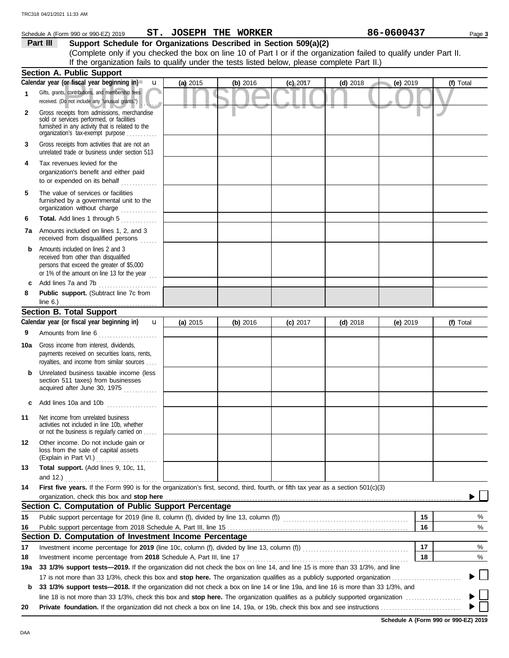|     | Schedule A (Form 990 or 990-EZ) 2019                                                                                                                                              |          | ST. JOSEPH THE WORKER |            |            | 86-0600437 | Page 3    |
|-----|-----------------------------------------------------------------------------------------------------------------------------------------------------------------------------------|----------|-----------------------|------------|------------|------------|-----------|
|     | Support Schedule for Organizations Described in Section 509(a)(2)<br>Part III                                                                                                     |          |                       |            |            |            |           |
|     | (Complete only if you checked the box on line 10 of Part I or if the organization failed to qualify under Part II.                                                                |          |                       |            |            |            |           |
|     | If the organization fails to qualify under the tests listed below, please complete Part II.)                                                                                      |          |                       |            |            |            |           |
|     | <b>Section A. Public Support</b>                                                                                                                                                  |          |                       |            |            |            |           |
|     | Calendar year (or fiscal year beginning in)<br>$\mathbf u$                                                                                                                        | (a) 2015 | (b) 2016              | $(c)$ 2017 | $(d)$ 2018 | (e) 2019   | (f) Total |
| 1   | Gifts, grants, contributions, and membership fees<br>received. (Do not include any "unusual grants.")                                                                             |          |                       |            |            |            |           |
| 2   | Gross receipts from admissions, merchandise<br>sold or services performed, or facilities<br>furnished in any activity that is related to the<br>organization's tax-exempt purpose |          |                       |            |            |            |           |
| 3   | Gross receipts from activities that are not an<br>unrelated trade or business under section 513                                                                                   |          |                       |            |            |            |           |
| 4   | Tax revenues levied for the<br>organization's benefit and either paid<br>to or expended on its behalf                                                                             |          |                       |            |            |            |           |
| 5   | The value of services or facilities<br>furnished by a governmental unit to the<br>organization without charge                                                                     |          |                       |            |            |            |           |
| 6   | Total. Add lines 1 through 5                                                                                                                                                      |          |                       |            |            |            |           |
| 7a  | Amounts included on lines 1, 2, and 3<br>received from disqualified persons                                                                                                       |          |                       |            |            |            |           |
| b   | Amounts included on lines 2 and 3<br>received from other than disqualified<br>persons that exceed the greater of \$5,000<br>or 1% of the amount on line 13 for the year $\ldots$  |          |                       |            |            |            |           |
| c   | Add lines 7a and 7b                                                                                                                                                               |          |                       |            |            |            |           |
| 8   | Public support. (Subtract line 7c from<br>line $6$ .)                                                                                                                             |          |                       |            |            |            |           |
|     | <b>Section B. Total Support</b>                                                                                                                                                   |          |                       |            |            |            |           |
|     | Calendar year (or fiscal year beginning in)<br>$\mathbf{u}$                                                                                                                       | (a) 2015 | (b) 2016              | $(c)$ 2017 | $(d)$ 2018 | (e) $2019$ | (f) Total |
| 9   | Amounts from line 6<br>.                                                                                                                                                          |          |                       |            |            |            |           |
| 10a | Gross income from interest, dividends,<br>payments received on securities loans, rents,<br>royalties, and income from similar sources                                             |          |                       |            |            |            |           |
| b   | Unrelated business taxable income (less<br>section 511 taxes) from businesses<br>acquired after June 30, 1975                                                                     |          |                       |            |            |            |           |
|     | Add lines 10a and 10b                                                                                                                                                             |          |                       |            |            |            |           |
| 11  | Net income from unrelated business<br>activities not included in line 10b, whether<br>or not the business is regularly carried on                                                 |          |                       |            |            |            |           |
| 12  | Other income. Do not include gain or<br>loss from the sale of capital assets<br>(Explain in Part VI.)<br>.                                                                        |          |                       |            |            |            |           |
| 13  | Total support. (Add lines 9, 10c, 11,<br>and 12.)                                                                                                                                 |          |                       |            |            |            |           |
| 14  | First five years. If the Form 990 is for the organization's first, second, third, fourth, or fifth tax year as a section 501(c)(3)<br>organization, check this box and stop here  |          |                       |            |            |            |           |
|     | Section C. Computation of Public Support Percentage                                                                                                                               |          |                       |            |            |            |           |
| 15  |                                                                                                                                                                                   |          |                       |            |            | 15         | %         |
| 16  |                                                                                                                                                                                   |          |                       |            |            | 16         | $\%$      |
|     | Section D. Computation of Investment Income Percentage                                                                                                                            |          |                       |            |            |            |           |
| 17  |                                                                                                                                                                                   |          |                       |            |            | 17         | %         |
| 18  | Investment income percentage from 2018 Schedule A, Part III, line 17                                                                                                              |          |                       |            |            | 18         | %         |
| 19a | 33 1/3% support tests-2019. If the organization did not check the box on line 14, and line 15 is more than 33 1/3%, and line                                                      |          |                       |            |            |            |           |
|     |                                                                                                                                                                                   |          |                       |            |            |            |           |
| b   | 33 1/3% support tests-2018. If the organization did not check a box on line 14 or line 19a, and line 16 is more than 33 1/3%, and                                                 |          |                       |            |            |            |           |
|     |                                                                                                                                                                                   |          |                       |            |            |            |           |
| 20  |                                                                                                                                                                                   |          |                       |            |            |            |           |

**Schedule A (Form 990 or 990-EZ) 2019**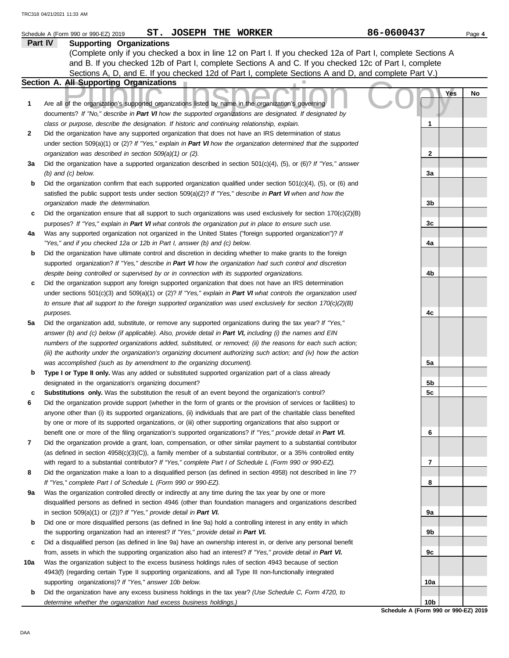|     | ST. JOSEPH THE WORKER<br>Schedule A (Form 990 or 990-EZ) 2019                                                                                                                                                    | 86-0600437                           | Page 4 |
|-----|------------------------------------------------------------------------------------------------------------------------------------------------------------------------------------------------------------------|--------------------------------------|--------|
|     | Part IV<br><b>Supporting Organizations</b>                                                                                                                                                                       |                                      |        |
|     | (Complete only if you checked a box in line 12 on Part I. If you checked 12a of Part I, complete Sections A                                                                                                      |                                      |        |
|     | and B. If you checked 12b of Part I, complete Sections A and C. If you checked 12c of Part I, complete                                                                                                           |                                      |        |
|     | Sections A, D, and E. If you checked 12d of Part I, complete Sections A and D, and complete Part V.)                                                                                                             |                                      |        |
|     | Section A. All Supporting Organizations                                                                                                                                                                          |                                      |        |
|     |                                                                                                                                                                                                                  | Yes                                  | No     |
| 1   | Are all of the organization's supported organizations listed by name in the organization's governing<br>documents? If "No," describe in Part VI how the supported organizations are designated. If designated by |                                      |        |
|     | class or purpose, describe the designation. If historic and continuing relationship, explain.                                                                                                                    | 1                                    |        |
| 2   | Did the organization have any supported organization that does not have an IRS determination of status                                                                                                           |                                      |        |
|     | under section 509(a)(1) or (2)? If "Yes," explain in Part VI how the organization determined that the supported                                                                                                  |                                      |        |
|     | organization was described in section 509(a)(1) or (2).                                                                                                                                                          | 2                                    |        |
| За  | Did the organization have a supported organization described in section 501(c)(4), (5), or (6)? If "Yes," answer                                                                                                 |                                      |        |
|     | $(b)$ and $(c)$ below.                                                                                                                                                                                           | За                                   |        |
| b   | Did the organization confirm that each supported organization qualified under section $501(c)(4)$ , (5), or (6) and                                                                                              |                                      |        |
|     | satisfied the public support tests under section $509(a)(2)?$ If "Yes," describe in Part VI when and how the                                                                                                     |                                      |        |
|     | organization made the determination.                                                                                                                                                                             | 3b                                   |        |
| c   | Did the organization ensure that all support to such organizations was used exclusively for section $170(c)(2)(B)$                                                                                               |                                      |        |
|     | purposes? If "Yes," explain in Part VI what controls the organization put in place to ensure such use.                                                                                                           | 3c                                   |        |
| 4a  | Was any supported organization not organized in the United States ("foreign supported organization")? If                                                                                                         |                                      |        |
|     | "Yes," and if you checked 12a or 12b in Part I, answer (b) and (c) below.                                                                                                                                        | 4a                                   |        |
| b   | Did the organization have ultimate control and discretion in deciding whether to make grants to the foreign                                                                                                      |                                      |        |
|     | supported organization? If "Yes," describe in Part VI how the organization had such control and discretion                                                                                                       |                                      |        |
|     | despite being controlled or supervised by or in connection with its supported organizations.                                                                                                                     | 4b                                   |        |
| c   | Did the organization support any foreign supported organization that does not have an IRS determination                                                                                                          |                                      |        |
|     | under sections $501(c)(3)$ and $509(a)(1)$ or (2)? If "Yes," explain in Part VI what controls the organization used                                                                                              |                                      |        |
|     | to ensure that all support to the foreign supported organization was used exclusively for section $170(c)(2)(B)$                                                                                                 |                                      |        |
|     | purposes.                                                                                                                                                                                                        | 4c                                   |        |
| 5а  | Did the organization add, substitute, or remove any supported organizations during the tax year? If "Yes,"                                                                                                       |                                      |        |
|     | answer (b) and (c) below (if applicable). Also, provide detail in Part VI, including (i) the names and EIN                                                                                                       |                                      |        |
|     | numbers of the supported organizations added, substituted, or removed; (ii) the reasons for each such action;                                                                                                    |                                      |        |
|     | (iii) the authority under the organization's organizing document authorizing such action; and (iv) how the action                                                                                                |                                      |        |
|     | was accomplished (such as by amendment to the organizing document).<br>Type I or Type II only. Was any added or substituted supported organization part of a class already                                       | 5a                                   |        |
| b   | designated in the organization's organizing document?                                                                                                                                                            | 5b                                   |        |
| c   | Substitutions only. Was the substitution the result of an event beyond the organization's control?                                                                                                               | 5c                                   |        |
| 6   | Did the organization provide support (whether in the form of grants or the provision of services or facilities) to                                                                                               |                                      |        |
|     | anyone other than (i) its supported organizations, (ii) individuals that are part of the charitable class benefited                                                                                              |                                      |        |
|     | by one or more of its supported organizations, or (iii) other supporting organizations that also support or                                                                                                      |                                      |        |
|     | benefit one or more of the filing organization's supported organizations? If "Yes," provide detail in Part VI.                                                                                                   | 6                                    |        |
| 7   | Did the organization provide a grant, loan, compensation, or other similar payment to a substantial contributor                                                                                                  |                                      |        |
|     | (as defined in section $4958(c)(3)(C)$ ), a family member of a substantial contributor, or a 35% controlled entity                                                                                               |                                      |        |
|     | with regard to a substantial contributor? If "Yes," complete Part I of Schedule L (Form 990 or 990-EZ).                                                                                                          | 7                                    |        |
| 8   | Did the organization make a loan to a disqualified person (as defined in section 4958) not described in line 7?                                                                                                  |                                      |        |
|     | If "Yes," complete Part I of Schedule L (Form 990 or 990-EZ).                                                                                                                                                    | 8                                    |        |
| 9a  | Was the organization controlled directly or indirectly at any time during the tax year by one or more                                                                                                            |                                      |        |
|     | disqualified persons as defined in section 4946 (other than foundation managers and organizations described                                                                                                      |                                      |        |
|     | in section 509(a)(1) or (2))? If "Yes," provide detail in Part VI.                                                                                                                                               | 9а                                   |        |
| b   | Did one or more disqualified persons (as defined in line 9a) hold a controlling interest in any entity in which                                                                                                  |                                      |        |
|     | the supporting organization had an interest? If "Yes," provide detail in Part VI.                                                                                                                                | 9b                                   |        |
| c   | Did a disqualified person (as defined in line 9a) have an ownership interest in, or derive any personal benefit                                                                                                  |                                      |        |
|     | from, assets in which the supporting organization also had an interest? If "Yes," provide detail in Part VI.                                                                                                     | 9с                                   |        |
| 10a | Was the organization subject to the excess business holdings rules of section 4943 because of section                                                                                                            |                                      |        |
|     | 4943(f) (regarding certain Type II supporting organizations, and all Type III non-functionally integrated                                                                                                        |                                      |        |
|     | supporting organizations)? If "Yes," answer 10b below.                                                                                                                                                           | 10a                                  |        |
| b   | Did the organization have any excess business holdings in the tax year? (Use Schedule C, Form 4720, to                                                                                                           |                                      |        |
|     | determine whether the organization had excess business holdings.)                                                                                                                                                | 10 <sub>b</sub>                      |        |
|     |                                                                                                                                                                                                                  | Schedule A (Form 990 or 990-EZ) 2019 |        |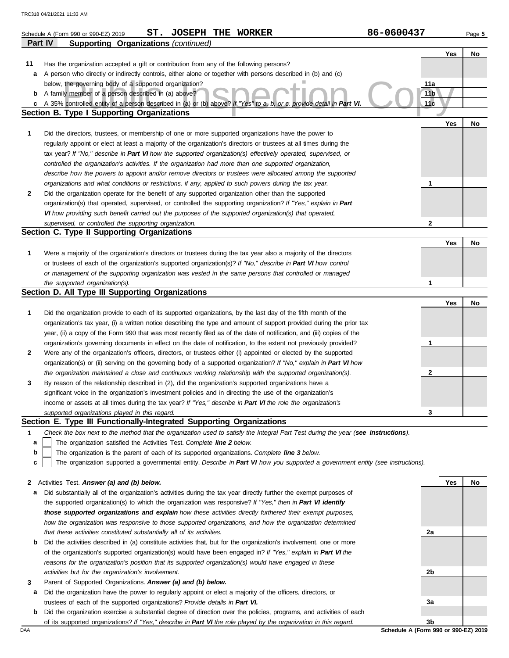|    | ST.<br><b>JOSEPH THE WORKER</b><br>Schedule A (Form 990 or 990-EZ) 2019                                                                                                    | 86-0600437      |     | Page 5 |
|----|----------------------------------------------------------------------------------------------------------------------------------------------------------------------------|-----------------|-----|--------|
|    | Part IV<br>Supporting Organizations (continued)                                                                                                                            |                 |     |        |
|    |                                                                                                                                                                            |                 | Yes | No     |
| 11 | Has the organization accepted a gift or contribution from any of the following persons?                                                                                    |                 |     |        |
| а  | A person who directly or indirectly controls, either alone or together with persons described in (b) and (c)                                                               |                 |     |        |
|    | below, the governing body of a supported organization?                                                                                                                     | 11a             |     |        |
|    | <b>b</b> A family member of a person described in (a) above?                                                                                                               | 11 <sub>b</sub> |     |        |
| c  | A 35% controlled entity of a person described in (a) or (b) above? If "Yes" to a, b, or c, provide detail in Part VI.<br><b>Section B. Type I Supporting Organizations</b> | 11 <sub>c</sub> |     |        |
|    |                                                                                                                                                                            |                 |     |        |
|    |                                                                                                                                                                            |                 | Yes | No     |
| 1  | Did the directors, trustees, or membership of one or more supported organizations have the power to                                                                        |                 |     |        |
|    | regularly appoint or elect at least a majority of the organization's directors or trustees at all times during the                                                         |                 |     |        |
|    | tax year? If "No," describe in Part VI how the supported organization(s) effectively operated, supervised, or                                                              |                 |     |        |
|    | controlled the organization's activities. If the organization had more than one supported organization,                                                                    |                 |     |        |
|    | describe how the powers to appoint and/or remove directors or trustees were allocated among the supported                                                                  |                 |     |        |
|    | organizations and what conditions or restrictions, if any, applied to such powers during the tax year.                                                                     | 1               |     |        |
| 2  | Did the organization operate for the benefit of any supported organization other than the supported                                                                        |                 |     |        |
|    | organization(s) that operated, supervised, or controlled the supporting organization? If "Yes," explain in Part                                                            |                 |     |        |
|    | VI how providing such benefit carried out the purposes of the supported organization(s) that operated,                                                                     |                 |     |        |
|    | supervised, or controlled the supporting organization.<br>Section C. Type II Supporting Organizations                                                                      | $\mathbf{2}$    |     |        |
|    |                                                                                                                                                                            |                 | Yes | No     |
| 1  | Were a majority of the organization's directors or trustees during the tax year also a majority of the directors                                                           |                 |     |        |
|    | or trustees of each of the organization's supported organization(s)? If "No," describe in Part VI how control                                                              |                 |     |        |
|    | or management of the supporting organization was vested in the same persons that controlled or managed                                                                     |                 |     |        |
|    | the supported organization(s).                                                                                                                                             | 1               |     |        |
|    | Section D. All Type III Supporting Organizations                                                                                                                           |                 |     |        |
|    |                                                                                                                                                                            |                 | Yes | No     |
| 1  | Did the organization provide to each of its supported organizations, by the last day of the fifth month of the                                                             |                 |     |        |
|    | organization's tax year, (i) a written notice describing the type and amount of support provided during the prior tax                                                      |                 |     |        |
|    | year, (ii) a copy of the Form 990 that was most recently filed as of the date of notification, and (iii) copies of the                                                     |                 |     |        |
|    | organization's governing documents in effect on the date of notification, to the extent not previously provided?                                                           | 1               |     |        |
| 2  | Were any of the organization's officers, directors, or trustees either (i) appointed or elected by the supported                                                           |                 |     |        |
|    | organization(s) or (ii) serving on the governing body of a supported organization? If "No," explain in Part VI how                                                         |                 |     |        |
|    | the organization maintained a close and continuous working relationship with the supported organization(s).                                                                | 2               |     |        |
| 3  | By reason of the relationship described in (2), did the organization's supported organizations have a                                                                      |                 |     |        |
|    | significant voice in the organization's investment policies and in directing the use of the organization's                                                                 |                 |     |        |
|    | income or assets at all times during the tax year? If "Yes," describe in Part VI the role the organization's                                                               |                 |     |        |
|    | supported organizations played in this regard.                                                                                                                             | 3               |     |        |
|    | Section E. Type III Functionally-Integrated Supporting Organizations                                                                                                       |                 |     |        |
| 1  | Check the box next to the method that the organization used to satisfy the Integral Part Test during the year (see instructions).                                          |                 |     |        |
| a  | The organization satisfied the Activities Test. Complete line 2 below.                                                                                                     |                 |     |        |
| b  | The organization is the parent of each of its supported organizations. Complete line 3 below.                                                                              |                 |     |        |
| C  | The organization supported a governmental entity. Describe in Part VI how you supported a government entity (see instructions).                                            |                 |     |        |
|    |                                                                                                                                                                            |                 |     |        |
|    | 2 Activities Test. Answer (a) and (b) below.                                                                                                                               |                 | Yes | No     |
| а  | Did substantially all of the organization's activities during the tax year directly further the exempt purposes of                                                         |                 |     |        |
|    | the supported organization(s) to which the organization was responsive? If "Yes," then in Part VI identify                                                                 |                 |     |        |
|    | those supported organizations and explain how these activities directly furthered their exempt purposes,                                                                   |                 |     |        |
|    | how the organization was responsive to those supported organizations, and how the organization determined                                                                  |                 |     |        |
|    | that these activities constituted substantially all of its activities.                                                                                                     | 2a              |     |        |
| b  | Did the activities described in (a) constitute activities that, but for the organization's involvement, one or more                                                        |                 |     |        |
|    | of the organization's supported organization(s) would have been engaged in? If "Yes," explain in Part VI the                                                               |                 |     |        |
|    | reasons for the organization's position that its supported organization(s) would have engaged in these                                                                     |                 |     |        |
|    | activities but for the organization's involvement.                                                                                                                         | 2b              |     |        |
| 3  | Parent of Supported Organizations. Answer (a) and (b) below.                                                                                                               |                 |     |        |
| а  | Did the organization have the power to regularly appoint or elect a majority of the officers, directors, or                                                                |                 |     |        |
|    | trustees of each of the supported organizations? Provide details in Part VI.                                                                                               | За              |     |        |

**b** Did the organization exercise a substantial degree of direction over the policies, programs, and activities of each of its supported organizations? *If "Yes," describe in Part VI the role played by the organization in this regard.*

DAA **Schedule A (Form 990 or 990-EZ) 2019 3b**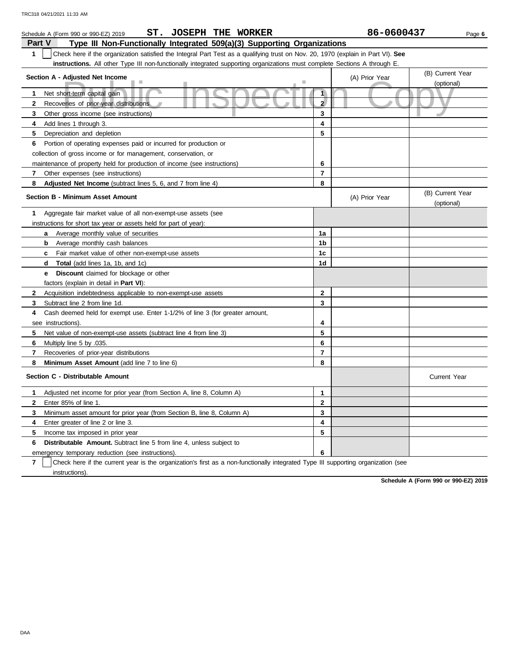| ST. JOSEPH THE WORKER<br>Schedule A (Form 990 or 990-EZ) 2019                                                                         |                         | 86-0600437     | Page 6                         |  |  |  |  |
|---------------------------------------------------------------------------------------------------------------------------------------|-------------------------|----------------|--------------------------------|--|--|--|--|
| Part V<br>Type III Non-Functionally Integrated 509(a)(3) Supporting Organizations                                                     |                         |                |                                |  |  |  |  |
| 1<br>Check here if the organization satisfied the Integral Part Test as a qualifying trust on Nov. 20, 1970 (explain in Part VI). See |                         |                |                                |  |  |  |  |
| instructions. All other Type III non-functionally integrated supporting organizations must complete Sections A through E.             |                         |                |                                |  |  |  |  |
| Section A - Adjusted Net Income                                                                                                       |                         | (A) Prior Year | (B) Current Year               |  |  |  |  |
| п                                                                                                                                     |                         |                | (optional)                     |  |  |  |  |
| Net short-term capital gain<br>$\mathbf 1$                                                                                            | 1                       |                |                                |  |  |  |  |
| 2<br>Recoveries of prior-year distributions                                                                                           | $\mathbf{2}$            |                |                                |  |  |  |  |
| 3<br>Other gross income (see instructions)                                                                                            | 3                       |                |                                |  |  |  |  |
| Add lines 1 through 3.<br>4                                                                                                           | 4                       |                |                                |  |  |  |  |
| 5<br>Depreciation and depletion                                                                                                       | 5                       |                |                                |  |  |  |  |
| 6<br>Portion of operating expenses paid or incurred for production or                                                                 |                         |                |                                |  |  |  |  |
| collection of gross income or for management, conservation, or                                                                        |                         |                |                                |  |  |  |  |
| maintenance of property held for production of income (see instructions)                                                              | 6                       |                |                                |  |  |  |  |
| Other expenses (see instructions)<br>7                                                                                                | $\overline{\mathbf{r}}$ |                |                                |  |  |  |  |
| 8<br>Adjusted Net Income (subtract lines 5, 6, and 7 from line 4)                                                                     | 8                       |                |                                |  |  |  |  |
| <b>Section B - Minimum Asset Amount</b>                                                                                               |                         | (A) Prior Year | (B) Current Year<br>(optional) |  |  |  |  |
| Aggregate fair market value of all non-exempt-use assets (see<br>1.                                                                   |                         |                |                                |  |  |  |  |
| instructions for short tax year or assets held for part of year):                                                                     |                         |                |                                |  |  |  |  |
| Average monthly value of securities<br>a                                                                                              | 1a                      |                |                                |  |  |  |  |
| <b>b</b> Average monthly cash balances                                                                                                | 1b                      |                |                                |  |  |  |  |
| Fair market value of other non-exempt-use assets<br>C                                                                                 | 1c                      |                |                                |  |  |  |  |
| <b>Total</b> (add lines 1a, 1b, and 1c)<br>d                                                                                          | 1d                      |                |                                |  |  |  |  |
| <b>Discount</b> claimed for blockage or other<br>е                                                                                    |                         |                |                                |  |  |  |  |
| factors (explain in detail in <b>Part VI)</b> :                                                                                       |                         |                |                                |  |  |  |  |
| $\mathbf{2}$<br>Acquisition indebtedness applicable to non-exempt-use assets                                                          | $\bf{2}$                |                |                                |  |  |  |  |
| 3<br>Subtract line 2 from line 1d.                                                                                                    | 3                       |                |                                |  |  |  |  |
| Cash deemed held for exempt use. Enter 1-1/2% of line 3 (for greater amount,<br>4                                                     |                         |                |                                |  |  |  |  |
| see instructions)                                                                                                                     | 4                       |                |                                |  |  |  |  |
| 5<br>Net value of non-exempt-use assets (subtract line 4 from line 3)                                                                 | 5                       |                |                                |  |  |  |  |
| 6<br>Multiply line 5 by .035.                                                                                                         | 6                       |                |                                |  |  |  |  |
| $\overline{7}$<br>Recoveries of prior-year distributions                                                                              | $\overline{7}$          |                |                                |  |  |  |  |
| 8<br>Minimum Asset Amount (add line 7 to line 6)                                                                                      | 8                       |                |                                |  |  |  |  |
| Section C - Distributable Amount                                                                                                      |                         |                | <b>Current Year</b>            |  |  |  |  |
| Adjusted net income for prior year (from Section A, line 8, Column A)<br>1.                                                           | $\mathbf{1}$            |                |                                |  |  |  |  |
| $\mathbf{2}$<br>Enter 85% of line 1.                                                                                                  | $\mathbf{2}$            |                |                                |  |  |  |  |
| 3<br>Minimum asset amount for prior year (from Section B, line 8, Column A)                                                           | 3                       |                |                                |  |  |  |  |
| 4<br>Enter greater of line 2 or line 3.                                                                                               | $\overline{\mathbf{4}}$ |                |                                |  |  |  |  |
| 5<br>Income tax imposed in prior year                                                                                                 | 5                       |                |                                |  |  |  |  |
| <b>Distributable Amount.</b> Subtract line 5 from line 4, unless subject to<br>6                                                      |                         |                |                                |  |  |  |  |
| emergency temporary reduction (see instructions).                                                                                     | 6                       |                |                                |  |  |  |  |

**7** instructions). Check here if the current year is the organization's first as a non-functionally integrated Type III supporting organization (see

**Schedule A (Form 990 or 990-EZ) 2019**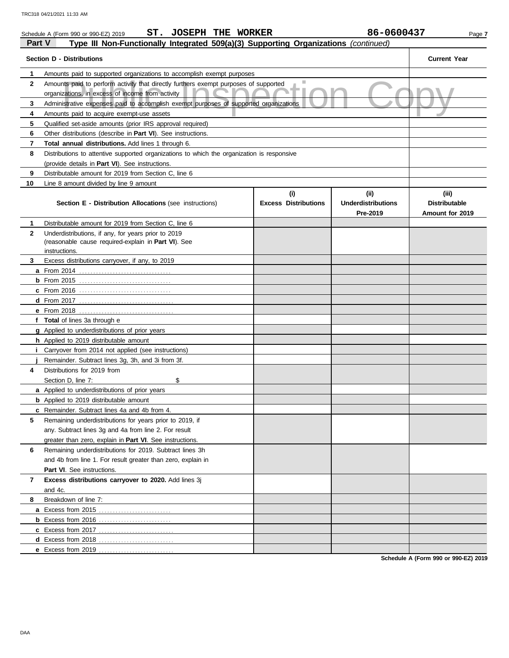|                | ST. JOSEPH THE WORKER<br>Schedule A (Form 990 or 990-EZ) 2019                                                                            |                             | 86-0600437                            | Page 7                                  |
|----------------|------------------------------------------------------------------------------------------------------------------------------------------|-----------------------------|---------------------------------------|-----------------------------------------|
| <b>Part V</b>  | Type III Non-Functionally Integrated 509(a)(3) Supporting Organizations (continued)                                                      |                             |                                       |                                         |
|                | <b>Section D - Distributions</b>                                                                                                         |                             |                                       | <b>Current Year</b>                     |
| 1              | Amounts paid to supported organizations to accomplish exempt purposes                                                                    |                             |                                       |                                         |
| $\mathbf{2}$   | Amounts paid to perform activity that directly furthers exempt purposes of supported<br>organizations, in excess of income from activity | ш                           |                                       |                                         |
| 3              | Administrative expenses paid to accomplish exempt purposes of supported organizations                                                    |                             |                                       |                                         |
| 4              | Amounts paid to acquire exempt-use assets                                                                                                |                             |                                       |                                         |
| 5              | Qualified set-aside amounts (prior IRS approval required)                                                                                |                             |                                       |                                         |
| 6              | Other distributions (describe in Part VI). See instructions.                                                                             |                             |                                       |                                         |
| 7              | Total annual distributions. Add lines 1 through 6.                                                                                       |                             |                                       |                                         |
| 8              | Distributions to attentive supported organizations to which the organization is responsive                                               |                             |                                       |                                         |
|                | (provide details in Part VI). See instructions.                                                                                          |                             |                                       |                                         |
| 9              | Distributable amount for 2019 from Section C, line 6                                                                                     |                             |                                       |                                         |
| 10             | Line 8 amount divided by line 9 amount                                                                                                   |                             |                                       |                                         |
|                |                                                                                                                                          | (i)                         | (ii)                                  | (iii)                                   |
|                | <b>Section E - Distribution Allocations (see instructions)</b>                                                                           | <b>Excess Distributions</b> | <b>Underdistributions</b><br>Pre-2019 | <b>Distributable</b><br>Amount for 2019 |
| 1              | Distributable amount for 2019 from Section C, line 6                                                                                     |                             |                                       |                                         |
| $\mathbf{2}$   | Underdistributions, if any, for years prior to 2019                                                                                      |                             |                                       |                                         |
|                | (reasonable cause required-explain in Part VI). See                                                                                      |                             |                                       |                                         |
|                | instructions.                                                                                                                            |                             |                                       |                                         |
| 3              | Excess distributions carryover, if any, to 2019                                                                                          |                             |                                       |                                         |
|                |                                                                                                                                          |                             |                                       |                                         |
|                | <b>b</b> From 2015 <u></u>                                                                                                               |                             |                                       |                                         |
|                |                                                                                                                                          |                             |                                       |                                         |
|                |                                                                                                                                          |                             |                                       |                                         |
|                |                                                                                                                                          |                             |                                       |                                         |
|                | f Total of lines 3a through e                                                                                                            |                             |                                       |                                         |
|                | g Applied to underdistributions of prior years                                                                                           |                             |                                       |                                         |
|                | h Applied to 2019 distributable amount                                                                                                   |                             |                                       |                                         |
| Ī.             | Carryover from 2014 not applied (see instructions)                                                                                       |                             |                                       |                                         |
|                | Remainder. Subtract lines 3g, 3h, and 3i from 3f.                                                                                        |                             |                                       |                                         |
| 4              | Distributions for 2019 from                                                                                                              |                             |                                       |                                         |
|                | \$<br>Section D, line 7:                                                                                                                 |                             |                                       |                                         |
|                | a Applied to underdistributions of prior years                                                                                           |                             |                                       |                                         |
|                | <b>b</b> Applied to 2019 distributable amount                                                                                            |                             |                                       |                                         |
|                | c Remainder. Subtract lines 4a and 4b from 4.                                                                                            |                             |                                       |                                         |
| 5              | Remaining underdistributions for years prior to 2019, if                                                                                 |                             |                                       |                                         |
|                | any. Subtract lines 3q and 4a from line 2. For result                                                                                    |                             |                                       |                                         |
|                | greater than zero, explain in Part VI. See instructions.                                                                                 |                             |                                       |                                         |
| 6              | Remaining underdistributions for 2019. Subtract lines 3h                                                                                 |                             |                                       |                                         |
|                | and 4b from line 1. For result greater than zero, explain in                                                                             |                             |                                       |                                         |
|                | Part VI. See instructions.                                                                                                               |                             |                                       |                                         |
| $\overline{7}$ | Excess distributions carryover to 2020. Add lines 3j                                                                                     |                             |                                       |                                         |
|                | and 4c.                                                                                                                                  |                             |                                       |                                         |
| 8              | Breakdown of line 7:                                                                                                                     |                             |                                       |                                         |
|                |                                                                                                                                          |                             |                                       |                                         |
|                | <b>b</b> Excess from 2016                                                                                                                |                             |                                       |                                         |
|                |                                                                                                                                          |                             |                                       |                                         |
|                |                                                                                                                                          |                             |                                       |                                         |
|                | <b>e</b> Excess from 2019                                                                                                                |                             |                                       |                                         |

**Schedule A (Form 990 or 990-EZ) 2019**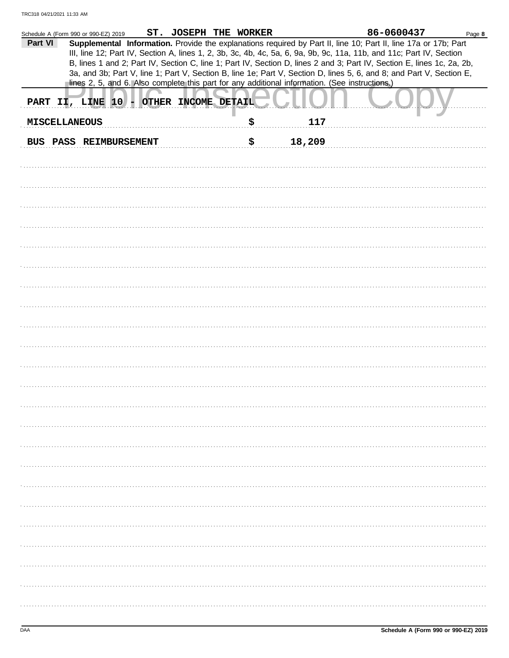|                      | Schedule A (Form 990 or 990-EZ) 2019                                                                                                                                                                                                                                                                                                                              | ST. JOSEPH THE WORKER |    |        | 86-0600437 | Page 8 |
|----------------------|-------------------------------------------------------------------------------------------------------------------------------------------------------------------------------------------------------------------------------------------------------------------------------------------------------------------------------------------------------------------|-----------------------|----|--------|------------|--------|
| Part VI              | Supplemental Information. Provide the explanations required by Part II, line 10; Part II, line 17a or 17b; Part<br>III, line 12; Part IV, Section A, lines 1, 2, 3b, 3c, 4b, 4c, 5a, 6, 9a, 9b, 9c, 11a, 11b, and 11c; Part IV, Section<br>B, lines 1 and 2; Part IV, Section C, line 1; Part IV, Section D, lines 2 and 3; Part IV, Section E, lines 1c, 2a, 2b, |                       |    |        |            |        |
|                      | 3a, and 3b; Part V, line 1; Part V, Section B, line 1e; Part V, Section D, lines 5, 6, and 8; and Part V, Section E,<br>lines 2, 5, and 6. Also complete this part for any additional information. (See instructions.)                                                                                                                                            |                       |    |        |            |        |
|                      | PART II, LINE 10 - OTHER INCOME DETAIL                                                                                                                                                                                                                                                                                                                            |                       |    |        |            |        |
| <b>MISCELLANEOUS</b> |                                                                                                                                                                                                                                                                                                                                                                   |                       | \$ | 117    |            |        |
|                      | BUS PASS REIMBURSEMENT                                                                                                                                                                                                                                                                                                                                            |                       | \$ | 18,209 |            |        |
|                      |                                                                                                                                                                                                                                                                                                                                                                   |                       |    |        |            |        |
|                      |                                                                                                                                                                                                                                                                                                                                                                   |                       |    |        |            |        |
|                      |                                                                                                                                                                                                                                                                                                                                                                   |                       |    |        |            |        |
|                      |                                                                                                                                                                                                                                                                                                                                                                   |                       |    |        |            |        |
|                      |                                                                                                                                                                                                                                                                                                                                                                   |                       |    |        |            |        |
|                      |                                                                                                                                                                                                                                                                                                                                                                   |                       |    |        |            |        |
|                      |                                                                                                                                                                                                                                                                                                                                                                   |                       |    |        |            |        |
|                      |                                                                                                                                                                                                                                                                                                                                                                   |                       |    |        |            |        |
|                      |                                                                                                                                                                                                                                                                                                                                                                   |                       |    |        |            |        |
|                      |                                                                                                                                                                                                                                                                                                                                                                   |                       |    |        |            |        |
|                      |                                                                                                                                                                                                                                                                                                                                                                   |                       |    |        |            |        |
|                      |                                                                                                                                                                                                                                                                                                                                                                   |                       |    |        |            |        |
|                      |                                                                                                                                                                                                                                                                                                                                                                   |                       |    |        |            |        |
|                      |                                                                                                                                                                                                                                                                                                                                                                   |                       |    |        |            |        |
|                      |                                                                                                                                                                                                                                                                                                                                                                   |                       |    |        |            |        |
|                      |                                                                                                                                                                                                                                                                                                                                                                   |                       |    |        |            |        |
|                      |                                                                                                                                                                                                                                                                                                                                                                   |                       |    |        |            |        |
|                      |                                                                                                                                                                                                                                                                                                                                                                   |                       |    |        |            |        |
|                      |                                                                                                                                                                                                                                                                                                                                                                   |                       |    |        |            |        |
|                      |                                                                                                                                                                                                                                                                                                                                                                   |                       |    |        |            |        |
|                      |                                                                                                                                                                                                                                                                                                                                                                   |                       |    |        |            |        |
|                      |                                                                                                                                                                                                                                                                                                                                                                   |                       |    |        |            |        |
|                      |                                                                                                                                                                                                                                                                                                                                                                   |                       |    |        |            |        |
|                      |                                                                                                                                                                                                                                                                                                                                                                   |                       |    |        |            |        |
|                      |                                                                                                                                                                                                                                                                                                                                                                   |                       |    |        |            |        |
|                      |                                                                                                                                                                                                                                                                                                                                                                   |                       |    |        |            |        |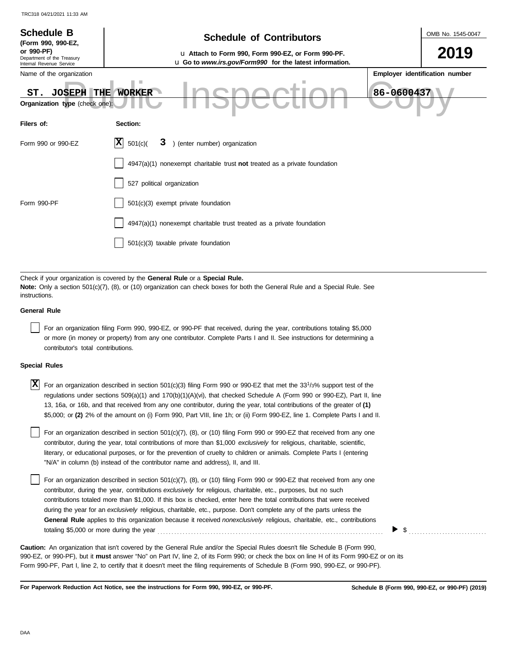| <b>Schedule B</b><br>(Form 990, 990-EZ,<br>or 990-PF)<br>Department of the Treasury<br>Internal Revenue Service | <b>Schedule of Contributors</b><br>u Attach to Form 990, Form 990-EZ, or Form 990-PF.<br>u Go to www.irs.gov/Form990 for the latest information.                                                            | OMB No. 1545-0047<br>2019      |  |  |  |  |  |  |  |
|-----------------------------------------------------------------------------------------------------------------|-------------------------------------------------------------------------------------------------------------------------------------------------------------------------------------------------------------|--------------------------------|--|--|--|--|--|--|--|
| Name of the organization<br><b>THE</b><br><b>JOSEPH</b><br>ST.<br>Organization type (check one):                | ٠<br>86-0600437<br><b>WORKER</b>                                                                                                                                                                            | Employer identification number |  |  |  |  |  |  |  |
| Filers of:                                                                                                      | Section:                                                                                                                                                                                                    |                                |  |  |  |  |  |  |  |
| Form 990 or 990-EZ                                                                                              | $ \mathbf{x} $<br>) (enter number) organization<br>501(c)<br>3                                                                                                                                              |                                |  |  |  |  |  |  |  |
|                                                                                                                 | 4947(a)(1) nonexempt charitable trust not treated as a private foundation                                                                                                                                   |                                |  |  |  |  |  |  |  |
|                                                                                                                 | 527 political organization                                                                                                                                                                                  |                                |  |  |  |  |  |  |  |
| Form 990-PF                                                                                                     | 501(c)(3) exempt private foundation                                                                                                                                                                         |                                |  |  |  |  |  |  |  |
|                                                                                                                 | 4947(a)(1) nonexempt charitable trust treated as a private foundation                                                                                                                                       |                                |  |  |  |  |  |  |  |
|                                                                                                                 | 501(c)(3) taxable private foundation                                                                                                                                                                        |                                |  |  |  |  |  |  |  |
|                                                                                                                 |                                                                                                                                                                                                             |                                |  |  |  |  |  |  |  |
| instructions.                                                                                                   | Check if your organization is covered by the General Rule or a Special Rule.<br>Note: Only a section 501(c)(7), (8), or (10) organization can check boxes for both the General Rule and a Special Rule. See |                                |  |  |  |  |  |  |  |
| <b>General Rule</b>                                                                                             |                                                                                                                                                                                                             |                                |  |  |  |  |  |  |  |

For an organization filing Form 990, 990-EZ, or 990-PF that received, during the year, contributions totaling \$5,000 or more (in money or property) from any one contributor. Complete Parts I and II. See instructions for determining a contributor's total contributions.

## **Special Rules**

| $\overline{X}$ For an organization described in section 501(c)(3) filing Form 990 or 990-EZ that met the 33 <sup>1</sup> /3% support test of the |
|--------------------------------------------------------------------------------------------------------------------------------------------------|
| regulations under sections 509(a)(1) and 170(b)(1)(A)(vi), that checked Schedule A (Form 990 or 990-EZ), Part II, line                           |
| 13, 16a, or 16b, and that received from any one contributor, during the year, total contributions of the greater of (1)                          |
| \$5,000; or (2) 2% of the amount on (i) Form 990, Part VIII, line 1h; or (ii) Form 990-EZ, line 1. Complete Parts I and II.                      |

literary, or educational purposes, or for the prevention of cruelty to children or animals. Complete Parts I (entering For an organization described in section 501(c)(7), (8), or (10) filing Form 990 or 990-EZ that received from any one contributor, during the year, total contributions of more than \$1,000 *exclusively* for religious, charitable, scientific, "N/A" in column (b) instead of the contributor name and address), II, and III.

For an organization described in section 501(c)(7), (8), or (10) filing Form 990 or 990-EZ that received from any one contributor, during the year, contributions *exclusively* for religious, charitable, etc., purposes, but no such contributions totaled more than \$1,000. If this box is checked, enter here the total contributions that were received during the year for an *exclusively* religious, charitable, etc., purpose. Don't complete any of the parts unless the **General Rule** applies to this organization because it received *nonexclusively* religious, charitable, etc., contributions totaling \$5,000 or more during the year . . . . . . . . . . . . . . . . . . . . . . . . . . . . . . . . . . . . . . . . . . . . . . . . . . . . . . . . . . . . . . . . . . . . . . . . . . . . . . . . .

990-EZ, or 990-PF), but it **must** answer "No" on Part IV, line 2, of its Form 990; or check the box on line H of its Form 990-EZ or on its Form 990-PF, Part I, line 2, to certify that it doesn't meet the filing requirements of Schedule B (Form 990, 990-EZ, or 990-PF). **Caution:** An organization that isn't covered by the General Rule and/or the Special Rules doesn't file Schedule B (Form 990,

**For Paperwork Reduction Act Notice, see the instructions for Form 990, 990-EZ, or 990-PF.**

\$ . . . . . . . . . . . . . . . . . . . . . . . . . . . .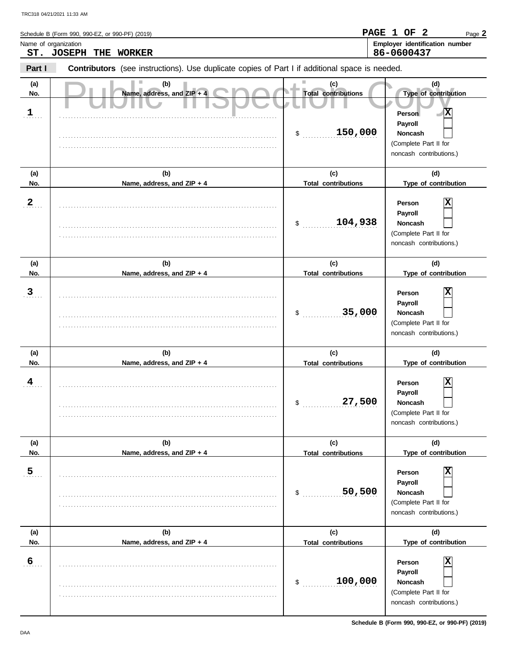|                            | TRC318 04/21/2021 11:33 AM                                                                     |                                                    |                                                                                                                                   |
|----------------------------|------------------------------------------------------------------------------------------------|----------------------------------------------------|-----------------------------------------------------------------------------------------------------------------------------------|
| Name of organization       | Schedule B (Form 990, 990-EZ, or 990-PF) (2019)<br>ST. JOSEPH<br>THE<br><b>WORKER</b>          |                                                    | PAGE 1 OF<br>- 2<br>Page 2<br>Employer identification number<br>86-0600437                                                        |
| Part I                     | Contributors (see instructions). Use duplicate copies of Part I if additional space is needed. |                                                    |                                                                                                                                   |
| (a)<br>No.<br>$\mathbf{1}$ | (b)<br>Name, address, and ZIP + 4                                                              | (c)<br><b>Total contributions</b><br>150,000<br>\$ | (d)<br>Type of contribution<br>$\blacksquare$<br>Person<br>Payroll<br>Noncash<br>(Complete Part II for<br>noncash contributions.) |
| (a)                        | (b)                                                                                            | (c)                                                | (d)                                                                                                                               |
| No.<br>$\mathbf{2}$        | Name, address, and ZIP + 4                                                                     | <b>Total contributions</b><br>104,938<br>\$        | Type of contribution<br>х<br>Person<br>Payroll<br>Noncash<br>(Complete Part II for<br>noncash contributions.)                     |
| (a)                        | (b)                                                                                            | (c)                                                | (d)                                                                                                                               |
| No.<br>3                   | Name, address, and ZIP + 4                                                                     | <b>Total contributions</b><br>35,000<br>\$         | Type of contribution<br>х<br>Person<br>Payroll<br>Noncash<br>(Complete Part II for<br>noncash contributions.)                     |
| (a)<br>No.                 | (b)<br>Name, address, and ZIP + 4                                                              | (c)<br><b>Total contributions</b>                  | (d)<br>Type of contribution                                                                                                       |
| $\overline{A}$             |                                                                                                | 27,500<br>\$                                       | ▭<br>Person<br>ᅀ<br>Payroll<br>Noncash<br>(Complete Part II for<br>noncash contributions.)                                        |
| (a)                        | (b)                                                                                            | (c)                                                | (d)                                                                                                                               |
| No.<br>$\overline{5}$      | Name, address, and ZIP + 4                                                                     | <b>Total contributions</b><br>50,500<br>\$         | Type of contribution<br>х<br>Person<br>Payroll<br>Noncash<br>(Complete Part II for<br>noncash contributions.)                     |
| (a)<br>No.                 | (b)<br>Name, address, and ZIP + 4                                                              | (c)<br><b>Total contributions</b>                  | (d)<br>Type of contribution                                                                                                       |
| $6 \overline{6}$           |                                                                                                |                                                    | $\overline{\mathbf{x}}$<br>Person<br>Payroll                                                                                      |

. . . . . . . . . . . . . . . . . . . . . . . . . . . . . . . . . . . . . . . . . . . . . . . . . . . . . . . . . . . . . . . . . . . . . . . . . . . . . . . . . . . . . . . . . . . . . . . . . . . . . . . . . . . . . . . . . . . . . . . . . . . . . . . . . . . . . . . . . . . . . . . . . . . . . . . . . . . .

(Complete Part II for noncash contributions.)

Ξ

**Noncash**

\$ . . . . . . . . . . . . . . . . . . . . . . . . . . . **100,000**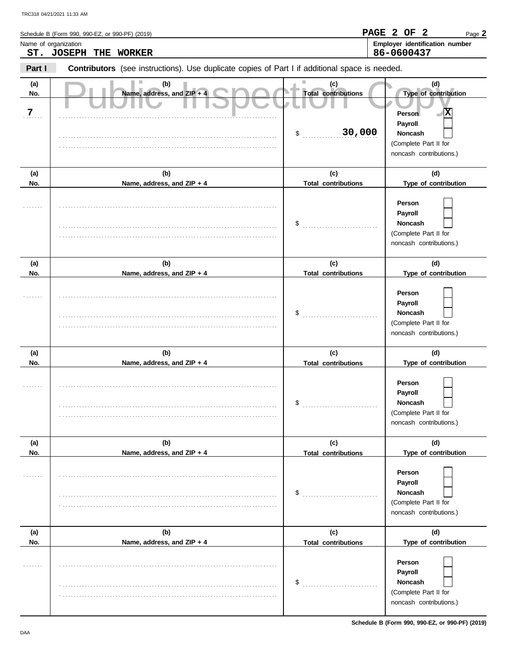|                      | Schedule B (Form 990, 990-EZ, or 990-PF) (2019)                                                |                                   | PAGE 2 OF 2<br>Page 2                                                                   |
|----------------------|------------------------------------------------------------------------------------------------|-----------------------------------|-----------------------------------------------------------------------------------------|
| Name of organization | ST. JOSEPH THE WORKER                                                                          |                                   | Employer identification number<br>86-0600437                                            |
| Part I               | Contributors (see instructions). Use duplicate copies of Part I if additional space is needed. |                                   |                                                                                         |
| (a)<br>No.<br>7      | (b)<br>Name, address, and ZIP + 4                                                              | (c)<br><b>Total contributions</b> | (d)<br>Type of contribution<br>x<br>Person                                              |
|                      |                                                                                                | 30,000<br>\$                      | Payroll<br>Noncash<br>(Complete Part II for<br>noncash contributions.)                  |
| (a)<br>No.           | (b)<br>Name, address, and ZIP + 4                                                              | (c)<br><b>Total contributions</b> | (d)<br>Type of contribution                                                             |
|                      |                                                                                                | \$                                | Person<br>Payroll<br><b>Noncash</b><br>(Complete Part II for<br>noncash contributions.) |
| (a)<br>No.           | (b)<br>Name, address, and ZIP + 4                                                              | (c)<br><b>Total contributions</b> | (d)<br>Type of contribution                                                             |
|                      |                                                                                                | \$                                | Person<br>Payroll<br>Noncash<br>(Complete Part II for<br>noncash contributions.)        |
| (a)<br>No.           | (b)<br>Name, address, and ZIP + 4                                                              | (c)<br><b>Total contributions</b> | (d)<br>Type of contribution                                                             |
|                      |                                                                                                | \$                                | Person<br>Payroll<br><b>Noncash</b><br>(Complete Part II for<br>noncash contributions.) |
| (a)<br>No.           | (b)<br>Name, address, and ZIP + 4                                                              | (c)<br><b>Total contributions</b> | (d)<br>Type of contribution                                                             |
| .                    |                                                                                                | \$                                | Person<br>Payroll<br>Noncash<br>(Complete Part II for<br>noncash contributions.)        |
| (a)<br>No.           | (b)<br>Name, address, and ZIP + 4                                                              | (c)<br><b>Total contributions</b> | (d)<br>Type of contribution                                                             |
| .                    |                                                                                                | \$                                | Person<br>Payroll<br>Noncash<br>(Complete Part II for                                   |

noncash contributions.)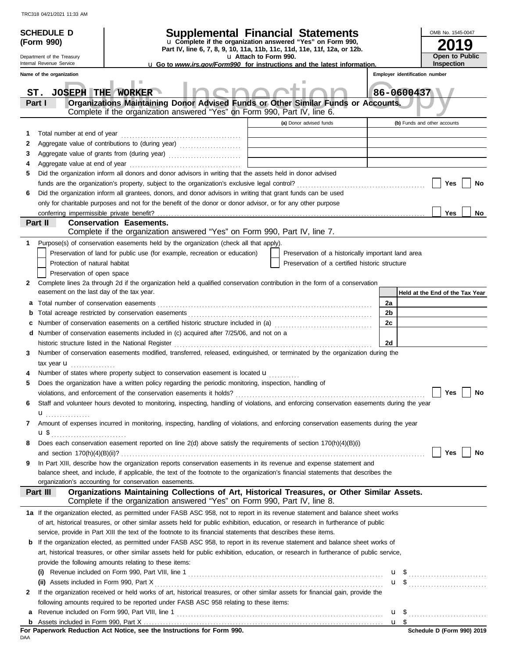|   | <b>SCHEDULE D</b>                         | <b>Supplemental Financial Statements</b>                                                                                                                                                                                       |                                                                                                   |                                                                                           |    |  |            | OMB No. 1545-0047              |                                 |
|---|-------------------------------------------|--------------------------------------------------------------------------------------------------------------------------------------------------------------------------------------------------------------------------------|---------------------------------------------------------------------------------------------------|-------------------------------------------------------------------------------------------|----|--|------------|--------------------------------|---------------------------------|
|   | (Form 990)                                |                                                                                                                                                                                                                                | u Complete if the organization answered "Yes" on Form 990,                                        |                                                                                           |    |  |            |                                |                                 |
|   | Department of the Treasury                |                                                                                                                                                                                                                                | Part IV, line 6, 7, 8, 9, 10, 11a, 11b, 11c, 11d, 11e, 11f, 12a, or 12b.<br>u Attach to Form 990. |                                                                                           |    |  |            |                                | Open to Public                  |
|   | Internal Revenue Service                  | <b>u</b> Go to www.irs.gov/Form990 for instructions and the latest information.                                                                                                                                                |                                                                                                   |                                                                                           |    |  |            | <b>Inspection</b>              |                                 |
|   | Name of the organization                  |                                                                                                                                                                                                                                |                                                                                                   |                                                                                           |    |  |            | Employer identification number |                                 |
|   | <b>JOSEPH THE WORKER</b><br>ST.           |                                                                                                                                                                                                                                |                                                                                                   |                                                                                           |    |  | 86-0600437 |                                |                                 |
|   | Part I                                    | Organizations Maintaining Donor Advised Funds or Other Similar Funds or Accounts.                                                                                                                                              |                                                                                                   |                                                                                           |    |  |            |                                |                                 |
|   |                                           | Complete if the organization answered "Yes" on Form 990, Part IV, line 6.                                                                                                                                                      |                                                                                                   |                                                                                           |    |  |            |                                |                                 |
|   |                                           |                                                                                                                                                                                                                                |                                                                                                   | (a) Donor advised funds                                                                   |    |  |            | (b) Funds and other accounts   |                                 |
| 1 | Total number at end of year               |                                                                                                                                                                                                                                |                                                                                                   |                                                                                           |    |  |            |                                |                                 |
| 2 |                                           | Aggregate value of contributions to (during year)                                                                                                                                                                              |                                                                                                   |                                                                                           |    |  |            |                                |                                 |
| 3 |                                           | Aggregate value of grants from (during year)                                                                                                                                                                                   |                                                                                                   | the control of the control of the control of the control of the control of the control of |    |  |            |                                |                                 |
| 4 |                                           |                                                                                                                                                                                                                                |                                                                                                   |                                                                                           |    |  |            |                                |                                 |
| 5 |                                           | Did the organization inform all donors and donor advisors in writing that the assets held in donor advised                                                                                                                     |                                                                                                   |                                                                                           |    |  |            |                                |                                 |
|   |                                           |                                                                                                                                                                                                                                |                                                                                                   |                                                                                           |    |  |            | Yes                            | No                              |
| 6 |                                           | Did the organization inform all grantees, donors, and donor advisors in writing that grant funds can be used                                                                                                                   |                                                                                                   |                                                                                           |    |  |            |                                |                                 |
|   |                                           | only for charitable purposes and not for the benefit of the donor or donor advisor, or for any other purpose                                                                                                                   |                                                                                                   |                                                                                           |    |  |            | Yes                            | No.                             |
|   | Part II                                   | <b>Conservation Easements.</b>                                                                                                                                                                                                 |                                                                                                   |                                                                                           |    |  |            |                                |                                 |
|   |                                           | Complete if the organization answered "Yes" on Form 990, Part IV, line 7.                                                                                                                                                      |                                                                                                   |                                                                                           |    |  |            |                                |                                 |
| 1 |                                           | Purpose(s) of conservation easements held by the organization (check all that apply).                                                                                                                                          |                                                                                                   |                                                                                           |    |  |            |                                |                                 |
|   |                                           | Preservation of land for public use (for example, recreation or education)                                                                                                                                                     |                                                                                                   | Preservation of a historically important land area                                        |    |  |            |                                |                                 |
|   | Protection of natural habitat             |                                                                                                                                                                                                                                |                                                                                                   | Preservation of a certified historic structure                                            |    |  |            |                                |                                 |
|   | Preservation of open space                |                                                                                                                                                                                                                                |                                                                                                   |                                                                                           |    |  |            |                                |                                 |
| 2 |                                           | Complete lines 2a through 2d if the organization held a qualified conservation contribution in the form of a conservation                                                                                                      |                                                                                                   |                                                                                           |    |  |            |                                |                                 |
|   | easement on the last day of the tax year. |                                                                                                                                                                                                                                |                                                                                                   |                                                                                           |    |  |            |                                | Held at the End of the Tax Year |
| a | Total number of conservation easements    |                                                                                                                                                                                                                                |                                                                                                   |                                                                                           | 2a |  |            |                                |                                 |
| b |                                           | Total acreage restricted by conservation easements [111] [11] Total acreage restriction of the series of the series of the series of the series of the series of the series of the series of the series of the series of the s |                                                                                                   |                                                                                           | 2b |  |            |                                |                                 |
| c |                                           | Number of conservation easements on a certified historic structure included in (a) [11] Number of conservation easements on a certified historic structure included in (a)                                                     |                                                                                                   |                                                                                           | 2c |  |            |                                |                                 |
| d |                                           | Number of conservation easements included in (c) acquired after 7/25/06, and not on a                                                                                                                                          |                                                                                                   |                                                                                           |    |  |            |                                |                                 |
|   |                                           | historic structure listed in the National Register                                                                                                                                                                             |                                                                                                   |                                                                                           | 2d |  |            |                                |                                 |
| 3 |                                           | Number of conservation easements modified, transferred, released, extinguished, or terminated by the organization during the                                                                                                   |                                                                                                   |                                                                                           |    |  |            |                                |                                 |
|   | tax year <b>u</b>                         |                                                                                                                                                                                                                                |                                                                                                   |                                                                                           |    |  |            |                                |                                 |
|   |                                           | Number of states where property subject to conservation easement is located <b>u</b>                                                                                                                                           |                                                                                                   |                                                                                           |    |  |            |                                |                                 |
| 5 |                                           | Does the organization have a written policy regarding the periodic monitoring, inspection, handling of                                                                                                                         |                                                                                                   |                                                                                           |    |  |            |                                |                                 |
|   |                                           | violations, and enforcement of the conservation easements it holds? $\ldots$ $\ldots$ $\ldots$ $\ldots$ $\ldots$ $\ldots$ $\ldots$ $\ldots$ $\ldots$ $\ldots$ $\ldots$ $\ldots$ $\ldots$ $\ldots$                              |                                                                                                   |                                                                                           |    |  |            |                                | <b>No</b>                       |
| 6 |                                           | Staff and volunteer hours devoted to monitoring, inspecting, handling of violations, and enforcing conservation easements during the year                                                                                      |                                                                                                   |                                                                                           |    |  |            |                                |                                 |
| 7 | <b>u</b>                                  | Amount of expenses incurred in monitoring, inspecting, handling of violations, and enforcing conservation easements during the year                                                                                            |                                                                                                   |                                                                                           |    |  |            |                                |                                 |
|   |                                           |                                                                                                                                                                                                                                |                                                                                                   |                                                                                           |    |  |            |                                |                                 |
| 8 |                                           | Does each conservation easement reported on line 2(d) above satisfy the requirements of section 170(h)(4)(B)(i)                                                                                                                |                                                                                                   |                                                                                           |    |  |            |                                |                                 |
|   |                                           |                                                                                                                                                                                                                                |                                                                                                   |                                                                                           |    |  |            | Yes                            | No                              |
| 9 |                                           | In Part XIII, describe how the organization reports conservation easements in its revenue and expense statement and                                                                                                            |                                                                                                   |                                                                                           |    |  |            |                                |                                 |
|   |                                           | balance sheet, and include, if applicable, the text of the footnote to the organization's financial statements that describes the                                                                                              |                                                                                                   |                                                                                           |    |  |            |                                |                                 |
|   |                                           | organization's accounting for conservation easements.                                                                                                                                                                          |                                                                                                   |                                                                                           |    |  |            |                                |                                 |
|   | Part III                                  | Organizations Maintaining Collections of Art, Historical Treasures, or Other Similar Assets.<br>Complete if the organization answered "Yes" on Form 990, Part IV, line 8.                                                      |                                                                                                   |                                                                                           |    |  |            |                                |                                 |
|   |                                           | 1a If the organization elected, as permitted under FASB ASC 958, not to report in its revenue statement and balance sheet works                                                                                                |                                                                                                   |                                                                                           |    |  |            |                                |                                 |
|   |                                           | of art, historical treasures, or other similar assets held for public exhibition, education, or research in furtherance of public                                                                                              |                                                                                                   |                                                                                           |    |  |            |                                |                                 |
|   |                                           | service, provide in Part XIII the text of the footnote to its financial statements that describes these items.                                                                                                                 |                                                                                                   |                                                                                           |    |  |            |                                |                                 |
| b |                                           | If the organization elected, as permitted under FASB ASC 958, to report in its revenue statement and balance sheet works of                                                                                                    |                                                                                                   |                                                                                           |    |  |            |                                |                                 |
|   |                                           | art, historical treasures, or other similar assets held for public exhibition, education, or research in furtherance of public service,                                                                                        |                                                                                                   |                                                                                           |    |  |            |                                |                                 |
|   |                                           | provide the following amounts relating to these items:                                                                                                                                                                         |                                                                                                   |                                                                                           |    |  |            |                                |                                 |
|   |                                           |                                                                                                                                                                                                                                |                                                                                                   |                                                                                           |    |  |            |                                |                                 |
|   |                                           |                                                                                                                                                                                                                                |                                                                                                   |                                                                                           |    |  |            |                                | $\mathbf{u}$ \$                 |
| 2 |                                           | If the organization received or held works of art, historical treasures, or other similar assets for financial gain, provide the                                                                                               |                                                                                                   |                                                                                           |    |  |            |                                |                                 |
|   |                                           | following amounts required to be reported under FASB ASC 958 relating to these items:                                                                                                                                          |                                                                                                   |                                                                                           |    |  |            |                                |                                 |
| а |                                           |                                                                                                                                                                                                                                |                                                                                                   |                                                                                           |    |  |            |                                |                                 |
|   |                                           |                                                                                                                                                                                                                                |                                                                                                   |                                                                                           |    |  |            |                                |                                 |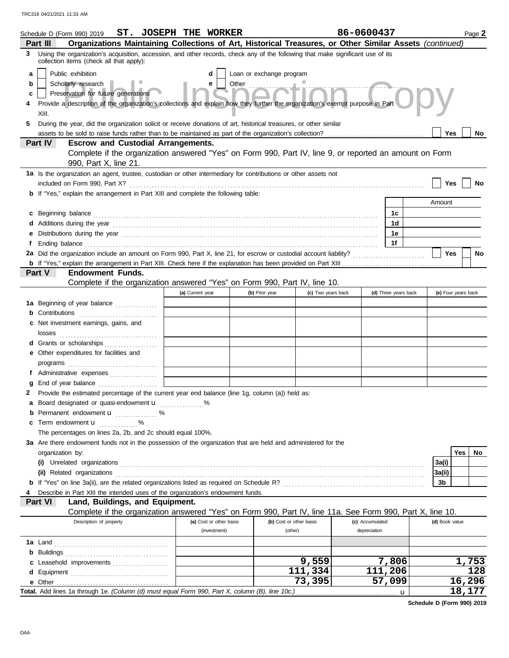|   | Schedule D (Form 990) 2019 ST. JOSEPH THE WORKER                                                                                                                                                                                     |                         |                          |                         | 86-0600437      |                      |                | Page 2              |
|---|--------------------------------------------------------------------------------------------------------------------------------------------------------------------------------------------------------------------------------------|-------------------------|--------------------------|-------------------------|-----------------|----------------------|----------------|---------------------|
|   | Organizations Maintaining Collections of Art, Historical Treasures, or Other Similar Assets (continued)<br>Part III                                                                                                                  |                         |                          |                         |                 |                      |                |                     |
| 3 | Using the organization's acquisition, accession, and other records, check any of the following that make significant use of its<br>collection items (check all that apply):                                                          |                         |                          |                         |                 |                      |                |                     |
| a | Public exhibition                                                                                                                                                                                                                    | d                       | Loan or exchange program |                         |                 |                      |                |                     |
| b | Scholarly research<br>Preservation for future generations<br>Provide a description of the organization's collections and explain how they further the organization's exempt purpose in Part                                          |                         |                          |                         |                 |                      |                |                     |
| c |                                                                                                                                                                                                                                      |                         |                          |                         |                 |                      |                |                     |
|   |                                                                                                                                                                                                                                      |                         |                          |                         |                 |                      |                |                     |
|   | XIII.                                                                                                                                                                                                                                |                         |                          |                         |                 |                      |                |                     |
| 5 | During the year, did the organization solicit or receive donations of art, historical treasures, or other similar                                                                                                                    |                         |                          |                         |                 |                      |                |                     |
|   |                                                                                                                                                                                                                                      |                         |                          |                         |                 |                      | Yes            | No                  |
|   | Part IV<br><b>Escrow and Custodial Arrangements.</b>                                                                                                                                                                                 |                         |                          |                         |                 |                      |                |                     |
|   | Complete if the organization answered "Yes" on Form 990, Part IV, line 9, or reported an amount on Form                                                                                                                              |                         |                          |                         |                 |                      |                |                     |
|   | 990, Part X, line 21.<br>1a Is the organization an agent, trustee, custodian or other intermediary for contributions or other assets not                                                                                             |                         |                          |                         |                 |                      |                |                     |
|   | included on Form 990, Part X?                                                                                                                                                                                                        |                         |                          |                         |                 |                      | Yes            | No                  |
|   | <b>b</b> If "Yes," explain the arrangement in Part XIII and complete the following table:                                                                                                                                            |                         |                          |                         |                 |                      |                |                     |
|   |                                                                                                                                                                                                                                      |                         |                          |                         |                 |                      | Amount         |                     |
|   |                                                                                                                                                                                                                                      |                         |                          |                         |                 |                      |                |                     |
|   | c Beginning balance <b>contract the contract of the contract of the contract of the contract of the contract of the contract of the contract of the contract of the contract of the contract of the contract of the contract of </b> |                         |                          |                         |                 | 1c                   |                |                     |
|   |                                                                                                                                                                                                                                      |                         |                          |                         |                 | 1d                   |                |                     |
| е |                                                                                                                                                                                                                                      |                         |                          |                         |                 | 1e                   |                |                     |
| f | Ending balance <b>constructs</b> and constructs and constructs and constructs are the constructed and constructs are the construction of the construction of the construction of the construction of the construction of the constr  |                         |                          |                         |                 | 1f                   |                |                     |
|   |                                                                                                                                                                                                                                      |                         |                          |                         |                 |                      | <b>Yes</b>     | <b>No</b>           |
|   | <b>Endowment Funds.</b>                                                                                                                                                                                                              |                         |                          |                         |                 |                      |                |                     |
|   | <b>Part V</b><br>Complete if the organization answered "Yes" on Form 990, Part IV, line 10.                                                                                                                                          |                         |                          |                         |                 |                      |                |                     |
|   |                                                                                                                                                                                                                                      |                         |                          |                         |                 |                      |                |                     |
|   |                                                                                                                                                                                                                                      | (a) Current year        | (b) Prior year           | (c) Two years back      |                 | (d) Three years back |                | (e) Four years back |
|   | 1a Beginning of year balance                                                                                                                                                                                                         |                         |                          |                         |                 |                      |                |                     |
|   | <b>b</b> Contributions                                                                                                                                                                                                               |                         |                          |                         |                 |                      |                |                     |
|   | c Net investment earnings, gains, and                                                                                                                                                                                                |                         |                          |                         |                 |                      |                |                     |
|   |                                                                                                                                                                                                                                      |                         |                          |                         |                 |                      |                |                     |
|   | d Grants or scholarships                                                                                                                                                                                                             |                         |                          |                         |                 |                      |                |                     |
|   | e Other expenditures for facilities and                                                                                                                                                                                              |                         |                          |                         |                 |                      |                |                     |
|   | programs                                                                                                                                                                                                                             |                         |                          |                         |                 |                      |                |                     |
|   | f Administrative expenses                                                                                                                                                                                                            |                         |                          |                         |                 |                      |                |                     |
| g | End of year balance                                                                                                                                                                                                                  |                         |                          |                         |                 |                      |                |                     |
| 2 | Provide the estimated percentage of the current year end balance (line 1g, column (a)) held as:                                                                                                                                      |                         |                          |                         |                 |                      |                |                     |
|   | a Board designated or quasi-endowment u                                                                                                                                                                                              |                         |                          |                         |                 |                      |                |                     |
| b | Permanent endowment <b>u</b> %                                                                                                                                                                                                       |                         |                          |                         |                 |                      |                |                     |
| c | Term endowment <b>u</b>                                                                                                                                                                                                              |                         |                          |                         |                 |                      |                |                     |
|   | The percentages on lines 2a, 2b, and 2c should equal 100%.                                                                                                                                                                           |                         |                          |                         |                 |                      |                |                     |
|   | 3a Are there endowment funds not in the possession of the organization that are held and administered for the                                                                                                                        |                         |                          |                         |                 |                      |                |                     |
|   | organization by:                                                                                                                                                                                                                     |                         |                          |                         |                 |                      |                | Yes<br>No           |
|   |                                                                                                                                                                                                                                      |                         |                          |                         |                 |                      | 3a(i)          |                     |
|   | (ii) Related organizations <b>contained a set of the contained a set of the contained a set of the contained a set of the contact of the contact of the contact of the contact of the contact of the contact of the contact of t</b> |                         |                          |                         |                 |                      | 3a(ii)         |                     |
|   |                                                                                                                                                                                                                                      |                         |                          |                         |                 |                      | 3b             |                     |
| 4 | Describe in Part XIII the intended uses of the organization's endowment funds.                                                                                                                                                       |                         |                          |                         |                 |                      |                |                     |
|   | Land, Buildings, and Equipment.<br><b>Part VI</b>                                                                                                                                                                                    |                         |                          |                         |                 |                      |                |                     |
|   | Complete if the organization answered "Yes" on Form 990, Part IV, line 11a. See Form 990, Part X, line 10.                                                                                                                           |                         |                          |                         |                 |                      |                |                     |
|   | Description of property                                                                                                                                                                                                              | (a) Cost or other basis |                          | (b) Cost or other basis | (c) Accumulated |                      | (d) Book value |                     |
|   |                                                                                                                                                                                                                                      | (investment)            |                          | (other)                 | depreciation    |                      |                |                     |
|   |                                                                                                                                                                                                                                      |                         |                          |                         |                 |                      |                |                     |
|   |                                                                                                                                                                                                                                      |                         |                          |                         |                 |                      |                |                     |
|   | c Leasehold improvements                                                                                                                                                                                                             |                         |                          | 9,559                   |                 | 7,806                |                | 1,753               |
|   |                                                                                                                                                                                                                                      |                         |                          | 111,334                 |                 | 111,206              |                | 128                 |
|   |                                                                                                                                                                                                                                      |                         |                          | 73,395                  |                 | 57,099               |                | 16,296              |
|   | Total. Add lines 1a through 1e. (Column (d) must equal Form 990, Part X, column (B), line 10c.)                                                                                                                                      |                         |                          |                         |                 | u                    |                | 18,177              |

**Schedule D (Form 990) 2019**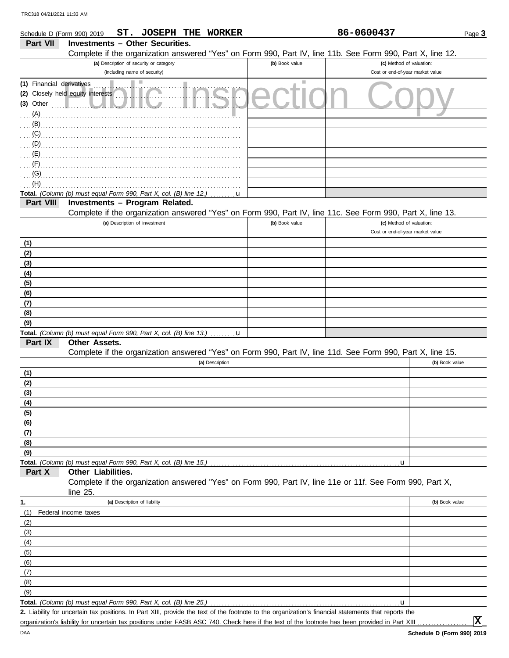| Schedule D (Form 990) 2019 | ST. JOSEPH THE WORKER                                                                                      |                | 86-0600437                       | Page 3         |
|----------------------------|------------------------------------------------------------------------------------------------------------|----------------|----------------------------------|----------------|
| <b>Part VII</b>            | <b>Investments - Other Securities.</b>                                                                     |                |                                  |                |
|                            | Complete if the organization answered "Yes" on Form 990, Part IV, line 11b. See Form 990, Part X, line 12. |                |                                  |                |
|                            | (a) Description of security or category                                                                    | (b) Book value | (c) Method of valuation:         |                |
|                            | (including name of security)                                                                               |                | Cost or end-of-year market value |                |
| (1) Financial derivatives  | a.                                                                                                         | ш              |                                  |                |
|                            | (2) Closely held equity interests                                                                          |                |                                  |                |
| (3) Other                  |                                                                                                            |                |                                  |                |
| (A)                        |                                                                                                            |                |                                  |                |
| (B)                        |                                                                                                            |                |                                  |                |
|                            |                                                                                                            |                |                                  |                |
| (C)                        |                                                                                                            |                |                                  |                |
| (D)                        |                                                                                                            |                |                                  |                |
| (E)                        |                                                                                                            |                |                                  |                |
| (F)                        |                                                                                                            |                |                                  |                |
| (G)                        |                                                                                                            |                |                                  |                |
| (H)                        |                                                                                                            |                |                                  |                |
|                            | Total. (Column (b) must equal Form 990, Part X, col. (B) line 12.)<br>u                                    |                |                                  |                |
| Part VIII                  | Investments - Program Related.                                                                             |                |                                  |                |
|                            | Complete if the organization answered "Yes" on Form 990, Part IV, line 11c. See Form 990, Part X, line 13. |                |                                  |                |
|                            | (a) Description of investment                                                                              | (b) Book value | (c) Method of valuation:         |                |
|                            |                                                                                                            |                | Cost or end-of-year market value |                |
| (1)                        |                                                                                                            |                |                                  |                |
| (2)                        |                                                                                                            |                |                                  |                |
| (3)                        |                                                                                                            |                |                                  |                |
| (4)                        |                                                                                                            |                |                                  |                |
| (5)                        |                                                                                                            |                |                                  |                |
| (6)                        |                                                                                                            |                |                                  |                |
| (7)                        |                                                                                                            |                |                                  |                |
| (8)                        |                                                                                                            |                |                                  |                |
| (9)                        |                                                                                                            |                |                                  |                |
|                            | Total. (Column (b) must equal Form 990, Part X, col. (B) line 13.)<br>$\mathbf{u}$                         |                |                                  |                |
| Part IX                    | Other Assets.                                                                                              |                |                                  |                |
|                            | Complete if the organization answered "Yes" on Form 990, Part IV, line 11d. See Form 990, Part X, line 15. |                |                                  |                |
|                            | (a) Description                                                                                            |                |                                  | (b) Book value |
| (1)                        |                                                                                                            |                |                                  |                |
| (2)                        |                                                                                                            |                |                                  |                |
| (3)                        |                                                                                                            |                |                                  |                |
| (4)                        |                                                                                                            |                |                                  |                |
| (5)                        |                                                                                                            |                |                                  |                |
| (6)                        |                                                                                                            |                |                                  |                |
| (7)                        |                                                                                                            |                |                                  |                |
| (8)                        |                                                                                                            |                |                                  |                |
| (9)                        |                                                                                                            |                |                                  |                |
|                            |                                                                                                            |                | u                                |                |
| Part X                     | Other Liabilities.                                                                                         |                |                                  |                |
|                            | Complete if the organization answered "Yes" on Form 990, Part IV, line 11e or 11f. See Form 990, Part X,   |                |                                  |                |
|                            | line 25.                                                                                                   |                |                                  |                |
| 1.                         | (a) Description of liability                                                                               |                |                                  | (b) Book value |
| (1)                        | Federal income taxes                                                                                       |                |                                  |                |
| (2)                        |                                                                                                            |                |                                  |                |
| (3)                        |                                                                                                            |                |                                  |                |
| (4)                        |                                                                                                            |                |                                  |                |
| (5)                        |                                                                                                            |                |                                  |                |
| (6)                        |                                                                                                            |                |                                  |                |
| (7)                        |                                                                                                            |                |                                  |                |
| (8)                        |                                                                                                            |                |                                  |                |
| (9)                        |                                                                                                            |                |                                  |                |
|                            | Total. (Column (b) must equal Form 990, Part X, col. (B) line 25.)                                         |                | u                                |                |

Liability for uncertain tax positions. In Part XIII, provide the text of the footnote to the organization's financial statements that reports the **2.** organization's liability for uncertain tax positions under FASB ASC 740. Check here if the text of the footnote has been provided in Part XIII

**X**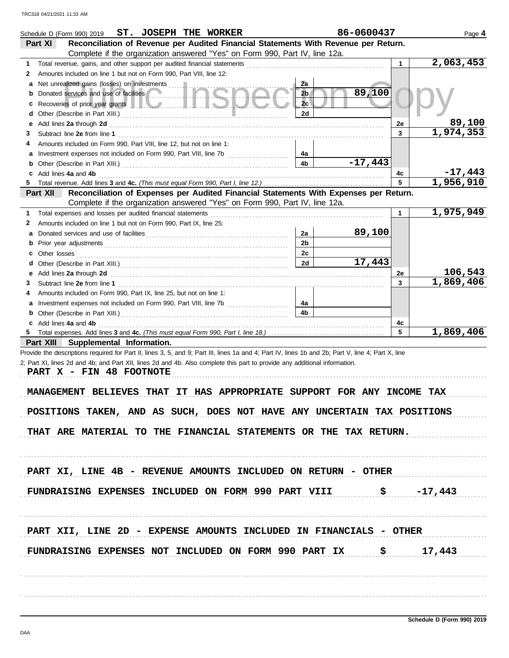|        |              | ST. JOSEPH THE WORKER<br>Schedule D (Form 990) 2019                                                                                                                                                                                        | 86-0600437 |         | Page 4                 |
|--------|--------------|--------------------------------------------------------------------------------------------------------------------------------------------------------------------------------------------------------------------------------------------|------------|---------|------------------------|
|        | Part XI      | Reconciliation of Revenue per Audited Financial Statements With Revenue per Return.                                                                                                                                                        |            |         |                        |
|        |              | Complete if the organization answered "Yes" on Form 990, Part IV, line 12a.                                                                                                                                                                |            |         |                        |
| 1      |              | Total revenue, gains, and other support per audited financial statements                                                                                                                                                                   |            | 1       | 2,063,453              |
| 2      |              | Amounts included on line 1 but not on Form 990, Part VIII, line 12:                                                                                                                                                                        |            |         |                        |
| a      |              | Net unrealized gains (losses) on investments<br>2a                                                                                                                                                                                         |            |         |                        |
| b      |              | Donated services and use of facilities<br>2 <sub>b</sub>                                                                                                                                                                                   | 89,100     |         |                        |
| c      |              | 2c<br>Recoveries of prior year grants <b>The Community of the Community of the Community of the Community of the Community of the Community of the Community of the Community of the Community of the Community of the Community of th</b> |            |         |                        |
| d      |              | 2d                                                                                                                                                                                                                                         |            |         | 89,100                 |
| е<br>3 |              | Add lines 2a through 2d                                                                                                                                                                                                                    |            | 2e<br>3 | 1,974,353              |
| 4      |              | Amounts included on Form 990, Part VIII, line 12, but not on line 1:                                                                                                                                                                       |            |         |                        |
| а      |              | Investment expenses not included on Form 990, Part VIII, line 7b [100] [100] [100] [100] [100] [100] [100] [100] [100] [100] [100] [100] [100] [100] [100] [100] [100] [100] [100] [100] [100] [100] [100] [100] [100] [100] [<br>4a       |            |         |                        |
| b      |              | 4 <sub>b</sub>                                                                                                                                                                                                                             | $-17,443$  |         |                        |
| c      |              | Add lines 4a and 4b                                                                                                                                                                                                                        |            | 4c      | $-17,443$              |
|        |              |                                                                                                                                                                                                                                            |            | 5       | 1,956,910              |
|        | Part XII     | Reconciliation of Expenses per Audited Financial Statements With Expenses per Return.                                                                                                                                                      |            |         |                        |
|        |              | Complete if the organization answered "Yes" on Form 990, Part IV, line 12a.                                                                                                                                                                |            |         |                        |
| 1      |              | Total expenses and losses per audited financial statements                                                                                                                                                                                 |            | 1       | $\overline{1,975,949}$ |
| 2      |              | Amounts included on line 1 but not on Form 990, Part IX, line 25:                                                                                                                                                                          |            |         |                        |
| а      |              | 2a                                                                                                                                                                                                                                         | 89,100     |         |                        |
| b      |              | 2 <sub>b</sub>                                                                                                                                                                                                                             |            |         |                        |
| c      | Other losses | 2c                                                                                                                                                                                                                                         |            |         |                        |
| d      |              | 2d                                                                                                                                                                                                                                         | 17,443     |         |                        |
| е      |              | Add lines 2a through 2d [11] Add [12] Add [12] Add lines 2a through 2d [12] Add lines 2a through 2d [12] Add [12] Add [12] Add [12] Add [12] Add [12] Add [12] Add [12] Add [12] Add [12] Add [12] Add [12] Add [12] Add [12]              |            | 2e      | 106,543                |
| 3      |              |                                                                                                                                                                                                                                            |            | 3       | 1,869,406              |
| 4      |              | Amounts included on Form 990, Part IX, line 25, but not on line 1:                                                                                                                                                                         |            |         |                        |
| а      |              | 4a<br>4 <sub>b</sub>                                                                                                                                                                                                                       |            |         |                        |
| b      |              |                                                                                                                                                                                                                                            |            | 4c      |                        |
| c      |              | Add lines 4a and 4b                                                                                                                                                                                                                        |            | 5       | 1,869,406              |
|        | Part XIII    | Supplemental Information.                                                                                                                                                                                                                  |            |         |                        |
|        |              | Provide the descriptions required for Part II, lines 3, 5, and 9; Part III, lines 1a and 4; Part IV, lines 1b and 2b; Part V, line 4; Part X, line                                                                                         |            |         |                        |
|        |              | 2; Part XI, lines 2d and 4b; and Part XII, lines 2d and 4b. Also complete this part to provide any additional information.                                                                                                                 |            |         |                        |
|        |              | PART X - FIN 48 FOOTNOTE                                                                                                                                                                                                                   |            |         |                        |
|        |              |                                                                                                                                                                                                                                            |            |         |                        |
|        |              | IT HAS APPROPRIATE SUPPORT FOR ANY INCOME TAX<br>MANAGEMENT BELIEVES<br>THAT                                                                                                                                                               |            |         |                        |
|        |              |                                                                                                                                                                                                                                            |            |         |                        |
|        |              | POSITIONS TAKEN, AND AS SUCH, DOES NOT HAVE ANY UNCERTAIN TAX POSITIONS                                                                                                                                                                    |            |         |                        |
|        |              |                                                                                                                                                                                                                                            |            |         |                        |
|        |              | THAT ARE MATERIAL TO THE FINANCIAL STATEMENTS OR THE TAX RETURN.                                                                                                                                                                           |            |         |                        |
|        |              |                                                                                                                                                                                                                                            |            |         |                        |
|        |              |                                                                                                                                                                                                                                            |            |         |                        |
|        |              | PART XI, LINE 4B - REVENUE AMOUNTS INCLUDED ON RETURN - OTHER                                                                                                                                                                              |            |         |                        |
|        |              |                                                                                                                                                                                                                                            |            |         |                        |
|        |              | FUNDRAISING EXPENSES INCLUDED ON FORM 990 PART VIII $$$ -17,443                                                                                                                                                                            |            |         |                        |
|        |              |                                                                                                                                                                                                                                            |            |         |                        |
|        |              |                                                                                                                                                                                                                                            |            |         |                        |
|        |              |                                                                                                                                                                                                                                            |            |         |                        |
|        |              | PART XII, LINE 2D - EXPENSE AMOUNTS INCLUDED IN FINANCIALS - OTHER                                                                                                                                                                         |            |         |                        |
|        |              |                                                                                                                                                                                                                                            |            |         |                        |
|        |              | FUNDRAISING EXPENSES NOT INCLUDED ON FORM 990 PART IX $$$ \$ 17,443                                                                                                                                                                        |            |         |                        |
|        |              |                                                                                                                                                                                                                                            |            |         |                        |
|        |              |                                                                                                                                                                                                                                            |            |         |                        |
|        |              |                                                                                                                                                                                                                                            |            |         |                        |
|        |              |                                                                                                                                                                                                                                            |            |         |                        |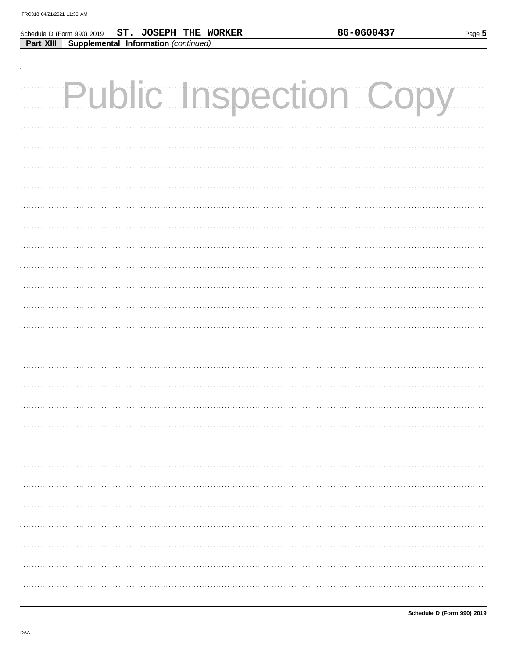| Schedule D (Form 990) 2019 ST. JOSEPH THE WORKER  | 86-0600437 | Page 5 |
|---------------------------------------------------|------------|--------|
| Supplemental Information (continued)<br>Part XIII |            |        |
|                                                   |            |        |
|                                                   |            |        |
|                                                   |            |        |
| <b>Public Inspection Cop</b>                      |            |        |
|                                                   |            |        |
|                                                   |            |        |
|                                                   |            |        |
|                                                   |            |        |
|                                                   |            |        |
|                                                   |            |        |
|                                                   |            |        |
|                                                   |            |        |
|                                                   |            |        |
|                                                   |            |        |
|                                                   |            |        |
|                                                   |            |        |
|                                                   |            |        |
|                                                   |            |        |
|                                                   |            |        |
|                                                   |            |        |
|                                                   |            |        |
|                                                   |            |        |
|                                                   |            |        |
|                                                   |            |        |
|                                                   |            |        |
|                                                   |            |        |
|                                                   |            |        |
|                                                   |            |        |
|                                                   |            |        |
|                                                   |            |        |
|                                                   |            |        |
|                                                   |            |        |
|                                                   |            |        |
|                                                   |            |        |
|                                                   |            |        |
|                                                   |            |        |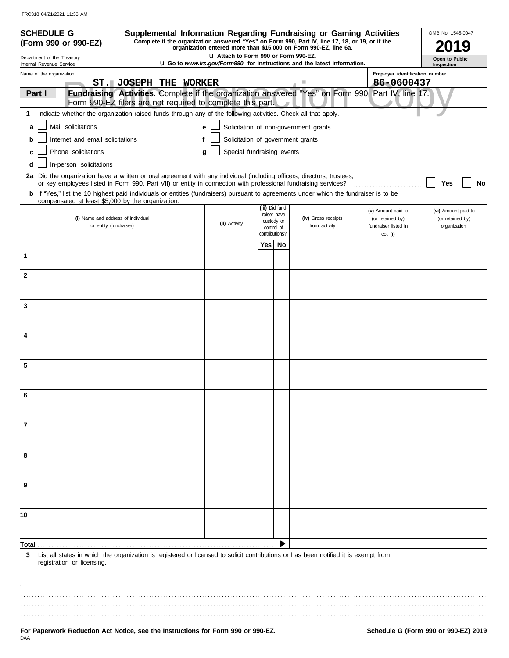| <b>SCHEDULE G</b>                                                                                                                                                                                                                                       |                                                            |   |                                       |       |                          | Supplemental Information Regarding Fundraising or Gaming Activities                                                                                                 |                                                                                                    | OMB No. 1545-0047                       |
|---------------------------------------------------------------------------------------------------------------------------------------------------------------------------------------------------------------------------------------------------------|------------------------------------------------------------|---|---------------------------------------|-------|--------------------------|---------------------------------------------------------------------------------------------------------------------------------------------------------------------|----------------------------------------------------------------------------------------------------|-----------------------------------------|
| (Form 990 or 990-EZ)                                                                                                                                                                                                                                    |                                                            |   |                                       |       |                          | Complete if the organization answered "Yes" on Form 990, Part IV, line 17, 18, or 19, or if the<br>organization entered more than \$15,000 on Form 990-EZ, line 6a. |                                                                                                    |                                         |
| Department of the Treasury                                                                                                                                                                                                                              |                                                            |   | L1 Attach to Form 990 or Form 990-EZ. |       |                          | <b>u</b> Go to www.irs.gov/Form990 for instructions and the latest information.                                                                                     |                                                                                                    | Open to Public                          |
| Internal Revenue Service<br>Name of the organization                                                                                                                                                                                                    |                                                            |   |                                       |       |                          |                                                                                                                                                                     | Employer identification number                                                                     | Inspection                              |
|                                                                                                                                                                                                                                                         | ST. JOSEPH THE WORKER                                      |   |                                       |       |                          | ш                                                                                                                                                                   | 86-0600437                                                                                         |                                         |
| Part I                                                                                                                                                                                                                                                  | Form 990-EZ filers are not required to complete this part. |   |                                       |       |                          |                                                                                                                                                                     | Fundraising Activities. Complete if the organization answered "Yes" on Form 990, Part IV, line 17. |                                         |
| Indicate whether the organization raised funds through any of the following activities. Check all that apply.<br>1.                                                                                                                                     |                                                            |   |                                       |       |                          |                                                                                                                                                                     |                                                                                                    |                                         |
| Mail solicitations<br>a                                                                                                                                                                                                                                 |                                                            |   | e                                     |       |                          | Solicitation of non-government grants                                                                                                                               |                                                                                                    |                                         |
| Internet and email solicitations<br>b                                                                                                                                                                                                                   |                                                            | f | Solicitation of government grants     |       |                          |                                                                                                                                                                     |                                                                                                    |                                         |
| Phone solicitations<br>c                                                                                                                                                                                                                                |                                                            |   | Special fundraising events<br>g       |       |                          |                                                                                                                                                                     |                                                                                                    |                                         |
| In-person solicitations<br>d                                                                                                                                                                                                                            |                                                            |   |                                       |       |                          |                                                                                                                                                                     |                                                                                                    |                                         |
| 2a Did the organization have a written or oral agreement with any individual (including officers, directors, trustees,                                                                                                                                  |                                                            |   |                                       |       |                          |                                                                                                                                                                     |                                                                                                    |                                         |
| or key employees listed in Form 990, Part VII) or entity in connection with professional fundraising services?<br>b If "Yes," list the 10 highest paid individuals or entities (fundraisers) pursuant to agreements under which the fundraiser is to be |                                                            |   |                                       |       |                          |                                                                                                                                                                     |                                                                                                    | Yes<br>No                               |
| compensated at least \$5,000 by the organization.                                                                                                                                                                                                       |                                                            |   |                                       |       | (iii) Did fund-          |                                                                                                                                                                     |                                                                                                    |                                         |
|                                                                                                                                                                                                                                                         | (i) Name and address of individual                         |   |                                       |       | raiser have              | (iv) Gross receipts                                                                                                                                                 | (v) Amount paid to<br>(or retained by)                                                             | (vi) Amount paid to<br>(or retained by) |
|                                                                                                                                                                                                                                                         | or entity (fundraiser)                                     |   | (ii) Activity                         |       | custody or<br>control of | from activity                                                                                                                                                       | fundraiser listed in                                                                               | organization                            |
|                                                                                                                                                                                                                                                         |                                                            |   |                                       | Yes l | contributions?<br>No     |                                                                                                                                                                     | col. (i)                                                                                           |                                         |
| 1                                                                                                                                                                                                                                                       |                                                            |   |                                       |       |                          |                                                                                                                                                                     |                                                                                                    |                                         |
|                                                                                                                                                                                                                                                         |                                                            |   |                                       |       |                          |                                                                                                                                                                     |                                                                                                    |                                         |
| $\mathbf{2}$                                                                                                                                                                                                                                            |                                                            |   |                                       |       |                          |                                                                                                                                                                     |                                                                                                    |                                         |
|                                                                                                                                                                                                                                                         |                                                            |   |                                       |       |                          |                                                                                                                                                                     |                                                                                                    |                                         |
| 3                                                                                                                                                                                                                                                       |                                                            |   |                                       |       |                          |                                                                                                                                                                     |                                                                                                    |                                         |
|                                                                                                                                                                                                                                                         |                                                            |   |                                       |       |                          |                                                                                                                                                                     |                                                                                                    |                                         |
|                                                                                                                                                                                                                                                         |                                                            |   |                                       |       |                          |                                                                                                                                                                     |                                                                                                    |                                         |
| 4                                                                                                                                                                                                                                                       |                                                            |   |                                       |       |                          |                                                                                                                                                                     |                                                                                                    |                                         |
|                                                                                                                                                                                                                                                         |                                                            |   |                                       |       |                          |                                                                                                                                                                     |                                                                                                    |                                         |
| 5                                                                                                                                                                                                                                                       |                                                            |   |                                       |       |                          |                                                                                                                                                                     |                                                                                                    |                                         |
|                                                                                                                                                                                                                                                         |                                                            |   |                                       |       |                          |                                                                                                                                                                     |                                                                                                    |                                         |
| 6                                                                                                                                                                                                                                                       |                                                            |   |                                       |       |                          |                                                                                                                                                                     |                                                                                                    |                                         |
|                                                                                                                                                                                                                                                         |                                                            |   |                                       |       |                          |                                                                                                                                                                     |                                                                                                    |                                         |
|                                                                                                                                                                                                                                                         |                                                            |   |                                       |       |                          |                                                                                                                                                                     |                                                                                                    |                                         |
| 7                                                                                                                                                                                                                                                       |                                                            |   |                                       |       |                          |                                                                                                                                                                     |                                                                                                    |                                         |
|                                                                                                                                                                                                                                                         |                                                            |   |                                       |       |                          |                                                                                                                                                                     |                                                                                                    |                                         |
| 8                                                                                                                                                                                                                                                       |                                                            |   |                                       |       |                          |                                                                                                                                                                     |                                                                                                    |                                         |
|                                                                                                                                                                                                                                                         |                                                            |   |                                       |       |                          |                                                                                                                                                                     |                                                                                                    |                                         |
| 9                                                                                                                                                                                                                                                       |                                                            |   |                                       |       |                          |                                                                                                                                                                     |                                                                                                    |                                         |
|                                                                                                                                                                                                                                                         |                                                            |   |                                       |       |                          |                                                                                                                                                                     |                                                                                                    |                                         |
|                                                                                                                                                                                                                                                         |                                                            |   |                                       |       |                          |                                                                                                                                                                     |                                                                                                    |                                         |
| 10                                                                                                                                                                                                                                                      |                                                            |   |                                       |       |                          |                                                                                                                                                                     |                                                                                                    |                                         |
|                                                                                                                                                                                                                                                         |                                                            |   |                                       |       |                          |                                                                                                                                                                     |                                                                                                    |                                         |
| Total                                                                                                                                                                                                                                                   |                                                            |   |                                       |       |                          |                                                                                                                                                                     |                                                                                                    |                                         |
| 3                                                                                                                                                                                                                                                       |                                                            |   |                                       |       |                          | List all states in which the organization is registered or licensed to solicit contributions or has been notified it is exempt from                                 |                                                                                                    |                                         |
| registration or licensing.                                                                                                                                                                                                                              |                                                            |   |                                       |       |                          |                                                                                                                                                                     |                                                                                                    |                                         |
|                                                                                                                                                                                                                                                         |                                                            |   |                                       |       |                          |                                                                                                                                                                     |                                                                                                    |                                         |
|                                                                                                                                                                                                                                                         |                                                            |   |                                       |       |                          |                                                                                                                                                                     |                                                                                                    |                                         |
|                                                                                                                                                                                                                                                         |                                                            |   |                                       |       |                          |                                                                                                                                                                     |                                                                                                    |                                         |
|                                                                                                                                                                                                                                                         |                                                            |   |                                       |       |                          |                                                                                                                                                                     |                                                                                                    |                                         |
|                                                                                                                                                                                                                                                         |                                                            |   |                                       |       |                          |                                                                                                                                                                     |                                                                                                    |                                         |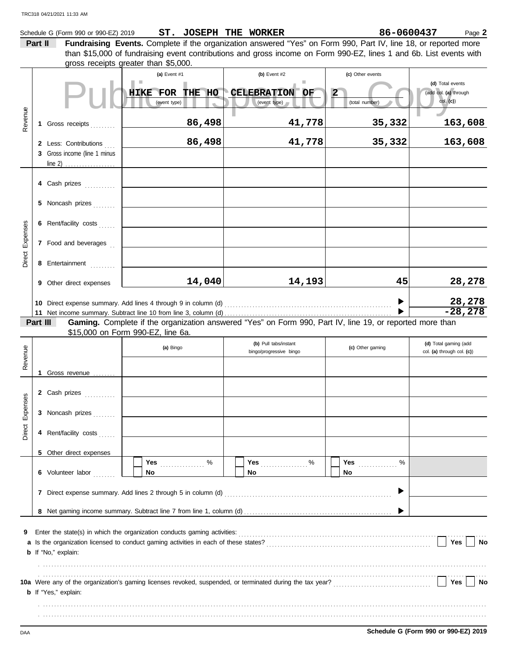|          | Part II  | Schedule G (Form 990 or 990-EZ) 2019                                           | ST. JOSEPH THE WORKER                                                    | Fundraising Events. Complete if the organization answered "Yes" on Form 990, Part IV, line 18, or reported more                                                                                                        | 86-0600437                       | Page 2                                              |
|----------|----------|--------------------------------------------------------------------------------|--------------------------------------------------------------------------|------------------------------------------------------------------------------------------------------------------------------------------------------------------------------------------------------------------------|----------------------------------|-----------------------------------------------------|
|          |          |                                                                                | gross receipts greater than \$5,000.                                     | than \$15,000 of fundraising event contributions and gross income on Form 990-EZ, lines 1 and 6b. List events with                                                                                                     |                                  |                                                     |
|          |          |                                                                                | (a) Event #1                                                             | (b) Event $#2$<br>ш                                                                                                                                                                                                    | (c) Other events                 | (d) Total events                                    |
|          |          |                                                                                | HIKE FOR THE HO<br>(event type)                                          | CELEBRATION OF<br>(event type)                                                                                                                                                                                         | $\overline{2}$<br>(total number) | (add col. (a) through<br>col. (c)                   |
| Revenue  |          | 1 Gross receipts                                                               | 86,498                                                                   | 41,778                                                                                                                                                                                                                 | 35,332                           | 163,608                                             |
|          |          | 2 Less: Contributions<br>3 Gross income (line 1 minus<br>line 2) $\frac{1}{2}$ | 86,498                                                                   | 41,778                                                                                                                                                                                                                 | 35,332                           | 163,608                                             |
|          |          | 4 Cash prizes                                                                  |                                                                          |                                                                                                                                                                                                                        |                                  |                                                     |
|          |          | 5 Noncash prizes                                                               |                                                                          |                                                                                                                                                                                                                        |                                  |                                                     |
| Expenses |          | 6 Rent/facility costs                                                          |                                                                          |                                                                                                                                                                                                                        |                                  |                                                     |
|          |          | 7 Food and beverages                                                           |                                                                          |                                                                                                                                                                                                                        |                                  |                                                     |
| Direct   |          | 8 Entertainment                                                                |                                                                          |                                                                                                                                                                                                                        |                                  |                                                     |
|          |          | 9 Other direct expenses                                                        | 14,040                                                                   | 14,193                                                                                                                                                                                                                 | 45                               | 28,278                                              |
|          |          |                                                                                | 10 Direct expense summary. Add lines 4 through 9 in column (d)           |                                                                                                                                                                                                                        |                                  | 28,278<br>$-28,278$                                 |
|          | Part III |                                                                                | \$15,000 on Form 990-EZ, line 6a.                                        | Gaming. Complete if the organization answered "Yes" on Form 990, Part IV, line 19, or reported more than                                                                                                               |                                  |                                                     |
| Revenue  |          |                                                                                | (a) Bingo                                                                | (b) Pull tabs/instant<br>bingo/progressive bingo                                                                                                                                                                       | (c) Other gaming                 | (d) Total gaming (add<br>col. (a) through col. (c)) |
|          |          | 1 Gross revenue                                                                |                                                                          |                                                                                                                                                                                                                        |                                  |                                                     |
| 3        |          | 2 Cash prizes                                                                  |                                                                          |                                                                                                                                                                                                                        |                                  |                                                     |
| Expense  |          | 3 Noncash prizes                                                               |                                                                          |                                                                                                                                                                                                                        |                                  |                                                     |
| Direct   |          | 4 Rent/facility costs                                                          |                                                                          |                                                                                                                                                                                                                        |                                  |                                                     |
|          |          | 5 Other direct expenses                                                        |                                                                          |                                                                                                                                                                                                                        |                                  |                                                     |
|          |          | 6 Volunteer labor                                                              | %<br>Yes <u>.</u><br>No                                                  | Yes $%$<br>No                                                                                                                                                                                                          | Yes <u></u><br>%<br>No           |                                                     |
|          |          |                                                                                |                                                                          |                                                                                                                                                                                                                        |                                  |                                                     |
|          |          |                                                                                |                                                                          |                                                                                                                                                                                                                        |                                  |                                                     |
| 9<br>а   |          | <b>b</b> If "No," explain:                                                     | Enter the state(s) in which the organization conducts gaming activities: |                                                                                                                                                                                                                        |                                  | Yes<br>No                                           |
|          |          |                                                                                |                                                                          |                                                                                                                                                                                                                        |                                  |                                                     |
|          |          | <b>b</b> If "Yes," explain:                                                    |                                                                          | 10a Were any of the organization's gaming licenses revoked, suspended, or terminated during the tax year?<br>10a Were any of the organization's gaming licenses revoked, suspended, or terminated during the tax year? |                                  | Yes<br>No                                           |
|          |          |                                                                                |                                                                          |                                                                                                                                                                                                                        |                                  |                                                     |

DAA **Schedule G (Form 990 or 990-EZ) 2019**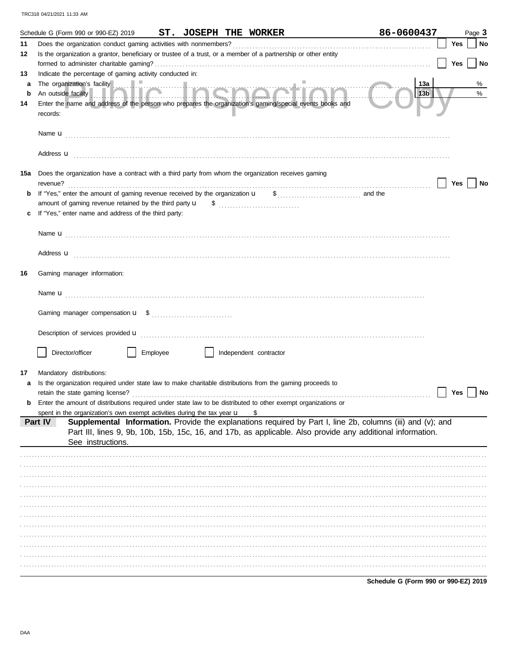|         | ST. JOSEPH THE WORKER<br>Schedule G (Form 990 or 990-EZ) 2019                                                                                                                                                                                            | 86-0600437 |     | Page 3 |
|---------|----------------------------------------------------------------------------------------------------------------------------------------------------------------------------------------------------------------------------------------------------------|------------|-----|--------|
| 11      | Does the organization conduct gaming activities with nonmembers?                                                                                                                                                                                         |            | Yes | No     |
| 12      | Is the organization a grantor, beneficiary or trustee of a trust, or a member of a partnership or other entity                                                                                                                                           |            |     |        |
|         |                                                                                                                                                                                                                                                          |            | Yes | No     |
| 13      | Indicate the percentage of gaming activity conducted in:                                                                                                                                                                                                 |            |     |        |
| a       | The organization's facility<br>An outside facility <b>Allen CHOCHOCHOLOGERS</b>                                                                                                                                                                          | 13a        |     | %      |
| b<br>14 | Enter the name and address of the person who prepares the organization's gaming/special events books and                                                                                                                                                 | 13b        |     | %      |
|         | records:                                                                                                                                                                                                                                                 |            |     |        |
|         |                                                                                                                                                                                                                                                          |            |     |        |
|         | Address <b>u</b>                                                                                                                                                                                                                                         |            |     |        |
| 15a     | Does the organization have a contract with a third party from whom the organization receives gaming<br>revenue?                                                                                                                                          |            | Yes | No     |
| b       |                                                                                                                                                                                                                                                          |            |     |        |
|         |                                                                                                                                                                                                                                                          |            |     |        |
|         | If "Yes," enter name and address of the third party:                                                                                                                                                                                                     |            |     |        |
|         |                                                                                                                                                                                                                                                          |            |     |        |
|         |                                                                                                                                                                                                                                                          |            |     |        |
|         |                                                                                                                                                                                                                                                          |            |     |        |
|         | Address <b>u</b>                                                                                                                                                                                                                                         |            |     |        |
| 16      | Gaming manager information:                                                                                                                                                                                                                              |            |     |        |
|         |                                                                                                                                                                                                                                                          |            |     |        |
|         |                                                                                                                                                                                                                                                          |            |     |        |
|         | Description of services provided <b>u</b> electron contract the contract of the contract of the contract of the contract of the contract of the contract of the contract of the contract of the contract of the contract of the con                      |            |     |        |
|         |                                                                                                                                                                                                                                                          |            |     |        |
|         | Director/officer<br>Employee<br>Independent contractor                                                                                                                                                                                                   |            |     |        |
|         |                                                                                                                                                                                                                                                          |            |     |        |
| 17      | Mandatory distributions:                                                                                                                                                                                                                                 |            |     |        |
|         | Is the organization required under state law to make charitable distributions from the gaming proceeds to                                                                                                                                                |            |     |        |
|         | retain the state gaming license?<br>Enter the amount of distributions required under state law to be distributed to other exempt organizations or                                                                                                        |            | Yes | No     |
|         | spent in the organization's own exempt activities during the tax year $\mathbf u$<br>\$                                                                                                                                                                  |            |     |        |
|         | Supplemental Information. Provide the explanations required by Part I, line 2b, columns (iii) and (v); and<br>Part IV<br>Part III, lines 9, 9b, 10b, 15b, 15c, 16, and 17b, as applicable. Also provide any additional information.<br>See instructions. |            |     |        |
|         |                                                                                                                                                                                                                                                          |            |     |        |
|         |                                                                                                                                                                                                                                                          |            |     |        |
|         |                                                                                                                                                                                                                                                          |            |     |        |
|         |                                                                                                                                                                                                                                                          |            |     |        |
|         |                                                                                                                                                                                                                                                          |            |     |        |
|         |                                                                                                                                                                                                                                                          |            |     |        |
|         |                                                                                                                                                                                                                                                          |            |     |        |
|         |                                                                                                                                                                                                                                                          |            |     |        |
|         |                                                                                                                                                                                                                                                          |            |     |        |
|         |                                                                                                                                                                                                                                                          |            |     |        |
|         |                                                                                                                                                                                                                                                          |            |     |        |
|         |                                                                                                                                                                                                                                                          |            |     |        |

Schedule G (Form 990 or 990-EZ) 2019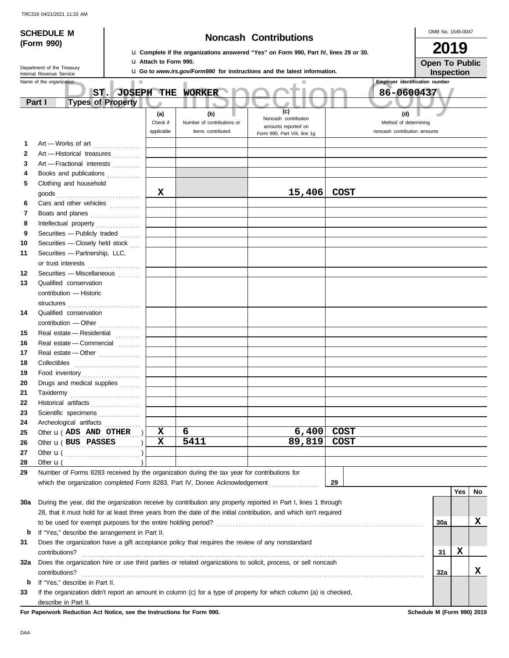| <b>SCHEDULE M</b> |                            |                                                           |                                                |                               |                                                                                                 |                                                                                                                    | OMB No. 1545-0047 |                                                     |                       |             |    |
|-------------------|----------------------------|-----------------------------------------------------------|------------------------------------------------|-------------------------------|-------------------------------------------------------------------------------------------------|--------------------------------------------------------------------------------------------------------------------|-------------------|-----------------------------------------------------|-----------------------|-------------|----|
|                   | (Form 990)                 |                                                           |                                                | <b>Noncash Contributions</b>  |                                                                                                 |                                                                                                                    |                   |                                                     |                       |             |    |
|                   |                            |                                                           |                                                |                               |                                                                                                 | La Complete if the organizations answered "Yes" on Form 990, Part IV, lines 29 or 30.                              |                   |                                                     | 2019                  |             |    |
|                   | Department of the Treasury |                                                           |                                                | <b>LI Attach to Form 990.</b> |                                                                                                 |                                                                                                                    |                   |                                                     | <b>Open To Public</b> |             |    |
|                   | Internal Revenue Service   |                                                           |                                                |                               |                                                                                                 | <b>U.</b> Go to www.irs.gov/Form990 for instructions and the latest information.                                   |                   |                                                     | Inspection            |             |    |
|                   | Name of the organization   | ST.                                                       | ш<br><b>JOSEPH THE</b>                         |                               | WORKER                                                                                          |                                                                                                                    |                   | <b>Employer identification number</b><br>86-0600437 |                       |             |    |
|                   | Part I                     | <b>Types of Property</b>                                  |                                                |                               |                                                                                                 |                                                                                                                    |                   |                                                     |                       |             |    |
|                   |                            |                                                           |                                                | (a)                           | (b)                                                                                             | (c)                                                                                                                |                   | (d)                                                 |                       |             |    |
|                   |                            |                                                           |                                                | Check if                      | Number of contributions or                                                                      | Noncash contribution<br>amounts reported on                                                                        |                   | Method of determining                               |                       |             |    |
|                   |                            |                                                           |                                                | applicable                    | items contributed                                                                               | Form 990, Part VIII, line 1g                                                                                       |                   | noncash contribution amounts                        |                       |             |    |
| 1.                |                            | Art - Works of art                                        |                                                |                               |                                                                                                 |                                                                                                                    |                   |                                                     |                       |             |    |
| $\mathbf{2}$      |                            | Art - Historical treasures                                |                                                |                               |                                                                                                 |                                                                                                                    |                   |                                                     |                       |             |    |
| 3                 |                            | Art - Fractional interests                                |                                                |                               |                                                                                                 |                                                                                                                    |                   |                                                     |                       |             |    |
| 4                 |                            | Books and publications                                    |                                                |                               |                                                                                                 |                                                                                                                    |                   |                                                     |                       |             |    |
| 5                 |                            | Clothing and household                                    |                                                |                               |                                                                                                 |                                                                                                                    |                   |                                                     |                       |             |    |
|                   |                            |                                                           |                                                | X                             |                                                                                                 | 15,406                                                                                                             | <b>COST</b>       |                                                     |                       |             |    |
| 6                 |                            | Cars and other vehicles                                   |                                                |                               |                                                                                                 |                                                                                                                    |                   |                                                     |                       |             |    |
| 7                 |                            | Boats and planes                                          |                                                |                               |                                                                                                 |                                                                                                                    |                   |                                                     |                       |             |    |
| 8                 |                            | Intellectual property                                     |                                                |                               |                                                                                                 |                                                                                                                    |                   |                                                     |                       |             |    |
| 9                 |                            | Securities - Publicly traded                              |                                                |                               |                                                                                                 |                                                                                                                    |                   |                                                     |                       |             |    |
| 10                |                            | Securities - Closely held stock                           |                                                |                               |                                                                                                 |                                                                                                                    |                   |                                                     |                       |             |    |
| 11                |                            | Securities - Partnership, LLC,                            |                                                |                               |                                                                                                 |                                                                                                                    |                   |                                                     |                       |             |    |
| 12                |                            | or trust interests                                        |                                                |                               |                                                                                                 |                                                                                                                    |                   |                                                     |                       |             |    |
| 13                |                            | Securities - Miscellaneous [11]<br>Qualified conservation |                                                |                               |                                                                                                 |                                                                                                                    |                   |                                                     |                       |             |    |
|                   |                            | contribution - Historic                                   |                                                |                               |                                                                                                 |                                                                                                                    |                   |                                                     |                       |             |    |
|                   |                            |                                                           |                                                |                               |                                                                                                 |                                                                                                                    |                   |                                                     |                       |             |    |
| 14                |                            | structures<br>Qualified conservation                      |                                                |                               |                                                                                                 |                                                                                                                    |                   |                                                     |                       |             |    |
|                   |                            |                                                           |                                                |                               |                                                                                                 |                                                                                                                    |                   |                                                     |                       |             |    |
| 15                |                            | Real estate - Residential                                 |                                                |                               |                                                                                                 |                                                                                                                    |                   |                                                     |                       |             |    |
| 16                |                            | Real estate - Commercial                                  |                                                |                               |                                                                                                 |                                                                                                                    |                   |                                                     |                       |             |    |
| 17                |                            | Real estate - Other                                       |                                                |                               |                                                                                                 |                                                                                                                    |                   |                                                     |                       |             |    |
| 18                |                            | Collectibles                                              |                                                |                               |                                                                                                 |                                                                                                                    |                   |                                                     |                       |             |    |
| 19                |                            | Food inventory                                            |                                                |                               |                                                                                                 |                                                                                                                    |                   |                                                     |                       |             |    |
| 20                |                            | Drugs and medical supplies                                |                                                |                               |                                                                                                 |                                                                                                                    |                   |                                                     |                       |             |    |
| 21                | Taxidermy                  |                                                           |                                                |                               |                                                                                                 |                                                                                                                    |                   |                                                     |                       |             |    |
| 22                |                            |                                                           | Historical artifacts                           |                               |                                                                                                 |                                                                                                                    |                   |                                                     |                       |             |    |
| 23                |                            |                                                           | Scientific specimens                           |                               |                                                                                                 |                                                                                                                    |                   |                                                     |                       |             |    |
| 24                |                            |                                                           | Archeological artifacts                        |                               |                                                                                                 |                                                                                                                    |                   |                                                     |                       |             |    |
| 25                |                            | Other <b>u</b> (ADS AND OTHER                             |                                                | х                             | 6                                                                                               | 6,400                                                                                                              | <b>COST</b>       |                                                     |                       |             |    |
| 26                |                            | Other <b>u</b> (BUS PASSES                                |                                                | х                             | 5411                                                                                            | 89,819                                                                                                             | <b>COST</b>       |                                                     |                       |             |    |
| 27                |                            |                                                           |                                                |                               |                                                                                                 |                                                                                                                    |                   |                                                     |                       |             |    |
| 28                | Other $\mathbf{u}$ (       |                                                           |                                                |                               |                                                                                                 |                                                                                                                    |                   |                                                     |                       |             |    |
| 29                |                            |                                                           |                                                |                               | Number of Forms 8283 received by the organization during the tax year for contributions for     | which the organization completed Form 8283, Part IV, Donee Acknowledgement                                         | 29                |                                                     |                       |             |    |
|                   |                            |                                                           |                                                |                               |                                                                                                 |                                                                                                                    |                   |                                                     |                       | <b>Yes</b>  | No |
| 30a               |                            |                                                           |                                                |                               |                                                                                                 | During the year, did the organization receive by contribution any property reported in Part I, lines 1 through     |                   |                                                     |                       |             |    |
|                   |                            |                                                           |                                                |                               |                                                                                                 | 28, that it must hold for at least three years from the date of the initial contribution, and which isn't required |                   |                                                     |                       |             |    |
|                   |                            |                                                           |                                                |                               |                                                                                                 |                                                                                                                    |                   |                                                     | 30a                   |             | x  |
| b                 |                            |                                                           | If "Yes," describe the arrangement in Part II. |                               |                                                                                                 |                                                                                                                    |                   |                                                     |                       |             |    |
| 31                |                            |                                                           |                                                |                               | Does the organization have a gift acceptance policy that requires the review of any nonstandard |                                                                                                                    |                   |                                                     |                       |             |    |
|                   | contributions?             |                                                           |                                                |                               |                                                                                                 |                                                                                                                    |                   |                                                     | 31                    | $\mathbf x$ |    |
| 32a               |                            |                                                           |                                                |                               |                                                                                                 | Does the organization hire or use third parties or related organizations to solicit, process, or sell noncash      |                   |                                                     |                       |             |    |
|                   | contributions?             |                                                           |                                                |                               |                                                                                                 |                                                                                                                    |                   |                                                     | 32a                   |             | X. |
| b                 |                            | If "Yes," describe in Part II.                            |                                                |                               |                                                                                                 |                                                                                                                    |                   |                                                     |                       |             |    |
| 33                |                            |                                                           |                                                |                               |                                                                                                 | If the organization didn't report an amount in column (c) for a type of property for which column (a) is checked,  |                   |                                                     |                       |             |    |
|                   | describe in Part II.       |                                                           |                                                |                               |                                                                                                 |                                                                                                                    |                   |                                                     |                       |             |    |

**For Paperwork Reduction Act Notice, see the Instructions for Form 990. Schedule M (Form 990) 2019**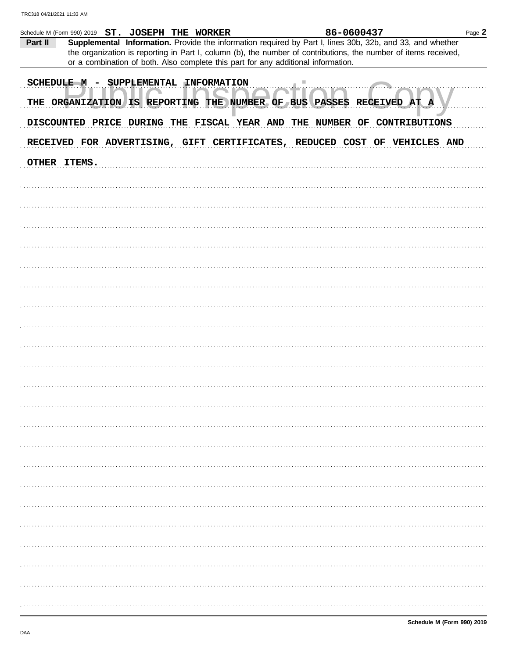| Part II                                                                                                                                                                 | Schedule M (Form 990) 2019 ST. JOSEPH THE WORKER |  |  |  | 86-0600437<br>or a combination of both. Also complete this part for any additional information. | Supplemental Information. Provide the information required by Part I, lines 30b, 32b, and 33, and whether<br>the organization is reporting in Part I, column (b), the number of contributions, the number of items received, | Page 2 |
|-------------------------------------------------------------------------------------------------------------------------------------------------------------------------|--------------------------------------------------|--|--|--|-------------------------------------------------------------------------------------------------|------------------------------------------------------------------------------------------------------------------------------------------------------------------------------------------------------------------------------|--------|
| <b>SCHEDULE M</b><br>SUPPLEMENTAL INFORMATION<br>THE ORGANIZATION IS REPORTING THE NUMBER OF BUS PASSES RECEIVED AT<br>A<br>DISCOUNTED PRICE DURING THE FISCAL YEAR AND |                                                  |  |  |  |                                                                                                 |                                                                                                                                                                                                                              |        |
|                                                                                                                                                                         |                                                  |  |  |  | THE NUMBER OF                                                                                   | <b>CONTRIBUTIONS</b><br>RECEIVED FOR ADVERTISING, GIFT CERTIFICATES, REDUCED COST OF VEHICLES AND                                                                                                                            |        |
|                                                                                                                                                                         | OTHER ITEMS.                                     |  |  |  |                                                                                                 |                                                                                                                                                                                                                              |        |
|                                                                                                                                                                         |                                                  |  |  |  |                                                                                                 |                                                                                                                                                                                                                              |        |
|                                                                                                                                                                         |                                                  |  |  |  |                                                                                                 |                                                                                                                                                                                                                              |        |
|                                                                                                                                                                         |                                                  |  |  |  |                                                                                                 |                                                                                                                                                                                                                              |        |
|                                                                                                                                                                         |                                                  |  |  |  |                                                                                                 |                                                                                                                                                                                                                              |        |
|                                                                                                                                                                         |                                                  |  |  |  |                                                                                                 |                                                                                                                                                                                                                              |        |
|                                                                                                                                                                         |                                                  |  |  |  |                                                                                                 |                                                                                                                                                                                                                              |        |
|                                                                                                                                                                         |                                                  |  |  |  |                                                                                                 |                                                                                                                                                                                                                              |        |
|                                                                                                                                                                         |                                                  |  |  |  |                                                                                                 |                                                                                                                                                                                                                              |        |
|                                                                                                                                                                         |                                                  |  |  |  |                                                                                                 |                                                                                                                                                                                                                              |        |
|                                                                                                                                                                         |                                                  |  |  |  |                                                                                                 |                                                                                                                                                                                                                              |        |
|                                                                                                                                                                         |                                                  |  |  |  |                                                                                                 |                                                                                                                                                                                                                              |        |
|                                                                                                                                                                         |                                                  |  |  |  |                                                                                                 |                                                                                                                                                                                                                              |        |
|                                                                                                                                                                         |                                                  |  |  |  |                                                                                                 |                                                                                                                                                                                                                              |        |
|                                                                                                                                                                         |                                                  |  |  |  |                                                                                                 |                                                                                                                                                                                                                              |        |
|                                                                                                                                                                         |                                                  |  |  |  |                                                                                                 |                                                                                                                                                                                                                              |        |
|                                                                                                                                                                         |                                                  |  |  |  |                                                                                                 |                                                                                                                                                                                                                              |        |
|                                                                                                                                                                         |                                                  |  |  |  |                                                                                                 |                                                                                                                                                                                                                              |        |
|                                                                                                                                                                         |                                                  |  |  |  |                                                                                                 |                                                                                                                                                                                                                              |        |
|                                                                                                                                                                         |                                                  |  |  |  |                                                                                                 |                                                                                                                                                                                                                              |        |
|                                                                                                                                                                         |                                                  |  |  |  |                                                                                                 |                                                                                                                                                                                                                              |        |
|                                                                                                                                                                         |                                                  |  |  |  |                                                                                                 |                                                                                                                                                                                                                              |        |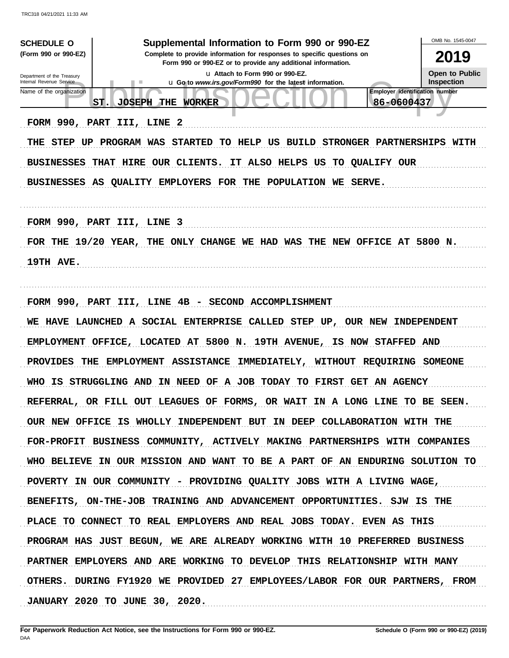| <b>SCHEDULE O</b><br>(Form 990 or 990-EZ)<br>Department of the Treasury                | Supplemental Information to Form 990 or 990-EZ<br>Complete to provide information for responses to specific questions on<br>Form 990 or 990-EZ or to provide any additional information.<br>u Attach to Form 990 or 990-EZ. | OMB No. 1545-0047<br>2019<br><b>Open to Public</b>         |  |  |  |  |  |
|----------------------------------------------------------------------------------------|-----------------------------------------------------------------------------------------------------------------------------------------------------------------------------------------------------------------------------|------------------------------------------------------------|--|--|--|--|--|
| Internal Revenue Service                                                               | <b>u</b> Go to <i>www.irs.gov/Form990</i> for the latest information.                                                                                                                                                       | <b>Inspection</b><br><b>Employer identification number</b> |  |  |  |  |  |
| Name of the organization<br>ST.                                                        | <b>JOSEPH</b><br>86-0600437<br><b>THE</b><br><b>WORKER</b>                                                                                                                                                                  |                                                            |  |  |  |  |  |
| FORM 990, PART III, LINE 2                                                             |                                                                                                                                                                                                                             |                                                            |  |  |  |  |  |
|                                                                                        |                                                                                                                                                                                                                             |                                                            |  |  |  |  |  |
|                                                                                        | THE STEP UP PROGRAM WAS STARTED TO HELP US BUILD STRONGER PARTNERSHIPS WITH                                                                                                                                                 |                                                            |  |  |  |  |  |
| <b>BUSINESSES</b>                                                                      | THAT HIRE OUR CLIENTS.<br>IT ALSO HELPS US<br><b>TO QUALIFY OUR</b>                                                                                                                                                         |                                                            |  |  |  |  |  |
|                                                                                        | BUSINESSES AS QUALITY EMPLOYERS FOR THE POPULATION WE SERVE.                                                                                                                                                                |                                                            |  |  |  |  |  |
|                                                                                        |                                                                                                                                                                                                                             |                                                            |  |  |  |  |  |
| FORM 990, PART III, LINE 3                                                             |                                                                                                                                                                                                                             |                                                            |  |  |  |  |  |
|                                                                                        | FOR THE 19/20 YEAR, THE ONLY CHANGE WE HAD WAS THE NEW OFFICE AT 5800 N.                                                                                                                                                    |                                                            |  |  |  |  |  |
| 19TH AVE.                                                                              |                                                                                                                                                                                                                             |                                                            |  |  |  |  |  |
|                                                                                        |                                                                                                                                                                                                                             |                                                            |  |  |  |  |  |
|                                                                                        | FORM 990, PART III, LINE 4B - SECOND ACCOMPLISHMENT                                                                                                                                                                         |                                                            |  |  |  |  |  |
|                                                                                        | WE HAVE LAUNCHED A SOCIAL ENTERPRISE CALLED STEP UP, OUR NEW INDEPENDENT                                                                                                                                                    |                                                            |  |  |  |  |  |
|                                                                                        | EMPLOYMENT OFFICE, LOCATED AT 5800 N. 19TH AVENUE, IS NOW STAFFED AND                                                                                                                                                       |                                                            |  |  |  |  |  |
| <b>PROVIDES</b><br>THE<br>EMPLOYMENT ASSISTANCE IMMEDIATELY, WITHOUT REQUIRING SOMEONE |                                                                                                                                                                                                                             |                                                            |  |  |  |  |  |
|                                                                                        | WHO IS STRUGGLING AND IN NEED OF A JOB TODAY TO FIRST GET AN AGENCY                                                                                                                                                         |                                                            |  |  |  |  |  |
|                                                                                        | REFERRAL, OR FILL OUT LEAGUES OF FORMS, OR WAIT IN A LONG LINE TO BE SEEN.                                                                                                                                                  |                                                            |  |  |  |  |  |
|                                                                                        | OUR NEW OFFICE IS WHOLLY INDEPENDENT BUT IN DEEP COLLABORATION WITH THE                                                                                                                                                     |                                                            |  |  |  |  |  |
|                                                                                        | FOR-PROFIT BUSINESS COMMUNITY, ACTIVELY MAKING PARTNERSHIPS WITH COMPANIES                                                                                                                                                  |                                                            |  |  |  |  |  |
|                                                                                        | WHO BELIEVE IN OUR MISSION AND WANT TO BE A PART OF AN ENDURING SOLUTION TO                                                                                                                                                 |                                                            |  |  |  |  |  |
|                                                                                        | POVERTY IN OUR COMMUNITY - PROVIDING QUALITY JOBS WITH A LIVING WAGE,                                                                                                                                                       |                                                            |  |  |  |  |  |
|                                                                                        | BENEFITS, ON-THE-JOB TRAINING AND ADVANCEMENT OPPORTUNITIES. SJW IS THE                                                                                                                                                     |                                                            |  |  |  |  |  |
|                                                                                        | PLACE TO CONNECT TO REAL EMPLOYERS AND REAL JOBS TODAY. EVEN AS THIS                                                                                                                                                        |                                                            |  |  |  |  |  |
|                                                                                        | PROGRAM HAS JUST BEGUN, WE ARE ALREADY WORKING WITH 10 PREFERRED BUSINESS                                                                                                                                                   |                                                            |  |  |  |  |  |
|                                                                                        | PARTNER EMPLOYERS AND ARE WORKING TO DEVELOP THIS RELATIONSHIP WITH MANY                                                                                                                                                    |                                                            |  |  |  |  |  |
|                                                                                        | OTHERS. DURING FY1920 WE PROVIDED 27 EMPLOYEES/LABOR FOR OUR PARTNERS, FROM                                                                                                                                                 |                                                            |  |  |  |  |  |
|                                                                                        | <b>JANUARY 2020 TO JUNE 30, 2020.</b>                                                                                                                                                                                       |                                                            |  |  |  |  |  |
|                                                                                        |                                                                                                                                                                                                                             |                                                            |  |  |  |  |  |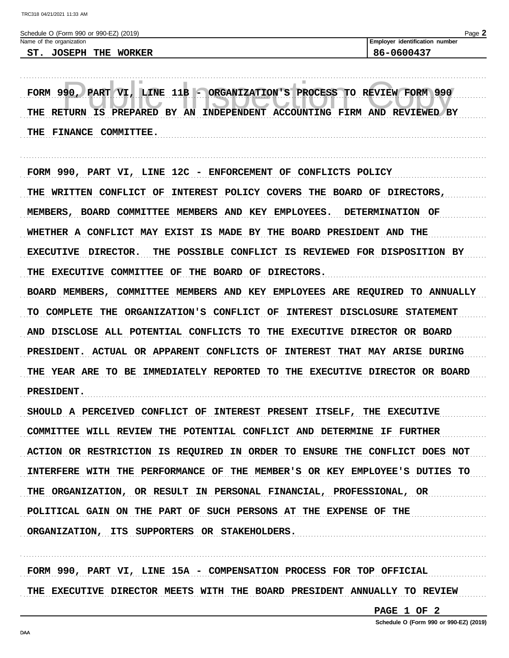| Schedule O (Form 990 or 990-EZ) (2019) |  |                          |  |                             |
|----------------------------------------|--|--------------------------|--|-----------------------------|
|                                        |  | Name of the organization |  | Employer identification num |
|                                        |  | ST. JOSEPH THE WORKER    |  | 86-0600437                  |

FORM 990, PART VI, LINE 11B - ORGANIZATION'S PROCESS TO REVIEW FORM 990 THE RETURN IS PREPARED BY AN INDEPENDENT ACCOUNTING FIRM AND REVIEWED BY THE FINANCE COMMITTEE.

FORM 990, PART VI, LINE 12C - ENFORCEMENT OF CONFLICTS POLICY THE WRITTEN CONFLICT OF INTEREST POLICY COVERS THE BOARD OF DIRECTORS, MEMBERS, BOARD COMMITTEE MEMBERS AND KEY EMPLOYEES. DETERMINATION OF WHETHER A CONFLICT MAY EXIST IS MADE BY THE BOARD PRESIDENT AND THE EXECUTIVE DIRECTOR. THE POSSIBLE CONFLICT IS REVIEWED FOR DISPOSITION BY THE EXECUTIVE COMMITTEE OF THE BOARD OF DIRECTORS. BOARD MEMBERS, COMMITTEE MEMBERS AND KEY EMPLOYEES ARE REQUIRED TO ANNUALLY TO COMPLETE THE ORGANIZATION'S CONFLICT OF INTEREST DISCLOSURE STATEMENT AND DISCLOSE ALL POTENTIAL CONFLICTS TO THE EXECUTIVE DIRECTOR OR BOARD PRESIDENT. ACTUAL OR APPARENT CONFLICTS OF INTEREST THAT MAY ARISE DURING THE YEAR ARE TO BE IMMEDIATELY REPORTED TO THE EXECUTIVE DIRECTOR OR BOARD **PRESIDENT.** 

SHOULD A PERCEIVED CONFLICT OF INTEREST PRESENT ITSELF, THE EXECUTIVE COMMITTEE WILL REVIEW THE POTENTIAL CONFLICT AND DETERMINE IF FURTHER ACTION OR RESTRICTION IS REQUIRED IN ORDER TO ENSURE THE CONFLICT DOES NOT INTERFERE WITH THE PERFORMANCE OF THE MEMBER'S OR KEY EMPLOYEE'S DUTIES TO THE ORGANIZATION, OR RESULT IN PERSONAL FINANCIAL, PROFESSIONAL, OR POLITICAL GAIN ON THE PART OF SUCH PERSONS AT THE EXPENSE OF THE ORGANIZATION, ITS SUPPORTERS OR STAKEHOLDERS.

FORM 990, PART VI, LINE 15A - COMPENSATION PROCESS FOR TOP OFFICIAL THE EXECUTIVE DIRECTOR MEETS WITH THE BOARD PRESIDENT ANNUALLY TO REVIEW

PAGE 1 OF 2

Schedule O (Form 990 or 990-EZ) (2019)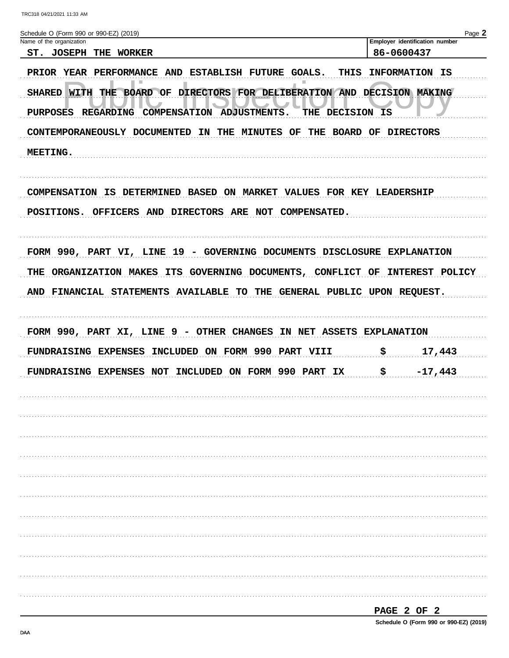| Schedule O (Form 990 or 990-EZ) (2019)<br>Name of the organization |                                                                                                                                                          |                                          | Employer identification number |
|--------------------------------------------------------------------|----------------------------------------------------------------------------------------------------------------------------------------------------------|------------------------------------------|--------------------------------|
| ST. JOSEPH THE WORKER                                              |                                                                                                                                                          |                                          | 86-0600437                     |
| <b>SHARED WITH</b><br><b>PURPOSES</b>                              | PRIOR YEAR PERFORMANCE AND ESTABLISH FUTURE GOALS.<br>THE BOARD OF DIRECTORS FOR DELIBERATION AND DECISION MAKING<br>REGARDING COMPENSATION ADJUSTMENTS. | <b>THIS</b><br><b>DECISION IS</b><br>THE | INFORMATION IS                 |
|                                                                    | CONTEMPORANEOUSLY DOCUMENTED IN<br>THE<br><b>MINUTES OF</b>                                                                                              | THE                                      | <b>BOARD OF DIRECTORS</b>      |
| MEETING.                                                           |                                                                                                                                                          |                                          |                                |
|                                                                    | COMPENSATION IS DETERMINED BASED ON MARKET<br>POSITIONS. OFFICERS AND DIRECTORS ARE NOT COMPENSATED.                                                     | <b>VALUES FOR KEY LEADERSHIP</b>         |                                |
|                                                                    | FORM 990, PART VI, LINE 19 - GOVERNING DOCUMENTS DISCLOSURE EXPLANATION                                                                                  |                                          | <b>INTEREST POLICY</b>         |
| THE<br>ORGANIZATION MAKES                                          | ITS GOVERNING DOCUMENTS, CONFLICT OF<br>AND FINANCIAL STATEMENTS AVAILABLE TO THE GENERAL PUBLIC UPON REQUEST.                                           |                                          |                                |
| FUNDRAISING EXPENSES                                               | FORM 990, PART XI, LINE 9 - OTHER CHANGES<br>INCLUDED ON FORM 990 PART VIII                                                                              | IN NET ASSETS EXPLANATION                | \$<br>17,443                   |
| FUNDRAISING EXPENSES NOT                                           | INCLUDED ON FORM 990 PART                                                                                                                                | IX                                       | \$<br>$-17,443$                |
|                                                                    |                                                                                                                                                          |                                          |                                |
|                                                                    |                                                                                                                                                          |                                          |                                |
|                                                                    |                                                                                                                                                          |                                          |                                |
|                                                                    |                                                                                                                                                          |                                          |                                |
|                                                                    |                                                                                                                                                          |                                          |                                |
|                                                                    |                                                                                                                                                          |                                          |                                |
|                                                                    |                                                                                                                                                          |                                          |                                |
|                                                                    |                                                                                                                                                          |                                          |                                |
|                                                                    |                                                                                                                                                          |                                          |                                |